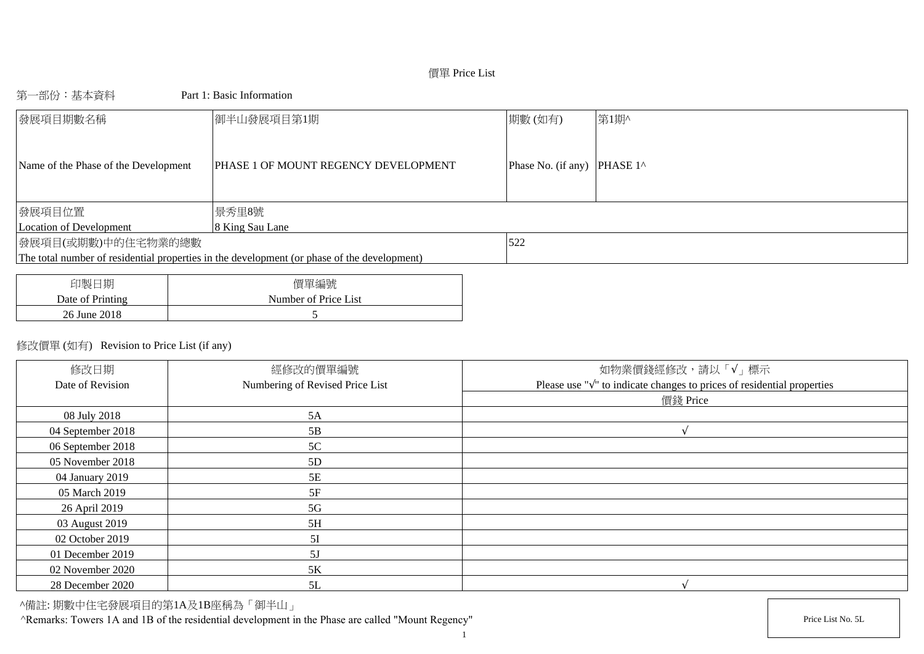# 價單 Price List

### 第一部份:基本資料 Part 1: Basic Information

| 發展項目期數名稱                             | 御半山發展項目第1期                                                                                  | 期數(如有)             | 第1期^               |
|--------------------------------------|---------------------------------------------------------------------------------------------|--------------------|--------------------|
| Name of the Phase of the Development | <b>PHASE 1 OF MOUNT REGENCY DEVELOPMENT</b>                                                 | Phase No. (if any) | PHASE $1^{\wedge}$ |
| 發展項目位置                               | 景秀里8號                                                                                       |                    |                    |
| Location of Development              | 8 King Sau Lane                                                                             |                    |                    |
| 發展項目(或期數)中的住宅物業的總數                   |                                                                                             | 522                |                    |
|                                      | The total number of residential properties in the development (or phase of the development) |                    |                    |
|                                      |                                                                                             |                    |                    |
| $A + B$ $A + C$                      | $F \rightarrow F$                                                                           |                    |                    |

| 印製日期             | 價單編號                 |
|------------------|----------------------|
| Date of Printing | Number of Price List |
| 26 June 2018     |                      |

### 修改價單 (如有) Revision to Price List (if any)

| 修改日期              | 經修改的價單編號                        | 如物業價錢經修改,請以「√」標示                                                                  |
|-------------------|---------------------------------|-----------------------------------------------------------------------------------|
| Date of Revision  | Numbering of Revised Price List | Please use " $\sqrt{ }$ " to indicate changes to prices of residential properties |
|                   |                                 | 價錢 Price                                                                          |
| 08 July 2018      | 5A                              |                                                                                   |
| 04 September 2018 | 5B                              |                                                                                   |
| 06 September 2018 | 5C                              |                                                                                   |
| 05 November 2018  | 5D                              |                                                                                   |
| 04 January 2019   | 5E                              |                                                                                   |
| 05 March 2019     | 5F                              |                                                                                   |
| 26 April 2019     | 5G                              |                                                                                   |
| 03 August 2019    | 5H                              |                                                                                   |
| 02 October 2019   | 5I                              |                                                                                   |
| 01 December 2019  | 5J                              |                                                                                   |
| 02 November 2020  | $5K$                            |                                                                                   |
| 28 December 2020  | 5L                              |                                                                                   |

^備註: 期數中住宅發展項目的第1A及1B座稱為「御半山」

^Remarks: Towers 1A and 1B of the residential development in the Phase are called "Mount Regency" Price List No. 5L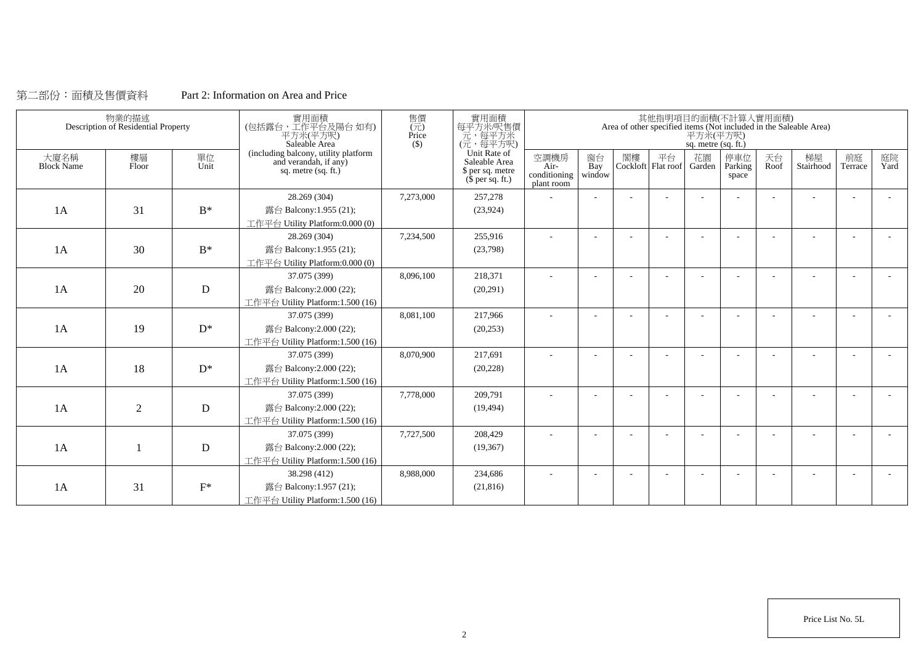## 第二部份:面積及售價資料 Part 2: Information on Area and Price

|                           | 物業的描述<br>Description of Residential Property |            | 實用面積<br>(包括露台,工作平台及陽台如有)<br>平方米(平方呎)<br>Saleable Area                                | 售價<br>$(\vec{\pi})$<br>Price<br>(S) | 實用面積<br>每平方米/呎售價<br>元,每平方米<br>(元,每平方呎)                                |                                            |                     |    |    | 平方米(平方呎)<br>sq. metre (sq. ft.) | 其他指明項目的面積(不計算入實用面積)     |            | Area of other specified items (Not included in the Saleable Area) |               |            |
|---------------------------|----------------------------------------------|------------|--------------------------------------------------------------------------------------|-------------------------------------|-----------------------------------------------------------------------|--------------------------------------------|---------------------|----|----|---------------------------------|-------------------------|------------|-------------------------------------------------------------------|---------------|------------|
| 大廈名稱<br><b>Block Name</b> | 樓層<br>Floor                                  | 單位<br>Unit | (including balcony, utility platform<br>and verandah, if any)<br>sq. metre (sq. ft.) |                                     | Unit Rate of<br>Saleable Area<br>\$ per sq. metre<br>$$$ per sq. ft.) | 空調機房<br>Air-<br>conditioning<br>plant room | 窗台<br>Bay<br>window | 閣樓 | 平台 | 花園<br>Cockloft Flat roof Garden | 停車位<br>Parking<br>space | 天台<br>Roof | 梯屋<br>Stairhood                                                   | 前庭<br>Terrace | 庭院<br>Yard |
|                           |                                              |            | 28.269 (304)                                                                         | 7,273,000                           | 257,278                                                               |                                            |                     |    |    |                                 |                         |            |                                                                   |               |            |
| 1A                        | 31                                           | $B^*$      | 露台 Balcony:1.955 (21);                                                               |                                     | (23, 924)                                                             |                                            |                     |    |    |                                 |                         |            |                                                                   |               |            |
|                           |                                              |            | 工作平台 Utility Platform:0.000 (0)                                                      |                                     |                                                                       |                                            |                     |    |    |                                 |                         |            |                                                                   |               |            |
|                           |                                              |            | 28.269 (304)                                                                         | 7,234,500                           | 255,916                                                               | ÷                                          | $\sim$              |    |    |                                 |                         | ÷          |                                                                   | $\sim$        | $\sim$     |
| 1A                        | 30                                           | $B^*$      | 露台 Balcony:1.955 (21);                                                               |                                     | (23,798)                                                              |                                            |                     |    |    |                                 |                         |            |                                                                   |               |            |
|                           |                                              |            | 工作平台 Utility Platform:0.000 (0)                                                      |                                     |                                                                       |                                            |                     |    |    |                                 |                         |            |                                                                   |               |            |
|                           |                                              |            | 37.075 (399)                                                                         | 8,096,100                           | 218,371                                                               | ÷                                          |                     |    |    |                                 |                         |            |                                                                   |               |            |
| 1A                        | 20                                           | ${\bf D}$  | 露台 Balcony:2.000 (22);                                                               |                                     | (20,291)                                                              |                                            |                     |    |    |                                 |                         |            |                                                                   |               |            |
|                           |                                              |            | 工作平台 Utility Platform:1.500 (16)                                                     |                                     |                                                                       |                                            |                     |    |    |                                 |                         |            |                                                                   |               |            |
|                           |                                              |            | 37.075 (399)                                                                         | 8,081,100                           | 217,966                                                               |                                            |                     |    |    |                                 |                         | ٠          |                                                                   |               |            |
| 1A                        | 19                                           | $D^*$      | 露台 Balcony:2.000 (22);                                                               |                                     | (20, 253)                                                             |                                            |                     |    |    |                                 |                         |            |                                                                   |               |            |
|                           |                                              |            | 工作平台 Utility Platform:1.500 (16)                                                     |                                     |                                                                       |                                            |                     |    |    |                                 |                         |            |                                                                   |               |            |
|                           |                                              |            | 37.075 (399)                                                                         | 8,070,900                           | 217,691                                                               | ٠                                          |                     |    |    |                                 |                         |            |                                                                   |               |            |
| 1A                        | 18                                           | $D^*$      | 露台 Balcony:2.000 (22);                                                               |                                     | (20, 228)                                                             |                                            |                     |    |    |                                 |                         |            |                                                                   |               |            |
|                           |                                              |            | 工作平台 Utility Platform:1.500 (16)                                                     |                                     |                                                                       |                                            |                     |    |    |                                 |                         |            |                                                                   |               |            |
|                           |                                              |            | 37.075 (399)                                                                         | 7,778,000                           | 209,791                                                               |                                            |                     |    |    |                                 |                         |            |                                                                   |               |            |
| 1A                        | $\overline{2}$                               | D          | 露台 Balcony:2.000 (22);                                                               |                                     | (19, 494)                                                             |                                            |                     |    |    |                                 |                         |            |                                                                   |               |            |
|                           |                                              |            | 工作平台 Utility Platform:1.500 (16)                                                     |                                     |                                                                       |                                            |                     |    |    |                                 |                         |            |                                                                   |               |            |
|                           |                                              |            | 37.075 (399)                                                                         | 7,727,500                           | 208,429                                                               |                                            |                     |    |    |                                 |                         |            |                                                                   |               |            |
| 1A                        |                                              | D          | 露台 Balcony:2.000 (22);                                                               |                                     | (19,367)                                                              |                                            |                     |    |    |                                 |                         |            |                                                                   |               |            |
|                           |                                              |            | 工作平台 Utility Platform:1.500 (16)                                                     |                                     |                                                                       |                                            |                     |    |    |                                 |                         |            |                                                                   |               |            |
|                           |                                              |            | 38.298 (412)                                                                         | 8,988,000                           | 234,686                                                               |                                            |                     |    |    |                                 |                         |            |                                                                   |               |            |
| 1A                        | 31                                           | $F^*$      | 露台 Balcony:1.957 (21);                                                               |                                     | (21, 816)                                                             |                                            |                     |    |    |                                 |                         |            |                                                                   |               |            |
|                           |                                              |            | 工作平台 Utility Platform:1.500 (16)                                                     |                                     |                                                                       |                                            |                     |    |    |                                 |                         |            |                                                                   |               |            |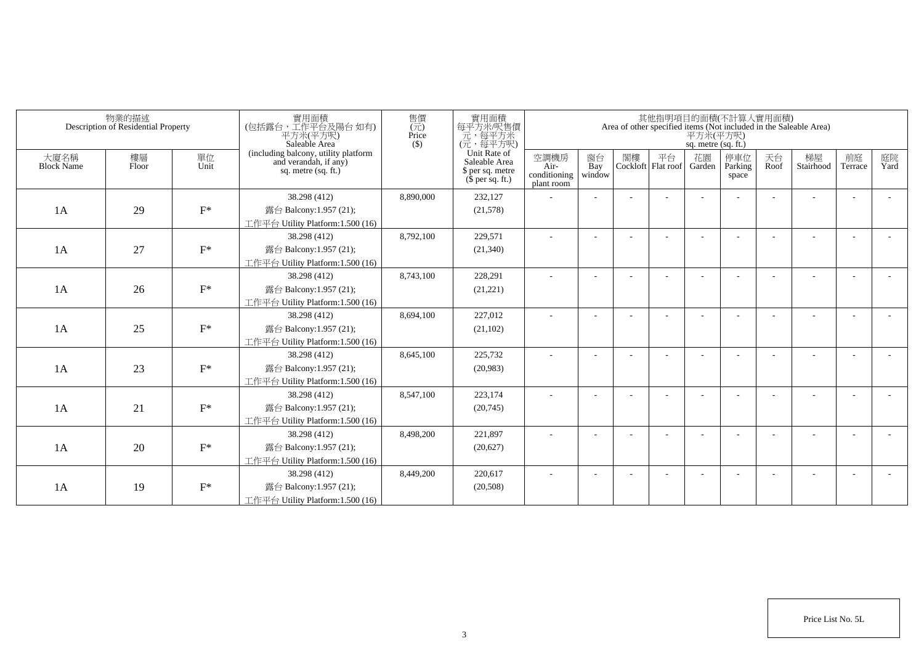|                           | 物業的描述<br>Description of Residential Property |            | 實用面積<br>(包括露台,工作平台及陽台 如有)<br>平方米(平方呎)<br>Saleable Area                                 | 售價<br>$\overline{(\overline{\tau}\overline{\tau})}$<br>Price<br>$($ \$ | 實用面積<br>每平方米/呎售價<br>元,每平方米<br>(元,每平方呎)                                |                                            |                          |    |                                 | 平方米(平方呎)<br>sq. metre (sq. ft.) | 其他指明項目的面積(不計算入實用面積)     |            | Area of other specified items (Not included in the Saleable Area) |                          |            |
|---------------------------|----------------------------------------------|------------|----------------------------------------------------------------------------------------|------------------------------------------------------------------------|-----------------------------------------------------------------------|--------------------------------------------|--------------------------|----|---------------------------------|---------------------------------|-------------------------|------------|-------------------------------------------------------------------|--------------------------|------------|
| 大廈名稱<br><b>Block Name</b> | 樓層<br>Floor                                  | 單位<br>Unit | (including balcony, utility platform<br>and verandah, if any)<br>sq. metre $(sq, ft.)$ |                                                                        | Unit Rate of<br>Saleable Area<br>\$ per sq. metre<br>$$$ per sq. ft.) | 空調機房<br>Air-<br>conditioning<br>plant room | 窗台<br>Bay<br>window      | 閣樓 | 平台<br>Cockloft Flat roof Garden | 花園                              | 停車位<br>Parking<br>space | 天台<br>Roof | 梯屋<br>Stairhood                                                   | 前庭<br>Terrace            | 庭院<br>Yard |
|                           |                                              |            | 38.298 (412)                                                                           | 8.890.000                                                              | 232,127                                                               |                                            |                          |    |                                 |                                 |                         |            |                                                                   | ٠                        |            |
| 1A                        | 29                                           | $F^*$      | 露台 Balcony:1.957 (21);                                                                 |                                                                        | (21,578)                                                              |                                            |                          |    |                                 |                                 |                         |            |                                                                   |                          |            |
|                           |                                              |            | 工作平台 Utility Platform:1.500 (16)                                                       |                                                                        |                                                                       |                                            |                          |    |                                 |                                 |                         |            |                                                                   |                          |            |
|                           |                                              |            | 38.298 (412)                                                                           | 8,792,100                                                              | 229,571                                                               | ÷                                          | $\sim$                   |    |                                 |                                 |                         |            |                                                                   | $\overline{\phantom{a}}$ |            |
| 1A                        | 27                                           | $F^*$      | 露台 Balcony:1.957 (21);                                                                 |                                                                        | (21, 340)                                                             |                                            |                          |    |                                 |                                 |                         |            |                                                                   |                          |            |
|                           |                                              |            | 工作平台 Utility Platform:1.500 (16)                                                       |                                                                        |                                                                       |                                            |                          |    |                                 |                                 |                         |            |                                                                   |                          |            |
|                           |                                              |            | 38.298 (412)                                                                           | 8,743,100                                                              | 228.291                                                               | ÷                                          | $\overline{\phantom{a}}$ |    |                                 |                                 |                         |            |                                                                   |                          |            |
| 1A                        | 26                                           | $F^*$      | 露台 Balcony:1.957 (21);                                                                 |                                                                        | (21, 221)                                                             |                                            |                          |    |                                 |                                 |                         |            |                                                                   |                          |            |
|                           |                                              |            | 工作平台 Utility Platform: 1.500 (16)                                                      |                                                                        |                                                                       |                                            |                          |    |                                 |                                 |                         |            |                                                                   |                          |            |
|                           |                                              |            | 38.298 (412)                                                                           | 8,694,100                                                              | 227,012                                                               |                                            |                          |    |                                 |                                 |                         |            |                                                                   |                          |            |
| 1A                        | 25                                           | $F^*$      | 露台 Balcony:1.957 (21);                                                                 |                                                                        | (21, 102)                                                             |                                            |                          |    |                                 |                                 |                         |            |                                                                   |                          |            |
|                           |                                              |            | 工作平台 Utility Platform: 1.500 (16)                                                      |                                                                        |                                                                       |                                            |                          |    |                                 |                                 |                         |            |                                                                   |                          |            |
|                           |                                              |            | 38.298 (412)                                                                           | 8,645,100                                                              | 225,732                                                               | ٠                                          |                          |    |                                 |                                 |                         |            |                                                                   | ٠                        |            |
| 1A                        | 23                                           | $F^*$      | 露台 Balcony:1.957 (21);                                                                 |                                                                        | (20,983)                                                              |                                            |                          |    |                                 |                                 |                         |            |                                                                   |                          |            |
|                           |                                              |            | 工作平台 Utility Platform:1.500 (16)                                                       |                                                                        |                                                                       |                                            |                          |    |                                 |                                 |                         |            |                                                                   |                          |            |
|                           |                                              |            | 38.298 (412)                                                                           | 8,547,100                                                              | 223,174                                                               |                                            |                          |    |                                 |                                 |                         |            |                                                                   |                          |            |
| 1A                        | 21                                           | $F^*$      | 露台 Balcony:1.957 (21);                                                                 |                                                                        | (20,745)                                                              |                                            |                          |    |                                 |                                 |                         |            |                                                                   |                          |            |
|                           |                                              |            | 工作平台 Utility Platform: 1.500 (16)                                                      |                                                                        |                                                                       |                                            |                          |    |                                 |                                 |                         |            |                                                                   |                          |            |
|                           |                                              |            | 38.298 (412)                                                                           | 8,498,200                                                              | 221.897                                                               | ÷                                          | $\overline{\phantom{a}}$ |    |                                 |                                 |                         |            |                                                                   | $\overline{\phantom{a}}$ |            |
| 1A                        | 20                                           | $F^*$      | 露台 Balcony:1.957 (21);                                                                 |                                                                        | (20,627)                                                              |                                            |                          |    |                                 |                                 |                         |            |                                                                   |                          |            |
|                           |                                              |            | 工作平台 Utility Platform:1.500 (16)                                                       |                                                                        |                                                                       |                                            |                          |    |                                 |                                 |                         |            |                                                                   |                          |            |
|                           |                                              |            | 38.298 (412)                                                                           | 8,449,200                                                              | 220,617                                                               |                                            |                          |    |                                 |                                 |                         |            |                                                                   |                          |            |
| 1A                        | 19                                           | $F^*$      | 露台 Balcony:1.957 (21);                                                                 |                                                                        | (20, 508)                                                             |                                            |                          |    |                                 |                                 |                         |            |                                                                   |                          |            |
|                           |                                              |            | 工作平台 Utility Platform:1.500 (16)                                                       |                                                                        |                                                                       |                                            |                          |    |                                 |                                 |                         |            |                                                                   |                          |            |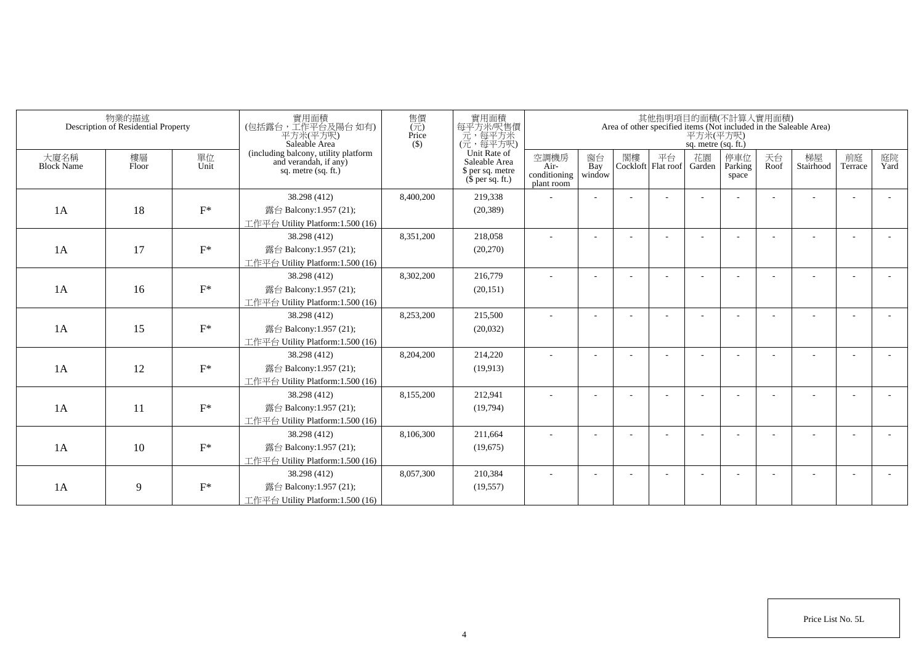|                           | 物業的描述<br>Description of Residential Property |            | 實用面積<br>(包括露台,工作平台及陽台 如有)<br>平方米(平方呎)<br>Saleable Area                                 | 售價<br>$(\vec{\pi})$<br>Price<br>$($ \$) | 實用面積<br>每平方米/呎售價<br>一元,每平方米<br>(元,每平方呎)                               |                                            |                          |    |                          | 平方米(平方呎)<br>sq. metre (sq. ft.) | 其他指明項目的面積(不計算入實用面積)     |            | Area of other specified items (Not included in the Saleable Area) |                          |            |
|---------------------------|----------------------------------------------|------------|----------------------------------------------------------------------------------------|-----------------------------------------|-----------------------------------------------------------------------|--------------------------------------------|--------------------------|----|--------------------------|---------------------------------|-------------------------|------------|-------------------------------------------------------------------|--------------------------|------------|
| 大廈名稱<br><b>Block Name</b> | 樓層<br>Floor                                  | 單位<br>Unit | (including balcony, utility platform<br>and verandah, if any)<br>sq. metre $(sq, ft.)$ |                                         | Unit Rate of<br>Saleable Area<br>\$ per sq. metre<br>$$$ per sq. ft.) | 空調機房<br>Air-<br>conditioning<br>plant room | 窗台<br>Bay<br>window      | 閣樓 | 平台<br>Cockloft Flat roof | 花園<br>Garden                    | 停車位<br>Parking<br>space | 天台<br>Roof | 梯屋<br>Stairhood                                                   | 前庭<br>Terrace            | 庭院<br>Yard |
|                           |                                              |            | 38.298 (412)                                                                           | 8,400,200                               | 219,338                                                               |                                            |                          |    |                          |                                 |                         |            |                                                                   |                          |            |
| 1A                        | 18                                           | $F^*$      | 露台 Balcony:1.957 (21);                                                                 |                                         | (20, 389)                                                             |                                            |                          |    |                          |                                 |                         |            |                                                                   |                          |            |
|                           |                                              |            | 工作平台 Utility Platform:1.500 (16)                                                       |                                         |                                                                       |                                            |                          |    |                          |                                 |                         |            |                                                                   |                          |            |
|                           |                                              |            | 38.298 (412)                                                                           | 8,351,200                               | 218,058                                                               |                                            |                          |    |                          |                                 |                         |            |                                                                   |                          |            |
| 1A                        | 17                                           | $F^*$      | 露台 Balcony:1.957 (21);                                                                 |                                         | (20,270)                                                              |                                            |                          |    |                          |                                 |                         |            |                                                                   |                          |            |
|                           |                                              |            | 工作平台 Utility Platform:1.500 (16)                                                       |                                         |                                                                       |                                            |                          |    |                          |                                 |                         |            |                                                                   |                          |            |
|                           |                                              |            | 38.298 (412)                                                                           | 8,302,200                               | 216,779                                                               | ٠                                          | $\overline{\phantom{a}}$ |    |                          |                                 |                         |            |                                                                   | $\overline{\phantom{a}}$ |            |
| 1A                        | 16                                           | $F^*$      | 露台 Balcony:1.957 (21);                                                                 |                                         | (20, 151)                                                             |                                            |                          |    |                          |                                 |                         |            |                                                                   |                          |            |
|                           |                                              |            | 工作平台 Utility Platform: 1.500 (16)                                                      |                                         |                                                                       |                                            |                          |    |                          |                                 |                         |            |                                                                   |                          |            |
|                           |                                              |            | 38.298 (412)                                                                           | 8,253,200                               | 215,500                                                               |                                            |                          |    |                          |                                 |                         |            |                                                                   |                          |            |
| 1A                        | 15                                           | $F^*$      | 露台 Balcony:1.957 (21);                                                                 |                                         | (20,032)                                                              |                                            |                          |    |                          |                                 |                         |            |                                                                   |                          |            |
|                           |                                              |            | 工作平台 Utility Platform: 1.500 (16)                                                      |                                         |                                                                       |                                            |                          |    |                          |                                 |                         |            |                                                                   |                          |            |
|                           |                                              |            | 38.298 (412)                                                                           | 8,204,200                               | 214,220                                                               | ä,                                         |                          |    |                          |                                 |                         |            |                                                                   |                          |            |
| 1A                        | 12                                           | $F^*$      | 露台 Balcony:1.957 (21);                                                                 |                                         | (19,913)                                                              |                                            |                          |    |                          |                                 |                         |            |                                                                   |                          |            |
|                           |                                              |            | 工作平台 Utility Platform:1.500 (16)                                                       |                                         |                                                                       |                                            |                          |    |                          |                                 |                         |            |                                                                   |                          |            |
|                           |                                              |            | 38.298 (412)                                                                           | 8,155,200                               | 212,941                                                               |                                            |                          |    |                          |                                 |                         |            |                                                                   |                          |            |
| 1A                        | 11                                           | $F^*$      | 露台 Balcony:1.957 (21);                                                                 |                                         | (19,794)                                                              |                                            |                          |    |                          |                                 |                         |            |                                                                   |                          |            |
|                           |                                              |            | 工作平台 Utility Platform: 1.500 (16)                                                      |                                         |                                                                       |                                            |                          |    |                          |                                 |                         |            |                                                                   |                          |            |
|                           |                                              |            | 38.298 (412)                                                                           | 8,106,300                               | 211,664                                                               |                                            |                          |    |                          |                                 |                         |            |                                                                   | $\overline{\phantom{a}}$ |            |
| 1A                        | 10                                           | $F^*$      | 露台 Balcony:1.957 (21);                                                                 |                                         | (19,675)                                                              |                                            |                          |    |                          |                                 |                         |            |                                                                   |                          |            |
|                           |                                              |            | 工作平台 Utility Platform: 1.500 (16)                                                      |                                         |                                                                       |                                            |                          |    |                          |                                 |                         |            |                                                                   |                          |            |
|                           |                                              |            | 38.298 (412)                                                                           | 8,057,300                               | 210,384                                                               |                                            |                          |    |                          |                                 |                         |            |                                                                   | <b>.</b>                 |            |
| 1A                        | 9                                            | $F^*$      | 露台 Balcony:1.957 (21);                                                                 |                                         | (19, 557)                                                             |                                            |                          |    |                          |                                 |                         |            |                                                                   |                          |            |
|                           |                                              |            | 工作平台 Utility Platform:1.500 (16)                                                       |                                         |                                                                       |                                            |                          |    |                          |                                 |                         |            |                                                                   |                          |            |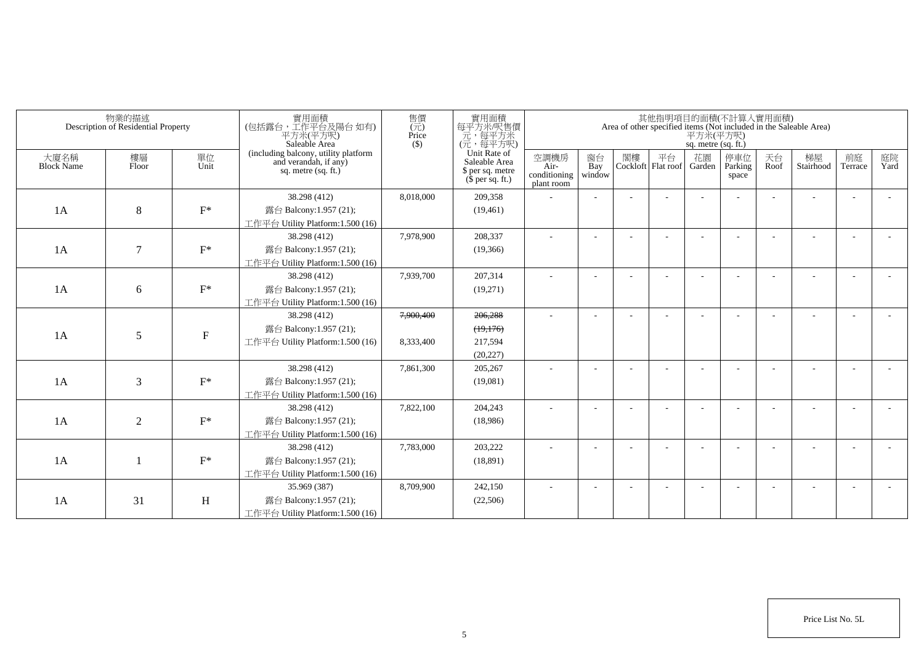|                           | 物業的描述<br>Description of Residential Property |             | 實用面積<br>(包括露台,工作平台及陽台如有)<br>平方米(平方呎)<br>Saleable Area                                | 售價<br>$\overline{(\overline{\pi})}$<br>Price<br>$($ \$) | 實用面積<br>每平方米/呎售價<br>一元<br>(元, 每平方米)<br>(元, 每平方呎)                      |                                            |                     |    |                          | 平方米(平方呎)<br>sq. metre (sq. ft.) | 其他指明項目的面積(不計算入實用面積)     |            | Area of other specified items (Not included in the Saleable Area) |                |            |
|---------------------------|----------------------------------------------|-------------|--------------------------------------------------------------------------------------|---------------------------------------------------------|-----------------------------------------------------------------------|--------------------------------------------|---------------------|----|--------------------------|---------------------------------|-------------------------|------------|-------------------------------------------------------------------|----------------|------------|
| 大廈名稱<br><b>Block Name</b> | 樓層<br>Floor                                  | 單位<br>Unit  | (including balcony, utility platform<br>and verandah, if any)<br>sq. metre (sq. ft.) |                                                         | Unit Rate of<br>Saleable Area<br>\$ per sq. metre<br>$$$ per sq. ft.) | 空調機房<br>Air-<br>conditioning<br>plant room | 窗台<br>Bay<br>window | 閣樓 | 平台<br>Cockloft Flat roof | 花園<br>Garden                    | 停車位<br>Parking<br>space | 天台<br>Roof | 梯屋<br>Stairhood                                                   | 前庭<br>Terrace  | 庭院<br>Yard |
|                           |                                              |             | 38.298 (412)                                                                         | 8,018,000                                               | 209,358                                                               |                                            |                     |    |                          |                                 |                         |            |                                                                   |                |            |
| 1A                        | 8                                            | $F^*$       | 露台 Balcony:1.957 (21);                                                               |                                                         | (19, 461)                                                             |                                            |                     |    |                          |                                 |                         |            |                                                                   |                |            |
|                           |                                              |             | 工作平台 Utility Platform: 1.500 (16)                                                    |                                                         |                                                                       |                                            |                     |    |                          |                                 |                         |            |                                                                   |                |            |
|                           |                                              |             | 38.298 (412)                                                                         | 7,978,900                                               | 208,337                                                               |                                            |                     |    |                          |                                 |                         |            |                                                                   | $\overline{a}$ |            |
| 1A                        | $\tau$                                       | $F^*$       | 露台 Balcony:1.957 (21);                                                               |                                                         | (19,366)                                                              |                                            |                     |    |                          |                                 |                         |            |                                                                   |                |            |
|                           |                                              |             | 工作平台 Utility Platform:1.500 (16)                                                     |                                                         |                                                                       |                                            |                     |    |                          |                                 |                         |            |                                                                   |                |            |
|                           |                                              |             | 38.298 (412)                                                                         | 7,939,700                                               | 207.314                                                               |                                            |                     |    |                          |                                 |                         |            |                                                                   |                |            |
| 1A                        | 6                                            | $F^*$       | 露台 Balcony:1.957 (21);                                                               |                                                         | (19,271)                                                              |                                            |                     |    |                          |                                 |                         |            |                                                                   |                |            |
|                           |                                              |             | 工作平台 Utility Platform:1.500 (16)                                                     |                                                         |                                                                       |                                            |                     |    |                          |                                 |                         |            |                                                                   |                |            |
|                           |                                              |             | 38.298 (412)                                                                         | 7,900,400                                               | 206,288                                                               |                                            |                     |    |                          |                                 |                         |            |                                                                   |                |            |
| 1A                        | 5                                            | $\mathbf F$ | 露台 Balcony:1.957 (21);                                                               |                                                         | (19,176)                                                              |                                            |                     |    |                          |                                 |                         |            |                                                                   |                |            |
|                           |                                              |             | 工作平台 Utility Platform: $1.500(16)$                                                   | 8,333,400                                               | 217,594                                                               |                                            |                     |    |                          |                                 |                         |            |                                                                   |                |            |
|                           |                                              |             |                                                                                      |                                                         | (20, 227)                                                             |                                            |                     |    |                          |                                 |                         |            |                                                                   |                |            |
|                           |                                              |             | 38.298 (412)                                                                         | 7,861,300                                               | 205,267                                                               |                                            | $\overline{a}$      |    |                          |                                 |                         |            |                                                                   | $\overline{a}$ |            |
| 1A                        | 3                                            | $F^*$       | 露台 Balcony:1.957 (21);                                                               |                                                         | (19,081)                                                              |                                            |                     |    |                          |                                 |                         |            |                                                                   |                |            |
|                           |                                              |             | 工作平台 Utility Platform:1.500 (16)                                                     |                                                         |                                                                       |                                            |                     |    |                          |                                 |                         |            |                                                                   |                |            |
|                           |                                              |             | 38.298 (412)                                                                         | 7,822,100                                               | 204,243                                                               |                                            |                     |    |                          |                                 |                         |            |                                                                   |                |            |
| 1A                        | $\overline{2}$                               | $F^*$       | 露台 Balcony:1.957 (21);                                                               |                                                         | (18,986)                                                              |                                            |                     |    |                          |                                 |                         |            |                                                                   |                |            |
|                           |                                              |             | 工作平台 Utility Platform: $1.500(16)$                                                   |                                                         |                                                                       |                                            |                     |    |                          |                                 |                         |            |                                                                   |                |            |
|                           |                                              |             | 38.298 (412)                                                                         | 7,783,000                                               | 203,222                                                               |                                            |                     |    |                          |                                 |                         |            |                                                                   |                |            |
| 1A                        |                                              | $F^*$       | 露台 Balcony:1.957 (21);                                                               |                                                         | (18, 891)                                                             |                                            |                     |    |                          |                                 |                         |            |                                                                   |                |            |
|                           |                                              |             | 工作平台 Utility Platform:1.500 (16)                                                     |                                                         |                                                                       |                                            |                     |    |                          |                                 |                         |            |                                                                   |                |            |
|                           |                                              |             | 35.969 (387)                                                                         | 8,709,900                                               | 242,150                                                               |                                            |                     |    |                          |                                 |                         |            |                                                                   |                |            |
| 1A                        | 31                                           | Η           | 露台 Balcony:1.957 (21);                                                               |                                                         | (22,506)                                                              |                                            |                     |    |                          |                                 |                         |            |                                                                   |                |            |
|                           |                                              |             | 工作平台 Utility Platform:1.500 (16)                                                     |                                                         |                                                                       |                                            |                     |    |                          |                                 |                         |            |                                                                   |                |            |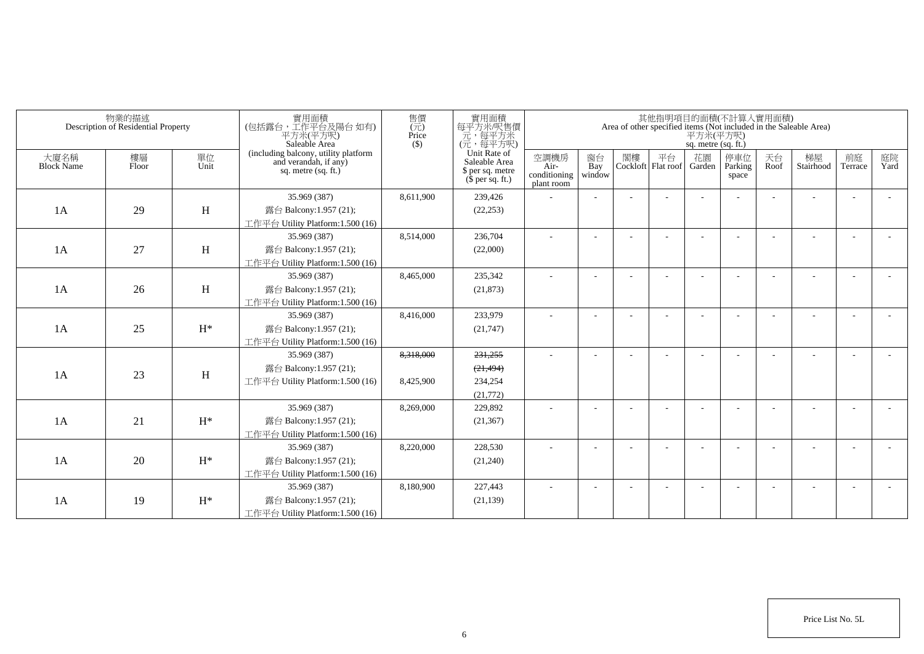|                           | 物業的描述<br>Description of Residential Property |                | 實用面積<br>(包括露台,工作平台及陽台如有)<br>平方米(平方呎)<br>Saleable Area                                | 售價<br>$\overline{(\overline{\pi})}$<br>Price<br>$($ \$) | 實用面積<br>每平方米/呎售價<br>一元<br>(元, 每平方米)<br>(元, 每平方呎)                      |                                            |                          |    |                          | 平方米(平方呎)<br>sq. metre (sq. ft.) | 其他指明項目的面積(不計算入實用面積)     |            | Area of other specified items (Not included in the Saleable Area) |                          |            |
|---------------------------|----------------------------------------------|----------------|--------------------------------------------------------------------------------------|---------------------------------------------------------|-----------------------------------------------------------------------|--------------------------------------------|--------------------------|----|--------------------------|---------------------------------|-------------------------|------------|-------------------------------------------------------------------|--------------------------|------------|
| 大廈名稱<br><b>Block Name</b> | 樓層<br>Floor                                  | 單位<br>Unit     | (including balcony, utility platform<br>and verandah, if any)<br>sq. metre (sq. ft.) |                                                         | Unit Rate of<br>Saleable Area<br>\$ per sq. metre<br>$$$ per sq. ft.) | 空調機房<br>Air-<br>conditioning<br>plant room | 窗台<br>Bay<br>window      | 閣樓 | 平台<br>Cockloft Flat roof | 花園<br>Garden                    | 停車位<br>Parking<br>space | 天台<br>Roof | 梯屋<br>Stairhood                                                   | 前庭<br>Terrace            | 庭院<br>Yard |
|                           |                                              |                | 35.969 (387)                                                                         | 8,611,900                                               | 239,426                                                               |                                            |                          |    |                          |                                 |                         |            |                                                                   |                          |            |
| 1A                        | 29                                           | H              | 露台 Balcony:1.957 (21);                                                               |                                                         | (22, 253)                                                             |                                            |                          |    |                          |                                 |                         |            |                                                                   |                          |            |
|                           |                                              |                | 工作平台 Utility Platform:1.500 (16)                                                     |                                                         |                                                                       |                                            |                          |    |                          |                                 |                         |            |                                                                   |                          |            |
|                           |                                              |                | 35.969 (387)                                                                         | 8,514,000                                               | 236,704                                                               |                                            |                          |    |                          |                                 |                         |            |                                                                   | $\overline{a}$           |            |
| 1A                        | 27                                           | H              | 露台 Balcony:1.957 (21);                                                               |                                                         | (22,000)                                                              |                                            |                          |    |                          |                                 |                         |            |                                                                   |                          |            |
|                           |                                              |                | 工作平台 Utility Platform:1.500 (16)                                                     |                                                         |                                                                       |                                            |                          |    |                          |                                 |                         |            |                                                                   |                          |            |
|                           |                                              |                | 35.969 (387)                                                                         | 8,465,000                                               | 235,342                                                               | ÷,                                         |                          |    |                          |                                 |                         |            |                                                                   |                          |            |
| 1A                        | 26                                           | H              | 露台 Balcony:1.957 (21);                                                               |                                                         | (21, 873)                                                             |                                            |                          |    |                          |                                 |                         |            |                                                                   |                          |            |
|                           |                                              |                | 工作平台 Utility Platform:1.500 (16)                                                     |                                                         |                                                                       |                                            |                          |    |                          |                                 |                         |            |                                                                   |                          |            |
|                           |                                              |                | 35.969 (387)                                                                         | 8,416,000                                               | 233,979                                                               |                                            | $\overline{\phantom{a}}$ |    |                          |                                 |                         |            |                                                                   |                          |            |
| 1A                        | 25                                           | $H^*$          | 露台 Balcony:1.957 (21);                                                               |                                                         | (21,747)                                                              |                                            |                          |    |                          |                                 |                         |            |                                                                   |                          |            |
|                           |                                              |                | 工作平台 Utility Platform:1.500 (16)                                                     |                                                         |                                                                       |                                            |                          |    |                          |                                 |                         |            |                                                                   |                          |            |
|                           |                                              |                | 35.969 (387)                                                                         | 8,318,000                                               | 231,255                                                               |                                            |                          |    |                          |                                 |                         |            |                                                                   |                          |            |
|                           |                                              |                | 露台 Balcony:1.957 (21);                                                               |                                                         | (21, 494)                                                             |                                            |                          |    |                          |                                 |                         |            |                                                                   |                          |            |
| 1A                        | 23                                           | H              | 工作平台 Utility Platform:1.500 (16)                                                     | 8,425,900                                               | 234,254                                                               |                                            |                          |    |                          |                                 |                         |            |                                                                   |                          |            |
|                           |                                              |                |                                                                                      |                                                         | (21,772)                                                              |                                            |                          |    |                          |                                 |                         |            |                                                                   |                          |            |
|                           |                                              |                | 35.969 (387)                                                                         | 8,269,000                                               | 229,892                                                               |                                            |                          |    |                          |                                 |                         |            |                                                                   | $\overline{\phantom{a}}$ |            |
| 1A                        | 21                                           | $H^*$          | 露台 Balcony:1.957 (21);                                                               |                                                         | (21, 367)                                                             |                                            |                          |    |                          |                                 |                         |            |                                                                   |                          |            |
|                           |                                              |                | 工作平台 Utility Platform: 1.500 (16)                                                    |                                                         |                                                                       |                                            |                          |    |                          |                                 |                         |            |                                                                   |                          |            |
|                           |                                              |                | 35.969 (387)                                                                         | 8,220,000                                               | 228,530                                                               |                                            |                          |    |                          |                                 |                         |            |                                                                   |                          |            |
| 1A                        | 20                                           | $\mathrm{H}^*$ | 露台 Balcony:1.957 (21);                                                               |                                                         | (21,240)                                                              |                                            |                          |    |                          |                                 |                         |            |                                                                   |                          |            |
|                           |                                              |                | 工作平台 Utility Platform:1.500 (16)                                                     |                                                         |                                                                       |                                            |                          |    |                          |                                 |                         |            |                                                                   |                          |            |
|                           |                                              |                | 35.969 (387)                                                                         | 8,180,900                                               | 227,443                                                               |                                            |                          |    |                          |                                 |                         |            |                                                                   |                          |            |
| 1A                        | 19                                           | $H^*$          | 露台 Balcony:1.957 (21);                                                               |                                                         | (21, 139)                                                             |                                            |                          |    |                          |                                 |                         |            |                                                                   |                          |            |
|                           |                                              |                | 工作平台 Utility Platform:1.500 (16)                                                     |                                                         |                                                                       |                                            |                          |    |                          |                                 |                         |            |                                                                   |                          |            |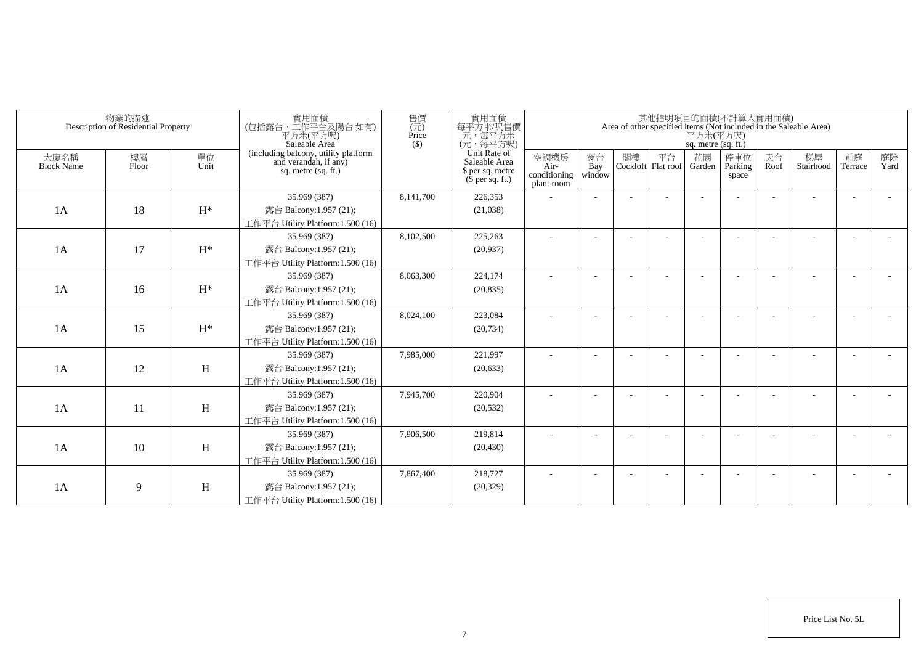|                           | 物業的描述<br>Description of Residential Property |            | 實用面積<br>(包括露台,工作平台及陽台 如有)<br>平方米(平方呎)<br>Saleable Area                                 | 售價<br>$(\vec{\pi})$<br>Price<br>$($ \$) | 實用面積<br>每平方米/呎售價<br>一元,每平方米<br>(元,每平方呎)                               |                                            |                          |    |                          | 平方米(平方呎)<br>sq. metre (sq. ft.) | 其他指明項目的面積(不計算入實用面積)     |            | Area of other specified items (Not included in the Saleable Area) |                          |            |
|---------------------------|----------------------------------------------|------------|----------------------------------------------------------------------------------------|-----------------------------------------|-----------------------------------------------------------------------|--------------------------------------------|--------------------------|----|--------------------------|---------------------------------|-------------------------|------------|-------------------------------------------------------------------|--------------------------|------------|
| 大廈名稱<br><b>Block Name</b> | 樓層<br>Floor                                  | 單位<br>Unit | (including balcony, utility platform<br>and verandah, if any)<br>sq. metre $(sq, ft.)$ |                                         | Unit Rate of<br>Saleable Area<br>\$ per sq. metre<br>$$$ per sq. ft.) | 空調機房<br>Air-<br>conditioning<br>plant room | 窗台<br>Bay<br>window      | 閣樓 | 平台<br>Cockloft Flat roof | 花園<br>Garden                    | 停車位<br>Parking<br>space | 天台<br>Roof | 梯屋<br>Stairhood                                                   | 前庭<br>Terrace            | 庭院<br>Yard |
|                           |                                              |            | 35.969 (387)                                                                           | 8,141,700                               | 226,353                                                               |                                            |                          |    |                          |                                 |                         |            |                                                                   |                          |            |
| 1A                        | 18                                           | $H^*$      | 露台 Balcony:1.957 (21);                                                                 |                                         | (21,038)                                                              |                                            |                          |    |                          |                                 |                         |            |                                                                   |                          |            |
|                           |                                              |            | 工作平台 Utility Platform:1.500 (16)                                                       |                                         |                                                                       |                                            |                          |    |                          |                                 |                         |            |                                                                   |                          |            |
|                           |                                              |            | 35.969 (387)                                                                           | 8,102,500                               | 225,263                                                               |                                            |                          |    |                          |                                 |                         |            |                                                                   |                          |            |
| 1A                        | 17                                           | $H^*$      | 露台 Balcony:1.957 (21);                                                                 |                                         | (20,937)                                                              |                                            |                          |    |                          |                                 |                         |            |                                                                   |                          |            |
|                           |                                              |            | 工作平台 Utility Platform:1.500 (16)                                                       |                                         |                                                                       |                                            |                          |    |                          |                                 |                         |            |                                                                   |                          |            |
|                           |                                              |            | 35.969 (387)                                                                           | 8,063,300                               | 224,174                                                               | ٠                                          | $\overline{\phantom{a}}$ |    |                          |                                 |                         |            |                                                                   | $\overline{\phantom{a}}$ |            |
| 1A                        | 16                                           | $H^*$      | 露台 Balcony:1.957 (21);                                                                 |                                         | (20, 835)                                                             |                                            |                          |    |                          |                                 |                         |            |                                                                   |                          |            |
|                           |                                              |            | 工作平台 Utility Platform:1.500 (16)                                                       |                                         |                                                                       |                                            |                          |    |                          |                                 |                         |            |                                                                   |                          |            |
|                           |                                              |            | 35.969 (387)                                                                           | 8,024,100                               | 223,084                                                               |                                            |                          |    |                          |                                 |                         |            |                                                                   |                          |            |
| 1A                        | 15                                           | $H^*$      | 露台 Balcony:1.957 (21);                                                                 |                                         | (20, 734)                                                             |                                            |                          |    |                          |                                 |                         |            |                                                                   |                          |            |
|                           |                                              |            | 工作平台 Utility Platform:1.500 (16)                                                       |                                         |                                                                       |                                            |                          |    |                          |                                 |                         |            |                                                                   |                          |            |
|                           |                                              |            | 35.969 (387)                                                                           | 7,985,000                               | 221,997                                                               |                                            |                          |    |                          |                                 |                         |            |                                                                   |                          |            |
| 1A                        | 12                                           | H          | 露台 Balcony:1.957 (21);                                                                 |                                         | (20, 633)                                                             |                                            |                          |    |                          |                                 |                         |            |                                                                   |                          |            |
|                           |                                              |            | 工作平台 Utility Platform:1.500 (16)                                                       |                                         |                                                                       |                                            |                          |    |                          |                                 |                         |            |                                                                   |                          |            |
|                           |                                              |            | 35.969 (387)                                                                           | 7,945,700                               | 220,904                                                               |                                            |                          |    |                          |                                 |                         |            |                                                                   |                          |            |
| 1A                        | 11                                           | H          | 露台 Balcony:1.957 (21);                                                                 |                                         | (20, 532)                                                             |                                            |                          |    |                          |                                 |                         |            |                                                                   |                          |            |
|                           |                                              |            | 工作平台 Utility Platform: 1.500 (16)                                                      |                                         |                                                                       |                                            |                          |    |                          |                                 |                         |            |                                                                   |                          |            |
|                           |                                              |            | 35.969 (387)                                                                           | 7,906,500                               | 219,814                                                               |                                            |                          |    |                          |                                 |                         |            |                                                                   | $\overline{\phantom{a}}$ |            |
| 1A                        | 10                                           | H          | 露台 Balcony:1.957 (21);                                                                 |                                         | (20, 430)                                                             |                                            |                          |    |                          |                                 |                         |            |                                                                   |                          |            |
|                           |                                              |            | 工作平台 Utility Platform: 1.500 (16)                                                      |                                         |                                                                       |                                            |                          |    |                          |                                 |                         |            |                                                                   |                          |            |
|                           |                                              |            | 35.969 (387)                                                                           | 7,867,400                               | 218,727                                                               |                                            |                          |    |                          |                                 |                         |            |                                                                   | ÷                        |            |
| 1A                        | 9                                            | H          | 露台 Balcony:1.957 (21);                                                                 |                                         | (20, 329)                                                             |                                            |                          |    |                          |                                 |                         |            |                                                                   |                          |            |
|                           |                                              |            | 工作平台 Utility Platform:1.500 (16)                                                       |                                         |                                                                       |                                            |                          |    |                          |                                 |                         |            |                                                                   |                          |            |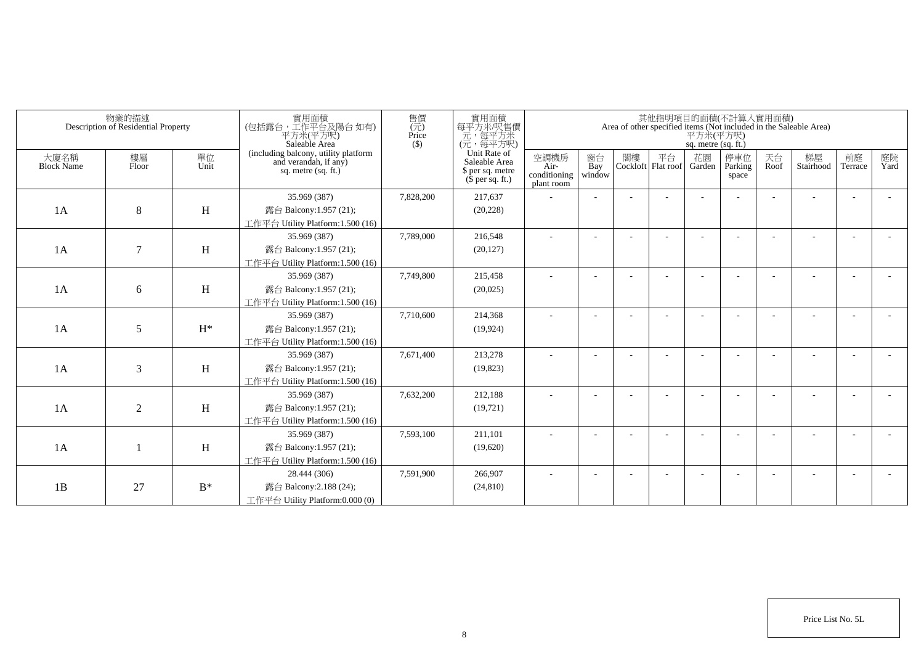|                           | 物業的描述<br>Description of Residential Property |                | 實用面積<br>(包括露台,工作平台及陽台 如有)<br>平方米(平方呎)<br>Saleable Area                                 | 售價<br>$\overline{(\overline{\tau}\overline{\tau})}$<br>Price<br>$($ \$) | 實用面積<br>每平方米/呎售價<br>元,每平方米<br>(元,每平方呎)                                        |                                            |                          |    |                                 | 平方米(平方呎)<br>sq. metre (sq. ft.) | 其他指明項目的面積(不計算入實用面積)      |            | Area of other specified items (Not included in the Saleable Area) |                          |            |
|---------------------------|----------------------------------------------|----------------|----------------------------------------------------------------------------------------|-------------------------------------------------------------------------|-------------------------------------------------------------------------------|--------------------------------------------|--------------------------|----|---------------------------------|---------------------------------|--------------------------|------------|-------------------------------------------------------------------|--------------------------|------------|
| 大廈名稱<br><b>Block Name</b> | 樓層<br>Floor                                  | 單位<br>Unit     | (including balcony, utility platform<br>and verandah, if any)<br>sq. metre $(sq, ft.)$ |                                                                         | Unit Rate of<br>Saleable Area<br>\$ per sq. metre<br>$(\bar{\S}$ per sq. ft.) | 空調機房<br>Air-<br>conditioning<br>plant room | 窗台<br>Bay<br>window      | 閣樓 | 平台<br>Cockloft Flat roof Garden | 花園                              | 停車位<br>Parking<br>space  | 天台<br>Roof | 梯屋<br>Stairhood                                                   | 前庭<br>Terrace            | 庭院<br>Yard |
|                           |                                              |                | 35.969 (387)                                                                           | 7,828,200                                                               | 217,637                                                                       |                                            |                          |    |                                 |                                 |                          |            |                                                                   | ÷                        |            |
| 1A                        | 8                                            | H              | 露台 Balcony:1.957 (21);                                                                 |                                                                         | (20, 228)                                                                     |                                            |                          |    |                                 |                                 |                          |            |                                                                   |                          |            |
|                           |                                              |                | 工作平台 Utility Platform: 1.500 (16)                                                      |                                                                         |                                                                               |                                            |                          |    |                                 |                                 |                          |            |                                                                   |                          |            |
|                           |                                              |                | 35.969 (387)                                                                           | 7,789,000                                                               | 216,548                                                                       | ٠                                          | $\overline{\phantom{a}}$ |    |                                 |                                 | $\overline{\phantom{a}}$ |            |                                                                   | $\overline{\phantom{a}}$ |            |
| 1A                        | $\tau$                                       | H              | 露台 Balcony:1.957 (21);                                                                 |                                                                         | (20, 127)                                                                     |                                            |                          |    |                                 |                                 |                          |            |                                                                   |                          |            |
|                           |                                              |                | 工作平台 Utility Platform: 1.500 (16)                                                      |                                                                         |                                                                               |                                            |                          |    |                                 |                                 |                          |            |                                                                   |                          |            |
|                           |                                              |                | 35.969 (387)                                                                           | 7,749,800                                                               | 215,458                                                                       | ٠                                          |                          |    |                                 |                                 |                          |            |                                                                   |                          |            |
| 1A                        | 6                                            | H              | 露台 Balcony:1.957 (21);                                                                 |                                                                         | (20,025)                                                                      |                                            |                          |    |                                 |                                 |                          |            |                                                                   |                          |            |
|                           |                                              |                | 工作平台 Utility Platform: 1.500 (16)                                                      |                                                                         |                                                                               |                                            |                          |    |                                 |                                 |                          |            |                                                                   |                          |            |
|                           |                                              |                | 35.969 (387)                                                                           | 7,710,600                                                               | 214,368                                                                       |                                            |                          |    |                                 |                                 |                          |            |                                                                   |                          |            |
| 1A                        | 5                                            | $H^*$          | 露台 Balcony:1.957 (21);                                                                 |                                                                         | (19, 924)                                                                     |                                            |                          |    |                                 |                                 |                          |            |                                                                   |                          |            |
|                           |                                              |                | 工作平台 Utility Platform:1.500 (16)                                                       |                                                                         |                                                                               |                                            |                          |    |                                 |                                 |                          |            |                                                                   |                          |            |
|                           |                                              |                | 35.969 (387)                                                                           | 7,671,400                                                               | 213,278                                                                       | ÷                                          |                          |    |                                 |                                 |                          |            |                                                                   | $\overline{\phantom{a}}$ |            |
| 1A                        | 3                                            | H              | 露台 Balcony:1.957 (21);                                                                 |                                                                         | (19,823)                                                                      |                                            |                          |    |                                 |                                 |                          |            |                                                                   |                          |            |
|                           |                                              |                | 工作平台 Utility Platform:1.500 (16)                                                       |                                                                         |                                                                               |                                            |                          |    |                                 |                                 |                          |            |                                                                   |                          |            |
|                           |                                              |                | 35.969 (387)                                                                           | 7,632,200                                                               | 212,188                                                                       |                                            |                          |    |                                 |                                 |                          |            |                                                                   |                          |            |
| 1A                        | 2                                            | H              | 露台 Balcony:1.957 (21);                                                                 |                                                                         | (19, 721)                                                                     |                                            |                          |    |                                 |                                 |                          |            |                                                                   |                          |            |
|                           |                                              |                | 工作平台 Utility Platform:1.500 (16)                                                       |                                                                         |                                                                               |                                            |                          |    |                                 |                                 |                          |            |                                                                   |                          |            |
|                           |                                              |                | 35.969 (387)                                                                           | 7,593,100                                                               | 211,101                                                                       |                                            |                          |    |                                 |                                 |                          |            |                                                                   |                          |            |
| 1A                        |                                              | H              | 露台 Balcony:1.957 (21);                                                                 |                                                                         | (19,620)                                                                      |                                            |                          |    |                                 |                                 |                          |            |                                                                   |                          |            |
|                           |                                              |                | 工作平台 Utility Platform: 1.500 (16)                                                      |                                                                         |                                                                               |                                            |                          |    |                                 |                                 |                          |            |                                                                   |                          |            |
|                           |                                              |                | 28.444 (306)                                                                           | 7,591,900                                                               | 266,907                                                                       |                                            |                          |    |                                 |                                 |                          |            |                                                                   |                          |            |
| 1B                        | 27                                           | $\mathbf{B}^*$ | 露台 Balcony: 2.188 (24);                                                                |                                                                         | (24, 810)                                                                     |                                            |                          |    |                                 |                                 |                          |            |                                                                   |                          |            |
|                           |                                              |                | 工作平台 Utility Platform:0.000 (0)                                                        |                                                                         |                                                                               |                                            |                          |    |                                 |                                 |                          |            |                                                                   |                          |            |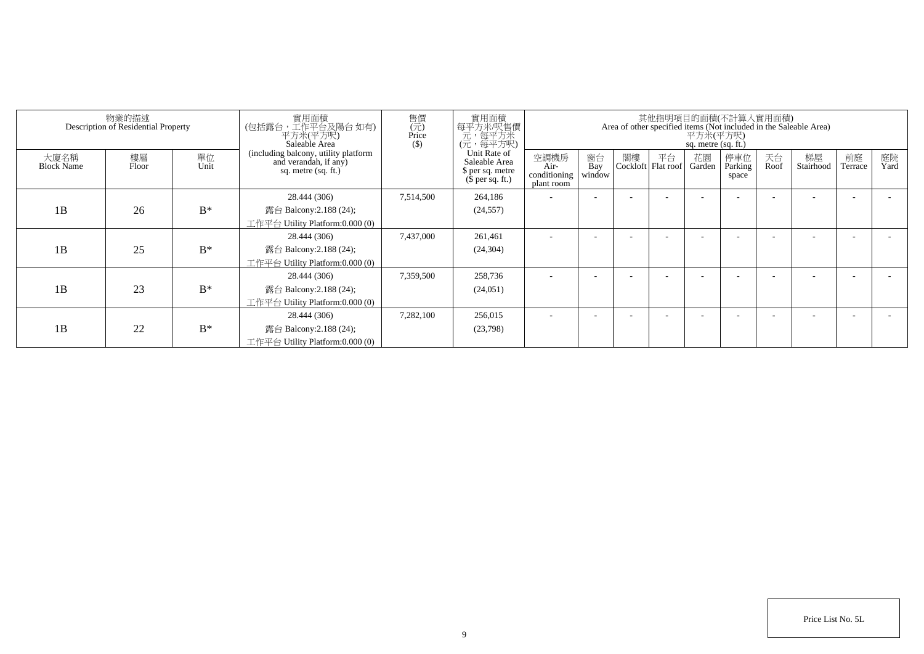|                           | 物業的描述<br>Description of Residential Property |            | 實用面積<br>(包括露台,工作平台及陽台 如有)<br>平方米(平方呎)<br>Saleable Area                               | 售價<br>$\overline{(\overline{\pi})}$<br>Price<br>$($)$ | 實用面積<br>每平方米/呎售價<br>元,每平方米<br>(元,每平方呎)                                |                                            |                     |                            |    | 平方米(平方呎)<br>sq. metre (sq. ft.) | 其他指明項目的面積(不計算入實用面積)     |            | Area of other specified items (Not included in the Saleable Area) |               |            |
|---------------------------|----------------------------------------------|------------|--------------------------------------------------------------------------------------|-------------------------------------------------------|-----------------------------------------------------------------------|--------------------------------------------|---------------------|----------------------------|----|---------------------------------|-------------------------|------------|-------------------------------------------------------------------|---------------|------------|
| 大廈名稱<br><b>Block Name</b> | 樓層<br>Floor                                  | 單位<br>Unit | (including balcony, utility platform<br>and verandah, if any)<br>sq. metre (sq. ft.) |                                                       | Unit Rate of<br>Saleable Area<br>\$ per sq. metre<br>$$$ per sq. ft.) | 空調機房<br>Air-<br>conditioning<br>plant room | 窗台<br>Bay<br>window | 閣樓<br>Cockloft   Flat roof | 平台 | 花園<br>Garden                    | 停車位<br>Parking<br>space | 天台<br>Roof | 梯屋<br>Stairhood                                                   | 前庭<br>Terrace | 庭院<br>Yard |
| 1B                        | 26                                           | $B^*$      | 28.444 (306)<br>露台 Balcony: $2.188(24)$ ;                                            | 7,514,500                                             | 264,186<br>(24, 557)                                                  |                                            |                     |                            |    |                                 |                         |            |                                                                   |               |            |
|                           |                                              |            | 工作平台 Utility Platform:0.000 (0)                                                      |                                                       |                                                                       |                                            |                     |                            |    |                                 |                         |            |                                                                   |               |            |
|                           |                                              |            | 28.444 (306)                                                                         | 7,437,000                                             | 261,461                                                               |                                            |                     |                            |    |                                 |                         |            |                                                                   |               |            |
| 1B                        | 25                                           | $B^*$      | 露台 Balcony:2.188 (24);                                                               |                                                       | (24, 304)                                                             |                                            |                     |                            |    |                                 |                         |            |                                                                   |               |            |
|                           |                                              |            | 工作平台 Utility Platform:0.000 (0)                                                      |                                                       |                                                                       |                                            |                     |                            |    |                                 |                         |            |                                                                   |               |            |
|                           |                                              |            | 28.444 (306)                                                                         | 7,359,500                                             | 258,736                                                               | $\sim$                                     |                     |                            |    |                                 |                         |            |                                                                   |               |            |
| 1B                        | 23                                           | $B^*$      | 露台 Balcony: $2.188(24)$ ;                                                            |                                                       | (24, 051)                                                             |                                            |                     |                            |    |                                 |                         |            |                                                                   |               |            |
|                           |                                              |            | 工作平台 Utility Platform:0.000 (0)                                                      |                                                       |                                                                       |                                            |                     |                            |    |                                 |                         |            |                                                                   |               |            |
|                           |                                              |            | 28.444 (306)                                                                         | 7,282,100                                             | 256,015                                                               |                                            |                     |                            |    |                                 |                         |            |                                                                   |               |            |
| 1B                        | 22                                           | $B^*$      | 露台 Balcony: $2.188(24)$ ;                                                            |                                                       | (23,798)                                                              |                                            |                     |                            |    |                                 |                         |            |                                                                   |               |            |
|                           |                                              |            | 工作平台 Utility Platform:0.000 (0)                                                      |                                                       |                                                                       |                                            |                     |                            |    |                                 |                         |            |                                                                   |               |            |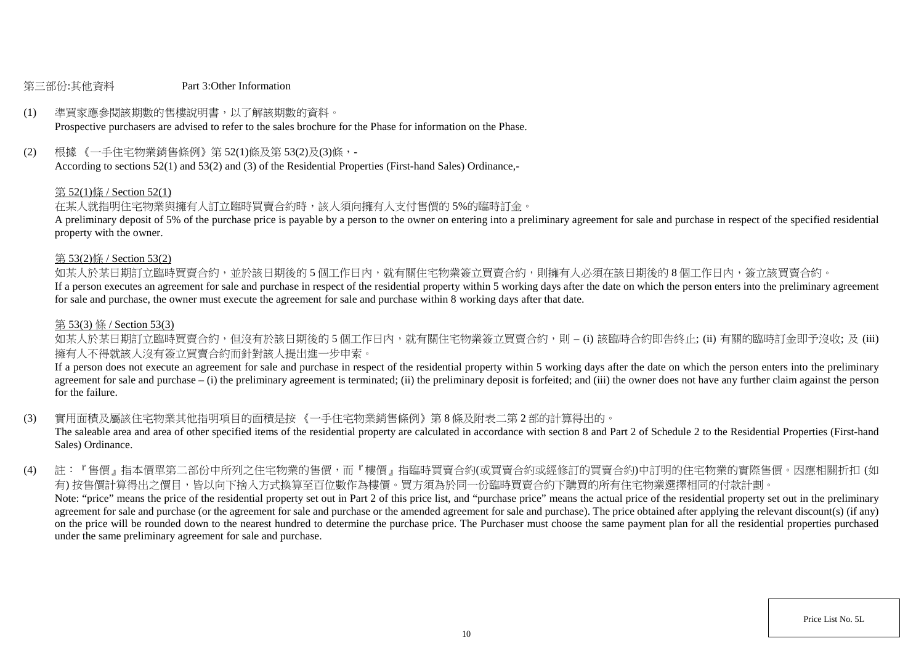#### 第三部份:其他資料 Part 3:Other Information

# (1) 準買家應參閱該期數的售樓說明書,以了解該期數的資料。

Prospective purchasers are advised to refer to the sales brochure for the Phase for information on the Phase.

(2) 根據 《一手住宅物業銷售條例》第 52(1)條及第 53(2)及(3)條,-

According to sections 52(1) and 53(2) and (3) of the Residential Properties (First-hand Sales) Ordinance,-

#### 第 52(1)條 / Section 52(1)

在某人就指明住宅物業與擁有人訂立臨時買賣合約時,該人須向擁有人支付售價的 5%的臨時訂金。

A preliminary deposit of 5% of the purchase price is payable by a person to the owner on entering into a preliminary agreement for sale and purchase in respect of the specified residential property with the owner.

#### 第 53(2)條 / Section 53(2)

如某人於某日期訂立臨時買賣合約,並於該日期後的 5 個工作日内,就有關住宅物業簽立買賣合約,則擁有人必須在該日期後的 8 個工作日内,簽立該買賣合約。

If a person executes an agreement for sale and purchase in respect of the residential property within 5 working days after the date on which the person enters into the preliminary agreement for sale and purchase, the owner must execute the agreement for sale and purchase within 8 working days after that date.

#### 第 53(3) 條 / Section 53(3)

如某人於某日期訂立臨時買賣合約,但沒有於該日期後的 5 個工作日内,就有關住宅物業簽立買賣合約,則 – (i) 該臨時合約即告終止; (ii) 有關的臨時訂金即予沒收; 及 (iii) 擁有人不得就該人沒有簽立買賣合約而針對該人提出進一步申索。

If a person does not execute an agreement for sale and purchase in respect of the residential property within 5 working days after the date on which the person enters into the preliminary agreement for sale and purchase – (i) the preliminary agreement is terminated; (ii) the preliminary deposit is forfeited; and (iii) the owner does not have any further claim against the person for the failure.

(3) 實用面積及屬該住宅物業其他指明項目的面積是按 《一手住宅物業銷售條例》第 8 條及附表二第 2 部的計算得出的。

The saleable area and area of other specified items of the residential property are calculated in accordance with section 8 and Part 2 of Schedule 2 to the Residential Properties (First-hand Sales) Ordinance.

(4) 註:『售價』指本價單第二部份中所列之住宅物業的售價,而『樓價』指臨時買賣合約(或買賣合約或經修訂的買賣合約)中訂明的住宅物業的實際售價。因應相關折扣 (如 有) 按售價計算得出之價目,皆以向下捨入方式換算至百位數作為樓價。買方須為於同一份臨時買賣合約下購買的所有住宅物業選擇相同的付款計劃。 Note: "price" means the price of the residential property set out in Part 2 of this price list, and "purchase price" means the actual price of the residential property set out in the preliminary agreement for sale and purchase (or the agreement for sale and purchase or the amended agreement for sale and purchase). The price obtained after applying the relevant discount(s) (if any) on the price will be rounded down to the nearest hundred to determine the purchase price. The Purchaser must choose the same payment plan for all the residential properties purchased under the same preliminary agreement for sale and purchase.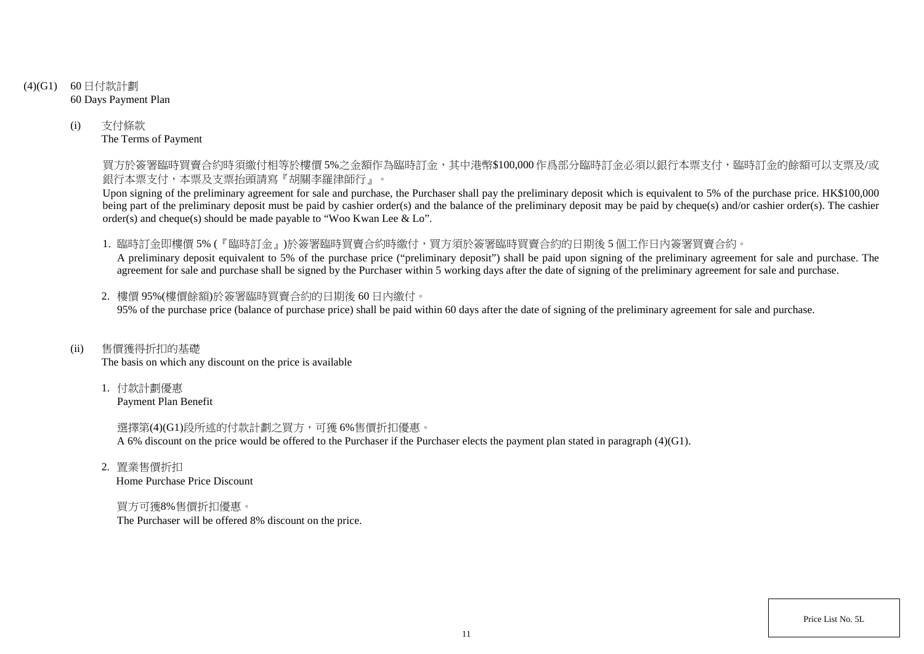- (4)(G1) 60 日付款計劃 60 Days Payment Plan
	- (i) 支付條款 The Terms of Payment

買方於簽署臨時買賣合約時須繳付相等於樓價 5%之金額作為臨時訂金,其中港幣\$100,000 作爲部分臨時訂金必須以銀行本票支付,臨時訂金的餘額可以支票及/或 銀行本票支付,本票及支票抬頭請寫『胡關李羅律師行』。

Upon signing of the preliminary agreement for sale and purchase, the Purchaser shall pay the preliminary deposit which is equivalent to 5% of the purchase price. HK\$100,000 being part of the preliminary deposit must be paid by cashier order(s) and the balance of the preliminary deposit may be paid by cheque(s) and/or cashier order(s). The cashier order(s) and cheque(s) should be made payable to "Woo Kwan Lee & Lo".

1. 臨時訂金即樓價 5% (『臨時訂金』)於簽署臨時買賣合約時繳付,買方須於簽署臨時買賣合約的日期後 5 個工作日內簽署買賣合約。

A preliminary deposit equivalent to 5% of the purchase price ("preliminary deposit") shall be paid upon signing of the preliminary agreement for sale and purchase. The agreement for sale and purchase shall be signed by the Purchaser within 5 working days after the date of signing of the preliminary agreement for sale and purchase.

2. 樓價 95%(樓價餘額)於簽署臨時買賣合約的日期後 60 日內繳付。 95% of the purchase price (balance of purchase price) shall be paid within 60 days after the date of signing of the preliminary agreement for sale and purchase.

(ii) 售價獲得折扣的基礎

The basis on which any discount on the price is available

1. 付款計劃優惠 Payment Plan Benefit

> 選擇第(4)(G1)段所述的付款計劃之買方,可獲 6%售價折扣優惠。 A 6% discount on the price would be offered to the Purchaser if the Purchaser elects the payment plan stated in paragraph (4)(G1).

2. 置業售價折扣 Home Purchase Price Discount

買方可獲8%售價折扣優惠。 The Purchaser will be offered 8% discount on the price.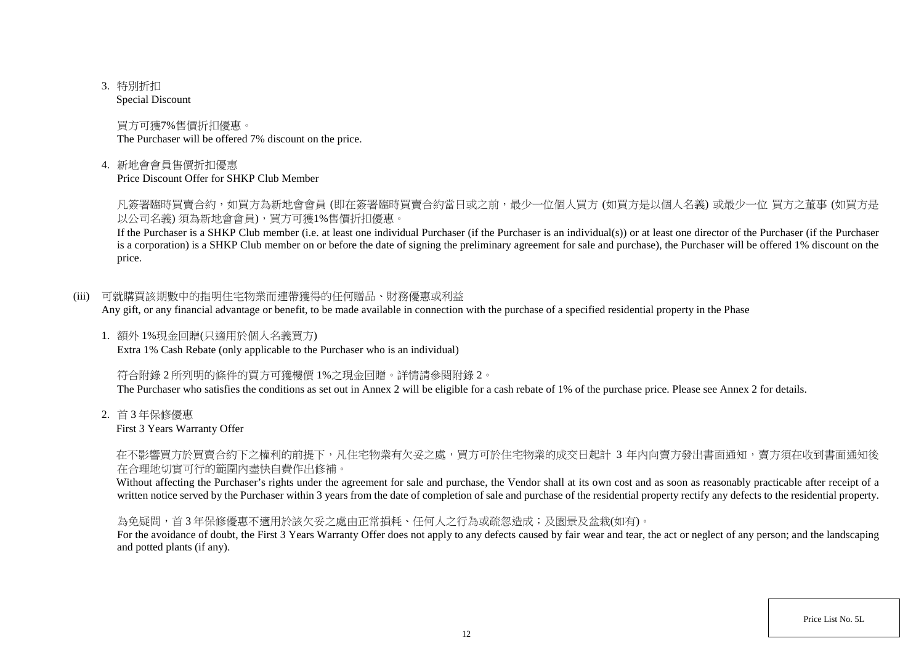3. 特別折扣

Special Discount

買方可獲7%售價折扣優惠。 The Purchaser will be offered 7% discount on the price.

4. 新地會會員售價折扣優惠

Price Discount Offer for SHKP Club Member

凡簽署臨時買賣合約,如買方為新地會會員 (即在簽署臨時買賣合約當日或之前,最少一位個人買方 (如買方是以個人名義) 或最少一位 買方之董事 (如買方是 以公司名義) 須為新地會會員),買方可獲1%售價折扣優惠。

If the Purchaser is a SHKP Club member (i.e. at least one individual Purchaser (if the Purchaser is an individual(s)) or at least one director of the Purchaser (if the Purchaser is a corporation) is a SHKP Club member on or before the date of signing the preliminary agreement for sale and purchase), the Purchaser will be offered 1% discount on the price.

(iii) 可就購買該期數中的指明住宅物業而連帶獲得的任何贈品、財務優惠或利益

Any gift, or any financial advantage or benefit, to be made available in connection with the purchase of a specified residential property in the Phase

1. 額外 1%現金回贈(只適用於個人名義買方) Extra 1% Cash Rebate (only applicable to the Purchaser who is an individual)

符合附錄 2 所列明的條件的買方可獲樓價 1%之現金回贈。詳情請參閱附錄 2。

The Purchaser who satisfies the conditions as set out in Annex 2 will be eligible for a cash rebate of 1% of the purchase price. Please see Annex 2 for details.

2. 首 3 年保修優惠

First 3 Years Warranty Offer

在不影響買方於買賣合約下之權利的前提下,凡住宅物業有欠妥之處,買方可於住宅物業的成交日起計 3 年內向賣方發出書面通知,賣方須在收到書面通知後 在合理地切實可行的範圍內盡快自費作出修補。

Without affecting the Purchaser's rights under the agreement for sale and purchase, the Vendor shall at its own cost and as soon as reasonably practicable after receipt of a written notice served by the Purchaser within 3 years from the date of completion of sale and purchase of the residential property rectify any defects to the residential property.

為免疑問,首 3 年保修優惠不適用於該欠妥之處由正常損耗、任何人之行為或疏忽造成;及園景及盆栽(如有)。

For the avoidance of doubt, the First 3 Years Warranty Offer does not apply to any defects caused by fair wear and tear, the act or neglect of any person; and the landscaping and potted plants (if any).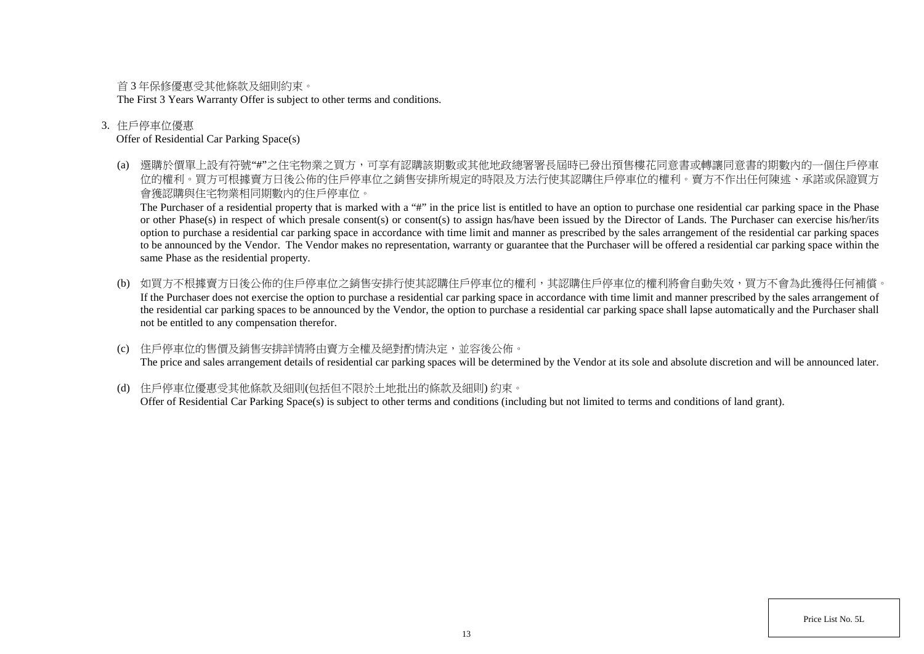首 3 年保修優惠受其他條款及細則約束。

The First 3 Years Warranty Offer is subject to other terms and conditions.

### 3. 住戶停車位優惠

### Offer of Residential Car Parking Space(s)

(a) 選購於價單上設有符號"#"之住宅物業之買方,可享有認購該期數或其他地政總署署長屆時已發出預售樓花同意書或轉讓同意書的期數內的一個住戶停車 位的權利。買方可根據賣方日後公佈的住戶停車位之銷售安排所規定的時限及方法行使其認購住戶停車位的權利。賣方不作出任何陳述、承諾或保證買方 會獲認購與住宅物業相同期數內的住戶停車位。

The Purchaser of a residential property that is marked with a "#" in the price list is entitled to have an option to purchase one residential car parking space in the Phase or other Phase(s) in respect of which presale consent(s) or consent(s) to assign has/have been issued by the Director of Lands. The Purchaser can exercise his/her/its option to purchase a residential car parking space in accordance with time limit and manner as prescribed by the sales arrangement of the residential car parking spaces to be announced by the Vendor. The Vendor makes no representation, warranty or guarantee that the Purchaser will be offered a residential car parking space within the same Phase as the residential property.

- (b) 如買方不根據賣方日後公佈的住戶停車位之銷售安排行使其認購住戶停車位的權利,其認購住戶停車位的權利將會自動失效,買方不會為此獲得任何補償。 If the Purchaser does not exercise the option to purchase a residential car parking space in accordance with time limit and manner prescribed by the sales arrangement of the residential car parking spaces to be announced by the Vendor, the option to purchase a residential car parking space shall lapse automatically and the Purchaser shall not be entitled to any compensation therefor.
- (c) 住戶停車位的售價及銷售安排詳情將由賣方全權及絕對酌情決定,並容後公佈。 The price and sales arrangement details of residential car parking spaces will be determined by the Vendor at its sole and absolute discretion and will be announced later.
- (d) 住戶停車位優惠受其他條款及細則(包括但不限於土地批出的條款及細則) 約束。 Offer of Residential Car Parking Space(s) is subject to other terms and conditions (including but not limited to terms and conditions of land grant).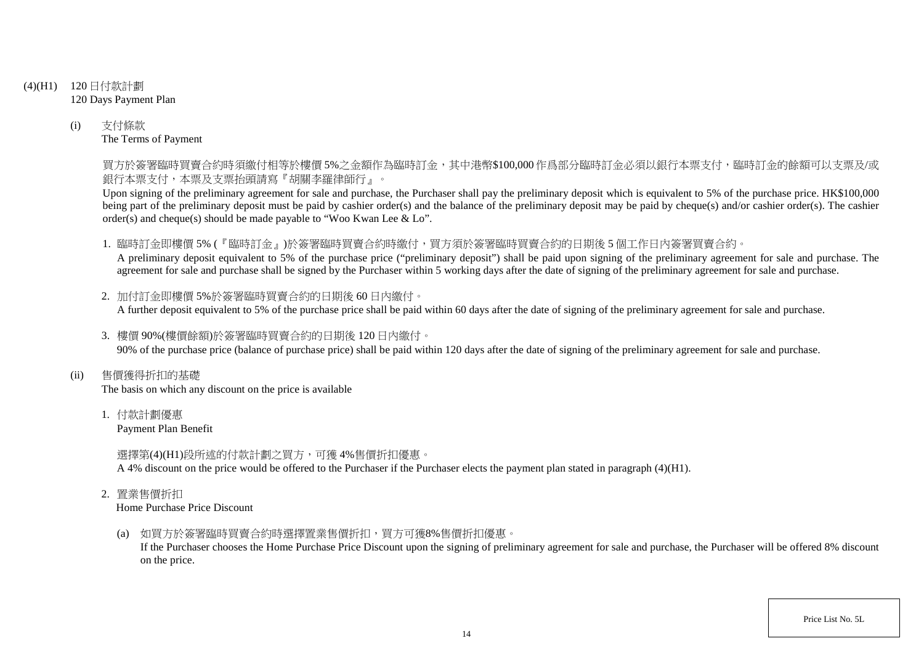- (4)(H1) 120 日付款計劃 120 Days Payment Plan
	- (i) 支付條款 The Terms of Payment

買方於簽署臨時買賣合約時須繳付相等於樓價 5%之金額作為臨時訂金,其中港幣\$100,000 作爲部分臨時訂金必須以銀行本票支付,臨時訂金的餘額可以支票及/或 銀行本票支付,本票及支票抬頭請寫『胡關李羅律師行』。

Upon signing of the preliminary agreement for sale and purchase, the Purchaser shall pay the preliminary deposit which is equivalent to 5% of the purchase price. HK\$100,000 being part of the preliminary deposit must be paid by cashier order(s) and the balance of the preliminary deposit may be paid by cheque(s) and/or cashier order(s). The cashier order(s) and cheque(s) should be made payable to "Woo Kwan Lee & Lo".

1. 臨時訂金即樓價 5% (『臨時訂金』)於簽署臨時買賣合約時繳付,買方須於簽署臨時買賣合約的日期後 5 個工作日內簽署買賣合約。

A preliminary deposit equivalent to 5% of the purchase price ("preliminary deposit") shall be paid upon signing of the preliminary agreement for sale and purchase. The agreement for sale and purchase shall be signed by the Purchaser within 5 working days after the date of signing of the preliminary agreement for sale and purchase.

- 2. 加付訂金即樓價 5%於簽署臨時買賣合約的日期後 60 日內繳付。 A further deposit equivalent to 5% of the purchase price shall be paid within 60 days after the date of signing of the preliminary agreement for sale and purchase.
- 3. 樓價 90%(樓價餘額)於簽署臨時買賣合約的日期後 120 日內繳付。 90% of the purchase price (balance of purchase price) shall be paid within 120 days after the date of signing of the preliminary agreement for sale and purchase.
- (ii) 售價獲得折扣的基礎

The basis on which any discount on the price is available

1. 付款計劃優惠

Payment Plan Benefit

選擇第(4)(H1)段所述的付款計劃之買方,可獲 4%售價折扣優惠。

A 4% discount on the price would be offered to the Purchaser if the Purchaser elects the payment plan stated in paragraph (4)(H1).

2. 置業售價折扣

Home Purchase Price Discount

(a) 如買方於簽署臨時買賣合約時選擇置業售價折扣,買方可獲8%售價折扣優惠。

If the Purchaser chooses the Home Purchase Price Discount upon the signing of preliminary agreement for sale and purchase, the Purchaser will be offered 8% discount on the price.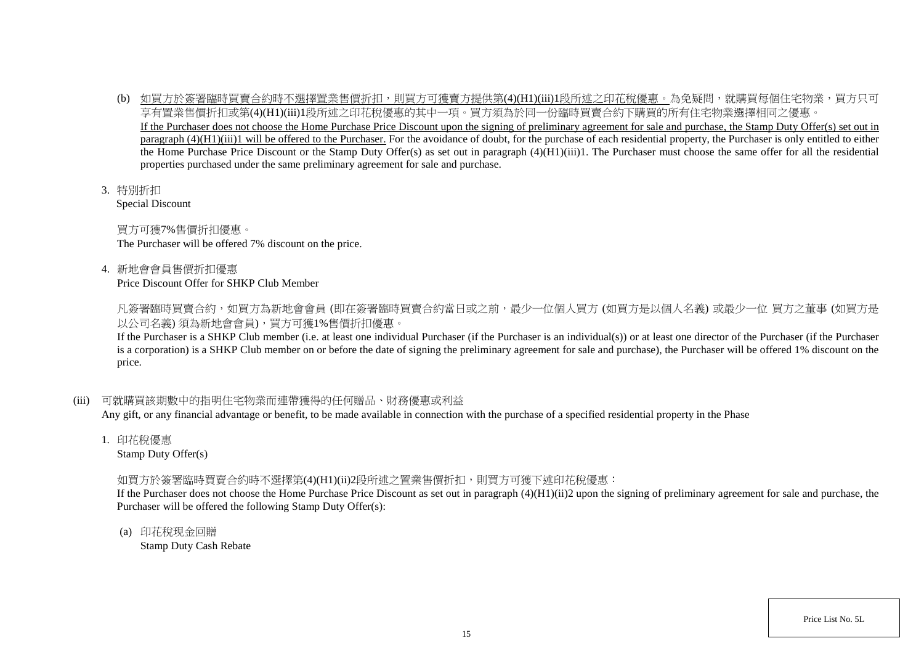- (b) 如買方於簽署臨時買賣合約時不選擇置業售價折扣,則買方可獲賣方提供第(4)(H1)(iii)1段所述之印花稅優惠。為免疑問,就購買每個住宅物業,買方只可 享有置業售價折扣或第(4)(H1)(iii)1段所述之印花稅優惠的其中一項。買方須為於同一份臨時買賣合約下購買的所有住宅物業選擇相同之優惠。 If the Purchaser does not choose the Home Purchase Price Discount upon the signing of preliminary agreement for sale and purchase, the Stamp Duty Offer(s) set out in paragraph (4)(H1)(iii)1 will be offered to the Purchaser. For the avoidance of doubt, for the purchase of each residential property, the Purchaser is only entitled to either the Home Purchase Price Discount or the Stamp Duty Offer(s) as set out in paragraph (4)(H1)(iii)1. The Purchaser must choose the same offer for all the residential properties purchased under the same preliminary agreement for sale and purchase.
- 3. 特別折扣

Special Discount

買方可獲7%售價折扣優惠。 The Purchaser will be offered 7% discount on the price.

4. 新地會會員售價折扣優惠

Price Discount Offer for SHKP Club Member

凡簽署臨時買賣合約,如買方為新地會會員 (即在簽署臨時買賣合約當日或之前,最少一位個人買方 (如買方是以個人名義) 或最少一位 買方之董事 (如買方是 以公司名義) 須為新地會會員),買方可獲1%售價折扣優惠。

If the Purchaser is a SHKP Club member (i.e. at least one individual Purchaser (if the Purchaser is an individual(s)) or at least one director of the Purchaser (if the Purchaser is a corporation) is a SHKP Club member on or before the date of signing the preliminary agreement for sale and purchase), the Purchaser will be offered 1% discount on the price.

# (iii) 可就購買該期數中的指明住宅物業而連帶獲得的任何贈品、財務優惠或利益

Any gift, or any financial advantage or benefit, to be made available in connection with the purchase of a specified residential property in the Phase

1. 印花稅優惠

Stamp Duty Offer(s)

# 如買方於簽署臨時買賣合約時不選擇第(4)(H1)(ii)2段所述之置業售價折扣,則買方可獲下述印花稅優惠:

If the Purchaser does not choose the Home Purchase Price Discount as set out in paragraph (4)(H1)(ii)2 upon the signing of preliminary agreement for sale and purchase, the Purchaser will be offered the following Stamp Duty Offer(s):

(a) 印花稅現金回贈 Stamp Duty Cash Rebate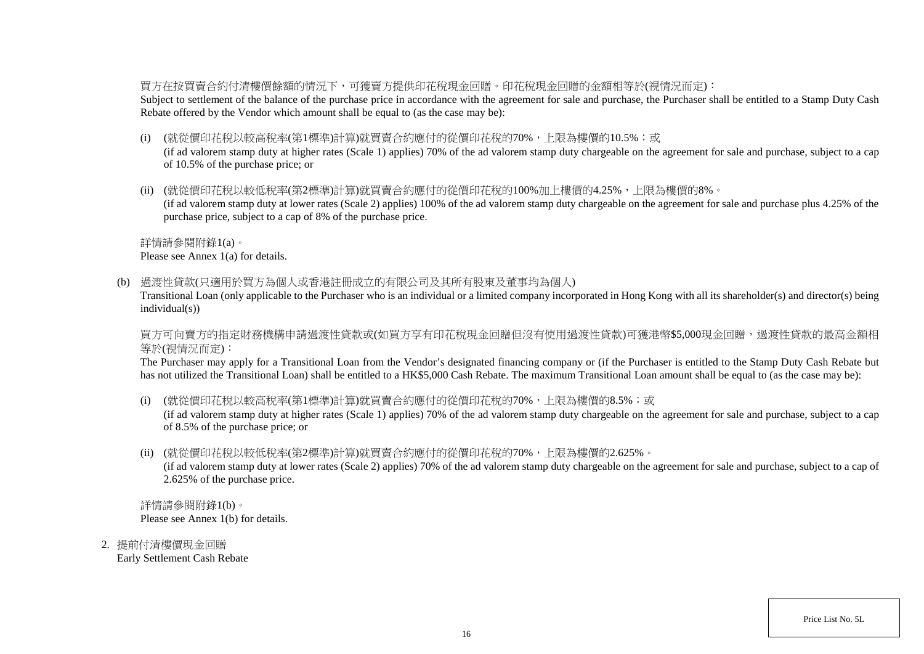### 買方在按買賣合約付清樓價餘額的情況下,可獲賣方提供印花稅現金回贈。印花稅現金回贈的金額相等於(視情況而定):

Subject to settlement of the balance of the purchase price in accordance with the agreement for sale and purchase, the Purchaser shall be entitled to a Stamp Duty Cash Rebate offered by the Vendor which amount shall be equal to (as the case may be):

(i) (就從價印花稅以較高稅率(第1標準)計算)就買賣合約應付的從價印花稅的70%,上限為樓價的10.5%;或

(if ad valorem stamp duty at higher rates (Scale 1) applies) 70% of the ad valorem stamp duty chargeable on the agreement for sale and purchase, subject to a cap of 10.5% of the purchase price; or

(ii) (就從價印花稅以較低稅率(第2標準)計算)就買賣合約應付的從價印花稅的100%加上樓價的4.25%,上限為樓價的8%。

(if ad valorem stamp duty at lower rates (Scale 2) applies) 100% of the ad valorem stamp duty chargeable on the agreement for sale and purchase plus 4.25% of the purchase price, subject to a cap of 8% of the purchase price.

詳情請參閱附錄1(a)。

Please see Annex 1(a) for details.

(b) 過渡性貸款(只適用於買方為個人或香港註冊成立的有限公司及其所有股東及董事均為個人)

Transitional Loan (only applicable to the Purchaser who is an individual or a limited company incorporated in Hong Kong with all its shareholder(s) and director(s) being individual(s))

買方可向賣方的指定財務機構申請過渡性貸款或(如買方享有印花稅現金回贈但沒有使用過渡性貸款)可獲港幣\$5,000現金回贈,過渡性貸款的最高金額相 等於(視情況而定):

The Purchaser may apply for a Transitional Loan from the Vendor's designated financing company or (if the Purchaser is entitled to the Stamp Duty Cash Rebate but has not utilized the Transitional Loan) shall be entitled to a HK\$5,000 Cash Rebate. The maximum Transitional Loan amount shall be equal to (as the case may be):

(i) (就從價印花稅以較高稅率(第1標準)計算)就買賣合約應付的從價印花稅的70%,上限為樓價的8.5%;或

(if ad valorem stamp duty at higher rates (Scale 1) applies) 70% of the ad valorem stamp duty chargeable on the agreement for sale and purchase, subject to a cap of 8.5% of the purchase price; or

(ii) (就從價印花稅以較低稅率(第2標準)計算)就買賣合約應付的從價印花稅的70%,上限為樓價的2.625%。

(if ad valorem stamp duty at lower rates (Scale 2) applies) 70% of the ad valorem stamp duty chargeable on the agreement for sale and purchase, subject to a cap of 2.625% of the purchase price.

詳情請參閱附錄1(b)。 Please see Annex 1(b) for details.

2. 提前付清樓價現金回贈 Early Settlement Cash Rebate

Price List No. 5L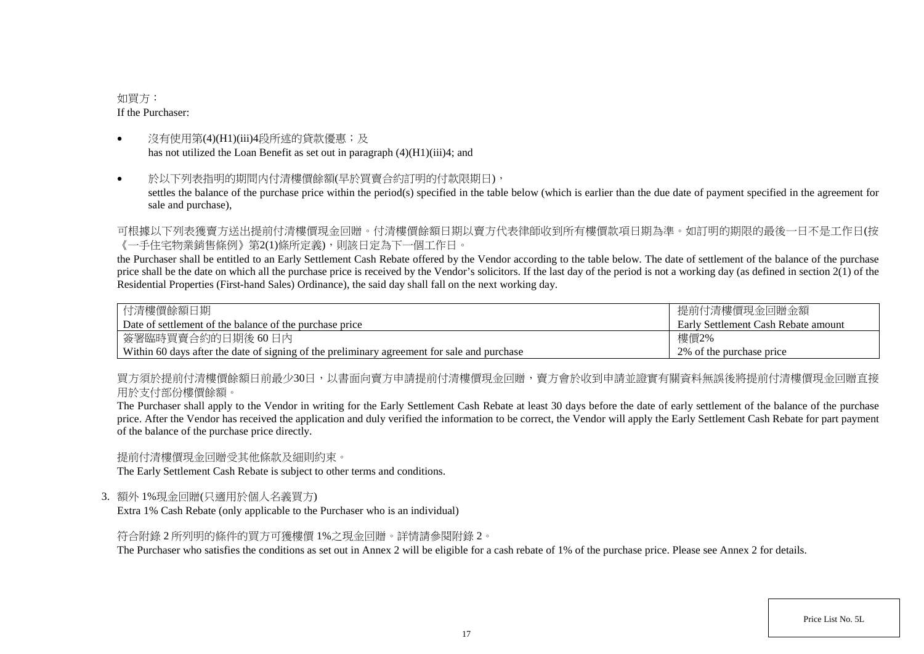### 如買方: If the Purchaser:

- 沒有使用第(4)(H1)(iii)4段所述的貸款優惠;及 has not utilized the Loan Benefit as set out in paragraph (4)(H1)(iii)4; and
- 於以下列表指明的期間内付清樓價餘額(早於買賣合約訂明的付款限期日), settles the balance of the purchase price within the period(s) specified in the table below (which is earlier than the due date of payment specified in the agreement for sale and purchase),

可根據以下列表獲賣方送出提前付清樓價現金回贈。付清樓價餘額日期以賣方代表律師收到所有樓價款項日期為準。如訂明的期限的最後一日不是工作日(按 《一手住宅物業銷售條例》第2(1)條所定義),則該日定為下一個工作日。

the Purchaser shall be entitled to an Early Settlement Cash Rebate offered by the Vendor according to the table below. The date of settlement of the balance of the purchase price shall be the date on which all the purchase price is received by the Vendor's solicitors. If the last day of the period is not a working day (as defined in section  $2(1)$  of the Residential Properties (First-hand Sales) Ordinance), the said day shall fall on the next working day.

| 付清樓價餘額日期                                                                                    | 提前付清樓價現金回贈金額                        |
|---------------------------------------------------------------------------------------------|-------------------------------------|
| Date of settlement of the balance of the purchase price                                     | Early Settlement Cash Rebate amount |
| 簽署臨時買賣合約的日期後 60日內                                                                           | 樓價2%                                |
| Within 60 days after the date of signing of the preliminary agreement for sale and purchase | 2\% of the purchase price           |

買方須於提前付清樓價餘額日前最少30日,以書面向賣方申請提前付清樓價現金回贈,賣方會於收到申請並證實有關資料無誤後將提前付清樓價現金回贈直接 用於支付部份樓價餘額。

The Purchaser shall apply to the Vendor in writing for the Early Settlement Cash Rebate at least 30 days before the date of early settlement of the balance of the purchase price. After the Vendor has received the application and duly verified the information to be correct, the Vendor will apply the Early Settlement Cash Rebate for part payment of the balance of the purchase price directly.

提前付清樓價現金回贈受其他條款及細則約束。

The Early Settlement Cash Rebate is subject to other terms and conditions.

3. 額外 1%現金回贈(只適用於個人名義買方)

Extra 1% Cash Rebate (only applicable to the Purchaser who is an individual)

符合附錄 2 所列明的條件的買方可獲樓價 1%之現金回贈。詳情請參閱附錄 2。

The Purchaser who satisfies the conditions as set out in Annex 2 will be eligible for a cash rebate of 1% of the purchase price. Please see Annex 2 for details.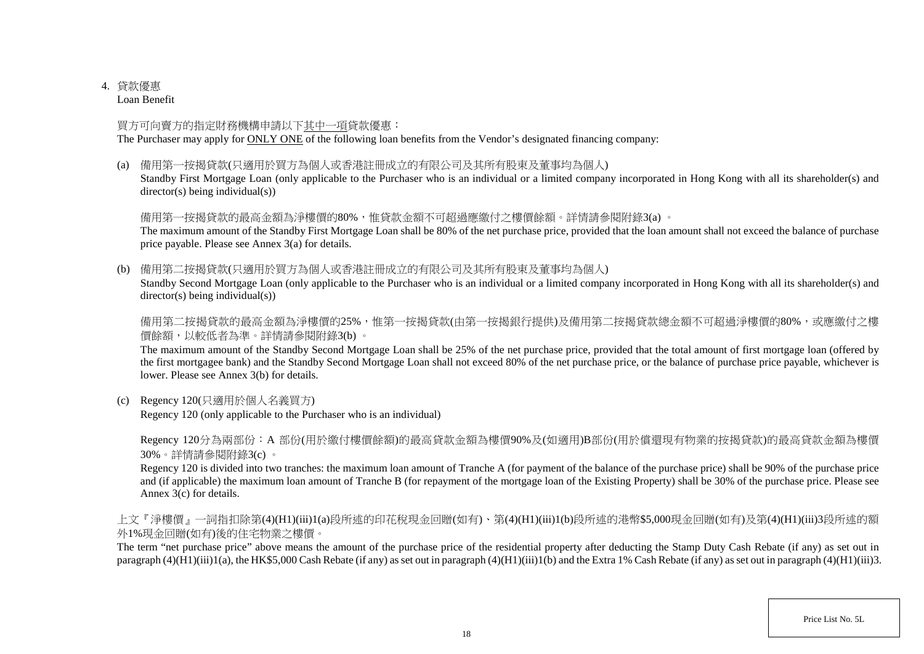# 4. 貸款優惠

Loan Benefit

# 買方可向賣方的指定財務機構申請以下其中一項貸款優惠:

The Purchaser may apply for ONLY ONE of the following loan benefits from the Vendor's designated financing company:

(a) 備用第一按揭貸款(只適用於買方為個人或香港註冊成立的有限公司及其所有股東及董事均為個人)

Standby First Mortgage Loan (only applicable to the Purchaser who is an individual or a limited company incorporated in Hong Kong with all its shareholder(s) and director(s) being individual(s))

# 備用第一按揭貸款的最高金額為淨樓價的80%,惟貸款金額不可超過應繳付之樓價餘額。詳情請參閱附錄3(a) 。

The maximum amount of the Standby First Mortgage Loan shall be 80% of the net purchase price, provided that the loan amount shall not exceed the balance of purchase price payable. Please see Annex 3(a) for details.

(b) 備用第二按揭貸款(只適用於買方為個人或香港註冊成立的有限公司及其所有股東及董事均為個人)

Standby Second Mortgage Loan (only applicable to the Purchaser who is an individual or a limited company incorporated in Hong Kong with all its shareholder(s) and director(s) being individual(s))

備用第二按揭貸款的最高金額為淨樓價的25%,惟第一按揭貸款(由第一按揭銀行提供)及備用第二按揭貸款總金額不可超過淨樓價的80%,或應繳付之樓 價餘額,以較低者為準。詳情請參閱附錄3(b) 。

The maximum amount of the Standby Second Mortgage Loan shall be 25% of the net purchase price, provided that the total amount of first mortgage loan (offered by the first mortgagee bank) and the Standby Second Mortgage Loan shall not exceed 80% of the net purchase price, or the balance of purchase price payable, whichever is lower. Please see Annex 3(b) for details.

(c) Regency 120(只適用於個人名義買方)

Regency 120 (only applicable to the Purchaser who is an individual)

Regency 120分為兩部份:A 部份(用於繳付樓價餘額)的最高貸款金額為樓價90%及(如適用)B部份(用於償還現有物業的按揭貸款)的最高貸款金額為樓價 30%。詳情請參閱附錄3(c) 。

Regency 120 is divided into two tranches: the maximum loan amount of Tranche A (for payment of the balance of the purchase price) shall be 90% of the purchase price and (if applicable) the maximum loan amount of Tranche B (for repayment of the mortgage loan of the Existing Property) shall be 30% of the purchase price. Please see Annex 3(c) for details.

上文『淨樓價』一詞指扣除第(4)(H1)(iii)1(a)段所述的印花稅現金回贈(如有)、第(4)(H1)(iii)1(b)段所述的港幣\$5,000現金回贈(如有)及第(4)(H1)(iii)3段所述的額 外1%現金回贈(如有)後的住宅物業之樓價。

The term "net purchase price" above means the amount of the purchase price of the residential property after deducting the Stamp Duty Cash Rebate (if any) as set out in paragraph (4)( $\hat{H}1$ )(iii)1(a), the HK\$5,000 Cash Rebate (if any) as set out in paragraph (4)(H1)(iii)1(b) and the Extra 1% Cash Rebate (if any) as set out in paragraph (4)(H1)(iii)3.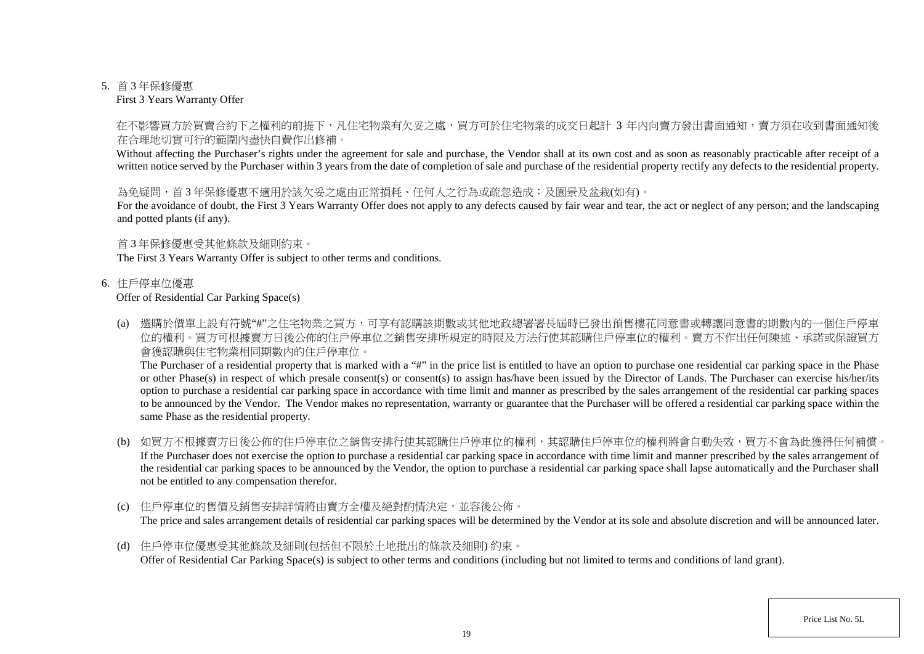#### 5. 首 3 年保修優惠

First 3 Years Warranty Offer

## 在不影響買方於買賣合約下之權利的前提下,凡住宅物業有欠妥之處,買方可於住宅物業的成交日起計 3 年内向賣方發出書面通知,賣方須在收到書面通知後 在合理地切實可行的範圍內盡快自費作出修補。

Without affecting the Purchaser's rights under the agreement for sale and purchase, the Vendor shall at its own cost and as soon as reasonably practicable after receipt of a written notice served by the Purchaser within 3 years from the date of completion of sale and purchase of the residential property rectify any defects to the residential property.

### 為免疑問,首3年保修優惠不適用於該欠妥之處由正常捐耗、任何人之行為或疏忽造成;及園景及盆栽(如有)。

For the avoidance of doubt, the First 3 Years Warranty Offer does not apply to any defects caused by fair wear and tear, the act or neglect of any person; and the landscaping and potted plants (if any).

### 首 3 年保修優惠受其他條款及細則約束。

The First 3 Years Warranty Offer is subject to other terms and conditions.

### 6. 住戶停車位優惠

### Offer of Residential Car Parking Space(s)

(a) 選購於價單上設有符號"#"之住宅物業之買方,可享有認購該期數或其他地政總署署長屆時已發出預售樓花同意書或轉讓同意書的期數內的一個住戶停車 位的權利。買方可根據賣方日後公佈的住戶停車位之銷售安排所規定的時限及方法行使其認購住戶停車位的權利。賣方不作出任何陳述、承諾或保證買方 會獲認購與住宅物業相同期數內的住戶停車位。

The Purchaser of a residential property that is marked with a "#" in the price list is entitled to have an option to purchase one residential car parking space in the Phase or other Phase(s) in respect of which presale consent(s) or consent(s) to assign has/have been issued by the Director of Lands. The Purchaser can exercise his/her/its option to purchase a residential car parking space in accordance with time limit and manner as prescribed by the sales arrangement of the residential car parking spaces to be announced by the Vendor. The Vendor makes no representation, warranty or guarantee that the Purchaser will be offered a residential car parking space within the same Phase as the residential property.

- (b) 如買方不根據賣方日後公佈的住戶停車位之銷售安排行使其認購住戶停車位的權利,其認購住戶停車位的權利將會自動失效,買方不會為此獲得任何補償。 If the Purchaser does not exercise the option to purchase a residential car parking space in accordance with time limit and manner prescribed by the sales arrangement of the residential car parking spaces to be announced by the Vendor, the option to purchase a residential car parking space shall lapse automatically and the Purchaser shall not be entitled to any compensation therefor.
- (c) 住戶停車位的售價及銷售安排詳情將由賣方全權及絕對酌情決定,並容後公佈。 The price and sales arrangement details of residential car parking spaces will be determined by the Vendor at its sole and absolute discretion and will be announced later.
- (d) 住戶停車位優惠受其他條款及細則(包括但不限於土地批出的條款及細則) 約束。 Offer of Residential Car Parking Space(s) is subject to other terms and conditions (including but not limited to terms and conditions of land grant).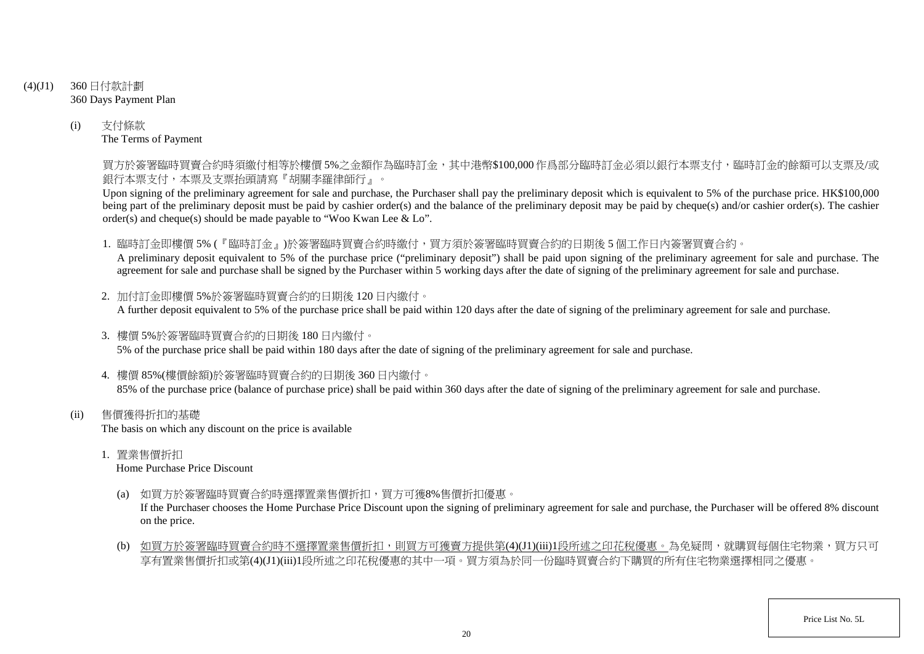- (4)(J1) 360 日付款計劃 360 Days Payment Plan
	- (i) 支付條款 The Terms of Payment

買方於簽署臨時買賣合約時須繳付相等於樓價 5%之金額作為臨時訂金,其中港幣\$100,000 作爲部分臨時訂金必須以銀行本票支付,臨時訂金的餘額可以支票及/或 銀行本票支付,本票及支票抬頭請寫『胡關李羅律師行』。

Upon signing of the preliminary agreement for sale and purchase, the Purchaser shall pay the preliminary deposit which is equivalent to 5% of the purchase price. HK\$100,000 being part of the preliminary deposit must be paid by cashier order(s) and the balance of the preliminary deposit may be paid by cheque(s) and/or cashier order(s). The cashier order(s) and cheque(s) should be made payable to "Woo Kwan Lee & Lo".

1. 臨時訂金即樓價 5% (『臨時訂金』)於簽署臨時買賣合約時繳付,買方須於簽署臨時買賣合約的日期後 5 個工作日內簽署買賣合約。

A preliminary deposit equivalent to 5% of the purchase price ("preliminary deposit") shall be paid upon signing of the preliminary agreement for sale and purchase. The agreement for sale and purchase shall be signed by the Purchaser within 5 working days after the date of signing of the preliminary agreement for sale and purchase.

- 2. 加付訂金即樓價 5%於簽署臨時買賣合約的日期後 120 日內繳付。 A further deposit equivalent to 5% of the purchase price shall be paid within 120 days after the date of signing of the preliminary agreement for sale and purchase.
- 3. 樓價 5%於簽署臨時買賣合約的日期後 180 日內繳付。 5% of the purchase price shall be paid within 180 days after the date of signing of the preliminary agreement for sale and purchase.
- 4. 樓價 85%(樓價餘額)於簽署臨時買賣合約的日期後 360 日內繳付。 85% of the purchase price (balance of purchase price) shall be paid within 360 days after the date of signing of the preliminary agreement for sale and purchase.
- (ii) 售價獲得折扣的基礎 The basis on which any discount on the price is available
	- 1. 置業售價折扣

Home Purchase Price Discount

(a) 如買方於簽署臨時買賣合約時選擇置業售價折扣,買方可獲8%售價折扣優惠。

If the Purchaser chooses the Home Purchase Price Discount upon the signing of preliminary agreement for sale and purchase, the Purchaser will be offered 8% discount on the price.

(b) 如買方於簽署臨時買賣合約時不選擇置業售價折扣,則買方可獲賣方提供第(4)(J1)(iii)1段所述之印花稅優惠。為免疑問,就購買每個住宅物業,買方只可 享有置業售價折扣或第(4)(J1)(iii)1段所述之印花稅優惠的其中一項。買方須為於同一份臨時買賣合約下購買的所有住宅物業選擇相同之優惠。

Price List No. 5L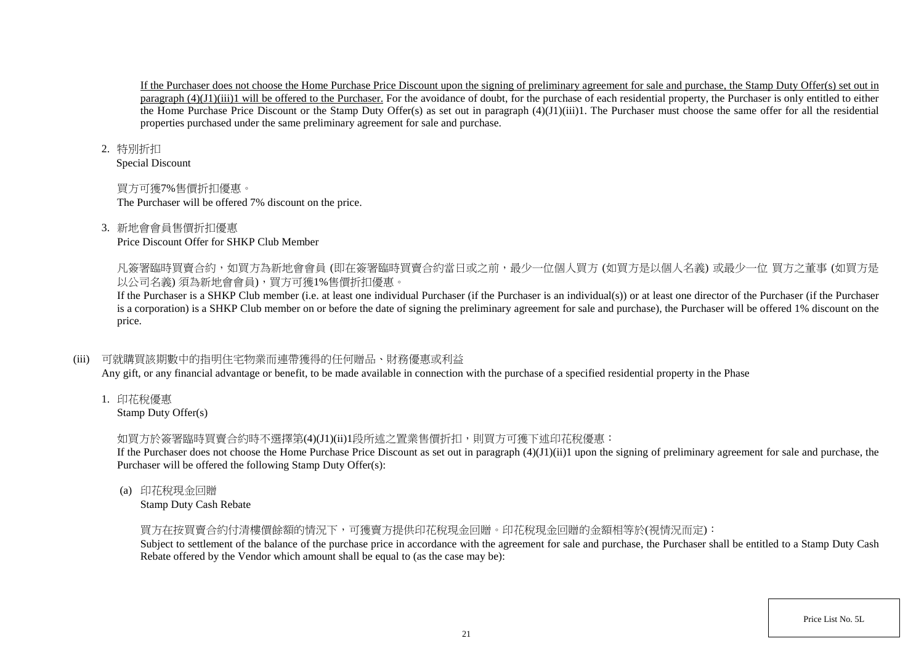If the Purchaser does not choose the Home Purchase Price Discount upon the signing of preliminary agreement for sale and purchase, the Stamp Duty Offer(s) set out in paragraph  $(4)(J1)(iii)1$  will be offered to the Purchaser. For the avoidance of doubt, for the purchase of each residential property, the Purchaser is only entitled to either the Home Purchase Price Discount or the Stamp Duty Offer(s) as set out in paragraph (4)(J1)(iii)1. The Purchaser must choose the same offer for all the residential properties purchased under the same preliminary agreement for sale and purchase.

#### 2. 特別折扣

Special Discount

# 買方可獲7%售價折扣優惠。

The Purchaser will be offered 7% discount on the price.

# 3. 新地會會員售價折扣優惠

Price Discount Offer for SHKP Club Member

凡簽署臨時買賣合約,如買方為新地會會員 (即在簽署臨時買賣合約當日或之前,最少一位個人買方 (如買方是以個人名義) 或最少一位 買方之董事 (如買方是 以公司名義) 須為新地會會員),買方可獲1%售價折扣優惠。

If the Purchaser is a SHKP Club member (i.e. at least one individual Purchaser (if the Purchaser is an individual(s)) or at least one director of the Purchaser (if the Purchaser is a corporation) is a SHKP Club member on or before the date of signing the preliminary agreement for sale and purchase), the Purchaser will be offered 1% discount on the price.

# (iii) 可就購買該期數中的指明住宅物業而連帶獲得的任何贈品、財務優惠或利益

Any gift, or any financial advantage or benefit, to be made available in connection with the purchase of a specified residential property in the Phase

1. 印花稅優惠

Stamp Duty Offer(s)

# 如買方於簽署臨時買賣合約時不選擇第(4)(J1)(ii)1段所述之置業售價折扣,則買方可獲下述印花稅優惠:

If the Purchaser does not choose the Home Purchase Price Discount as set out in paragraph  $(4)(J1)(ii)1$  upon the signing of preliminary agreement for sale and purchase, the Purchaser will be offered the following Stamp Duty Offer(s):

(a) 印花稅現金回贈

Stamp Duty Cash Rebate

# 買方在按買賣合約付清樓價餘額的情況下,可獲賣方提供印花稅現金回贈。印花稅現金回贈的金額相等於(視情況而定):

Subject to settlement of the balance of the purchase price in accordance with the agreement for sale and purchase, the Purchaser shall be entitled to a Stamp Duty Cash Rebate offered by the Vendor which amount shall be equal to (as the case may be):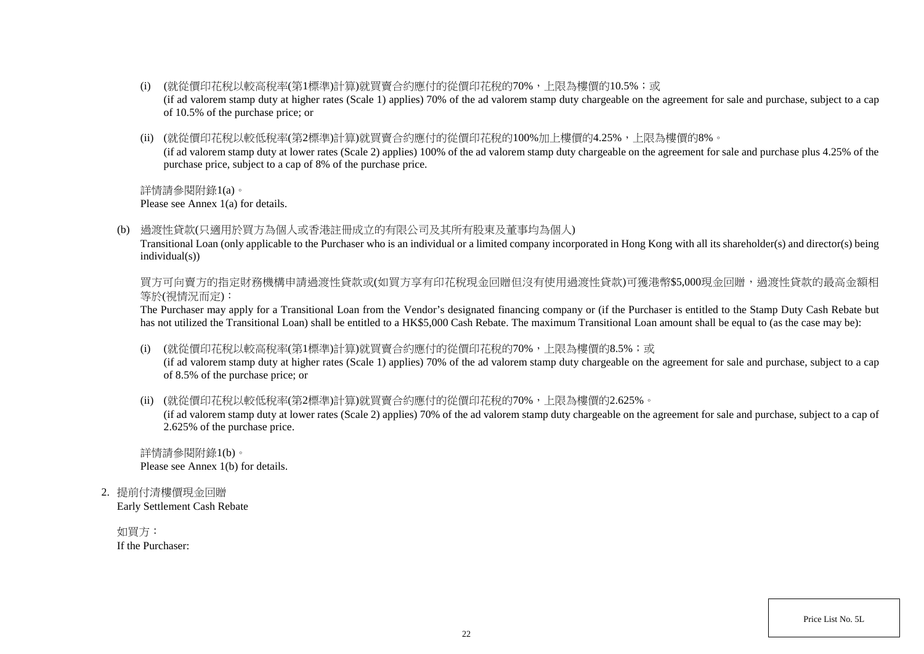- (i) (就從價印花稅以較高稅率(第1標準)計算)就買賣合約應付的從價印花稅的70%,上限為樓價的10.5%;或 (if ad valorem stamp duty at higher rates (Scale 1) applies) 70% of the ad valorem stamp duty chargeable on the agreement for sale and purchase, subject to a cap of 10.5% of the purchase price; or
- (ii) (就從價印花稅以較低稅率(第2標準)計算)就買賣合約應付的從價印花稅的100%加上樓價的4.25%,上限為樓價的8%。 (if ad valorem stamp duty at lower rates (Scale 2) applies) 100% of the ad valorem stamp duty chargeable on the agreement for sale and purchase plus 4.25% of the purchase price, subject to a cap of 8% of the purchase price.

詳情請參閱附錄1(a)。

Please see Annex 1(a) for details.

(b) 過渡性貸款(只適用於買方為個人或香港註冊成立的有限公司及其所有股東及董事均為個人)

Transitional Loan (only applicable to the Purchaser who is an individual or a limited company incorporated in Hong Kong with all its shareholder(s) and director(s) being individual(s))

買方可向賣方的指定財務機構申請過渡性貸款或(如買方享有印花稅現金回贈但沒有使用過渡性貸款)可獲港幣\$5,000現金回贈,過渡性貸款的最高金額相 等於(視情況而定):

The Purchaser may apply for a Transitional Loan from the Vendor's designated financing company or (if the Purchaser is entitled to the Stamp Duty Cash Rebate but has not utilized the Transitional Loan) shall be entitled to a HK\$5,000 Cash Rebate. The maximum Transitional Loan amount shall be equal to (as the case may be):

(i) (就從價印花稅以較高稅率(第1標準)計算)就買賣合約應付的從價印花稅的70%,上限為樓價的8.5%;或

(if ad valorem stamp duty at higher rates (Scale 1) applies) 70% of the ad valorem stamp duty chargeable on the agreement for sale and purchase, subject to a cap of 8.5% of the purchase price; or

(ii) (就從價印花稅以較低稅率(第2標準)計算)就買賣合約應付的從價印花稅的70%,上限為樓價的2.625%。

(if ad valorem stamp duty at lower rates (Scale 2) applies) 70% of the ad valorem stamp duty chargeable on the agreement for sale and purchase, subject to a cap of 2.625% of the purchase price.

詳情請參閱附錄1(b)。 Please see Annex 1(b) for details.

2. 提前付清樓價現金回贈

Early Settlement Cash Rebate

如買方: If the Purchaser:

Price List No. 5L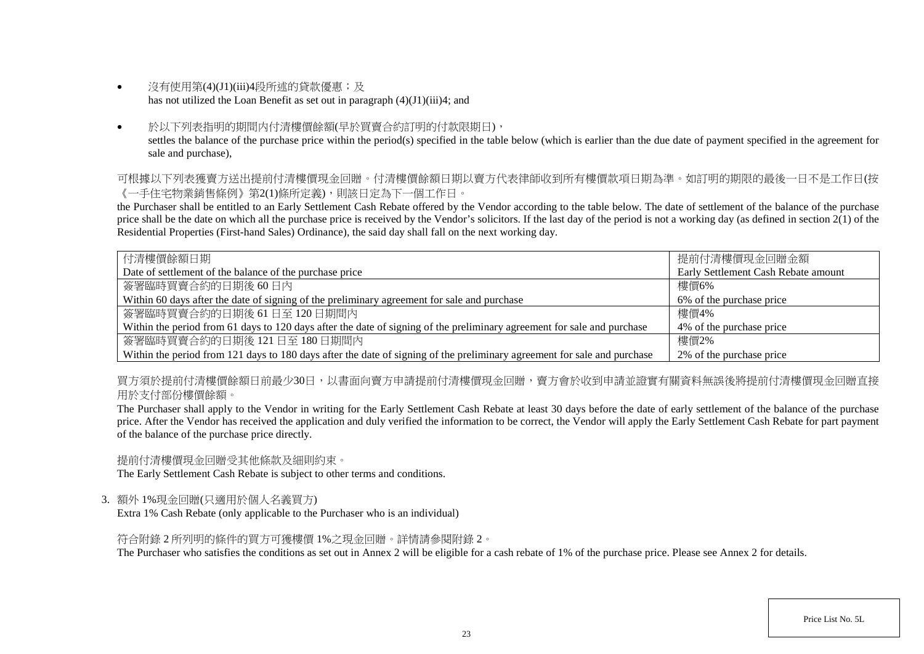- 沒有使用第(4)(J1)(iii)4段所述的貸款優惠;及 has not utilized the Loan Benefit as set out in paragraph (4)(J1)(iii)4; and
- 於以下列表指明的期間内付清樓價餘額(早於買賣合約訂明的付款限期日), settles the balance of the purchase price within the period(s) specified in the table below (which is earlier than the due date of payment specified in the agreement for sale and purchase),

可根據以下列表獲賣方送出提前付清樓價現金回贈。付清樓價餘額日期以賣方代表律師收到所有樓價款項日期為準。如訂明的期限的最後一日不是工作日(按 《一手住宅物業銷售條例》第2(1)條所定義),則該日定為下一個工作日。

the Purchaser shall be entitled to an Early Settlement Cash Rebate offered by the Vendor according to the table below. The date of settlement of the balance of the purchase price shall be the date on which all the purchase price is received by the Vendor's solicitors. If the last day of the period is not a working day (as defined in section  $2(1)$  of the Residential Properties (First-hand Sales) Ordinance), the said day shall fall on the next working day.

| 付清樓價餘額日期                                                                                                                 | 提前付清樓價現金回贈金額                        |
|--------------------------------------------------------------------------------------------------------------------------|-------------------------------------|
| Date of settlement of the balance of the purchase price                                                                  | Early Settlement Cash Rebate amount |
| 簽署臨時買賣合約的日期後60日內                                                                                                         | 樓價6%                                |
| Within 60 days after the date of signing of the preliminary agreement for sale and purchase                              | 6% of the purchase price            |
| 簽署臨時買賣合約的日期後 61日至 120日期間内                                                                                                | 樓價4%                                |
| Within the period from 61 days to 120 days after the date of signing of the preliminary agreement for sale and purchase  | 4% of the purchase price            |
| 簽署臨時買賣合約的日期後 121日至 180日期間内                                                                                               | 樓價2%                                |
| Within the period from 121 days to 180 days after the date of signing of the preliminary agreement for sale and purchase | 2% of the purchase price            |

買方須於提前付清樓價餘額日前最少30日,以書面向賣方申請提前付清樓價現金回贈,賣方會於收到申請並證實有關資料無誤後將提前付清樓價現金回贈直接 用於支付部份樓價餘額。

The Purchaser shall apply to the Vendor in writing for the Early Settlement Cash Rebate at least 30 days before the date of early settlement of the balance of the purchase price. After the Vendor has received the application and duly verified the information to be correct, the Vendor will apply the Early Settlement Cash Rebate for part payment of the balance of the purchase price directly.

提前付清樓價現金回贈受其他條款及細則約束。

The Early Settlement Cash Rebate is subject to other terms and conditions.

3. 額外 1%現金回贈(只適用於個人名義買方)

Extra 1% Cash Rebate (only applicable to the Purchaser who is an individual)

符合附錄 2 所列明的條件的買方可獲樓價 1%之現金回贈。詳情請參閱附錄 2。

The Purchaser who satisfies the conditions as set out in Annex 2 will be eligible for a cash rebate of 1% of the purchase price. Please see Annex 2 for details.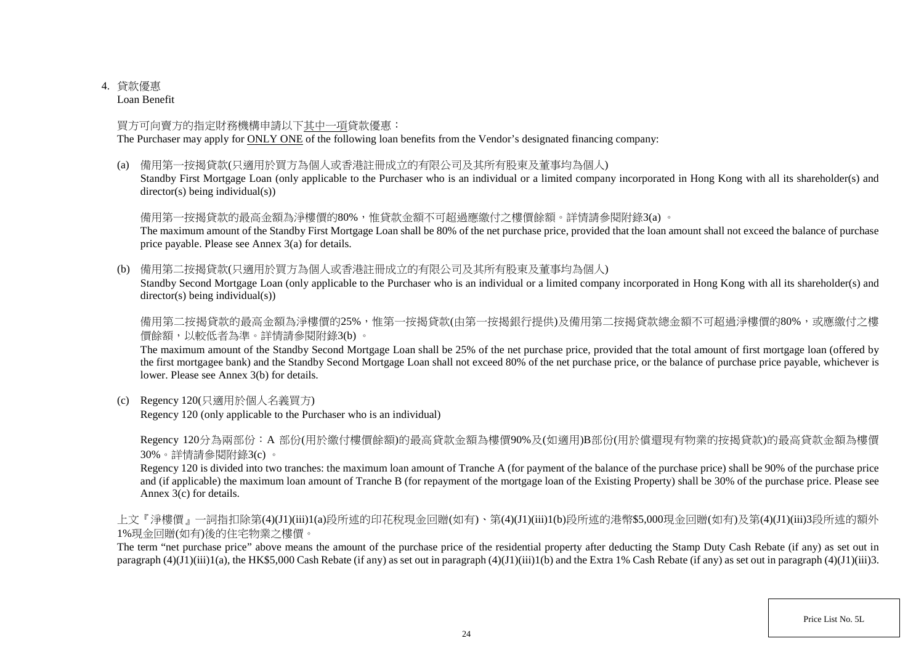# 4. 貸款優惠

Loan Benefit

# 買方可向賣方的指定財務機構申請以下其中一項貸款優惠:

The Purchaser may apply for ONLY ONE of the following loan benefits from the Vendor's designated financing company:

(a) 備用第一按揭貸款(只適用於買方為個人或香港註冊成立的有限公司及其所有股東及董事均為個人)

Standby First Mortgage Loan (only applicable to the Purchaser who is an individual or a limited company incorporated in Hong Kong with all its shareholder(s) and director(s) being individual(s))

# 備用第一按揭貸款的最高金額為淨樓價的80%,惟貸款金額不可超過應繳付之樓價餘額。詳情請參閱附錄3(a)。

The maximum amount of the Standby First Mortgage Loan shall be 80% of the net purchase price, provided that the loan amount shall not exceed the balance of purchase price payable. Please see Annex 3(a) for details.

(b) 備用第二按揭貸款(只適用於買方為個人或香港註冊成立的有限公司及其所有股東及董事均為個人)

Standby Second Mortgage Loan (only applicable to the Purchaser who is an individual or a limited company incorporated in Hong Kong with all its shareholder(s) and director(s) being individual(s))

備用第二按揭貸款的最高金額為淨樓價的25%,惟第一按揭貸款(由第一按揭銀行提供)及備用第二按揭貸款總金額不可超過淨樓價的80%,或應繳付之樓 價餘額,以較低者為準。詳情請參閱附錄3(b) 。

The maximum amount of the Standby Second Mortgage Loan shall be 25% of the net purchase price, provided that the total amount of first mortgage loan (offered by the first mortgagee bank) and the Standby Second Mortgage Loan shall not exceed 80% of the net purchase price, or the balance of purchase price payable, whichever is lower. Please see Annex 3(b) for details.

(c) Regency 120(只適用於個人名義買方)

Regency 120 (only applicable to the Purchaser who is an individual)

Regency 120分為兩部份:A 部份(用於繳付樓價餘額)的最高貸款金額為樓價90%及(如適用)B部份(用於償還現有物業的按揭貸款)的最高貸款金額為樓價 30%。詳情請參閱附錄3(c) 。

Regency 120 is divided into two tranches: the maximum loan amount of Tranche A (for payment of the balance of the purchase price) shall be 90% of the purchase price and (if applicable) the maximum loan amount of Tranche B (for repayment of the mortgage loan of the Existing Property) shall be 30% of the purchase price. Please see Annex 3(c) for details.

上文『淨樓價』一詞指扣除第(4)(J1)(iii)1(a)段所述的印花稅現金回贈(如有)、第(4)(J1)(iii)1(b)段所述的港幣\$5,000現金回贈(如有)及第(4)(J1)(iii)3段所述的額外 1%現金回贈(如有)後的住宅物業之樓價。

The term "net purchase price" above means the amount of the purchase price of the residential property after deducting the Stamp Duty Cash Rebate (if any) as set out in paragraph  $(4)(J1)(iii)1(a)$ , the HK\$5,000 Cash Rebate (if any) as set out in paragraph  $(4)(J1)(iii)1(b)$  and the Extra 1% Cash Rebate (if any) as set out in paragraph  $(4)(J1)(iii)3$ .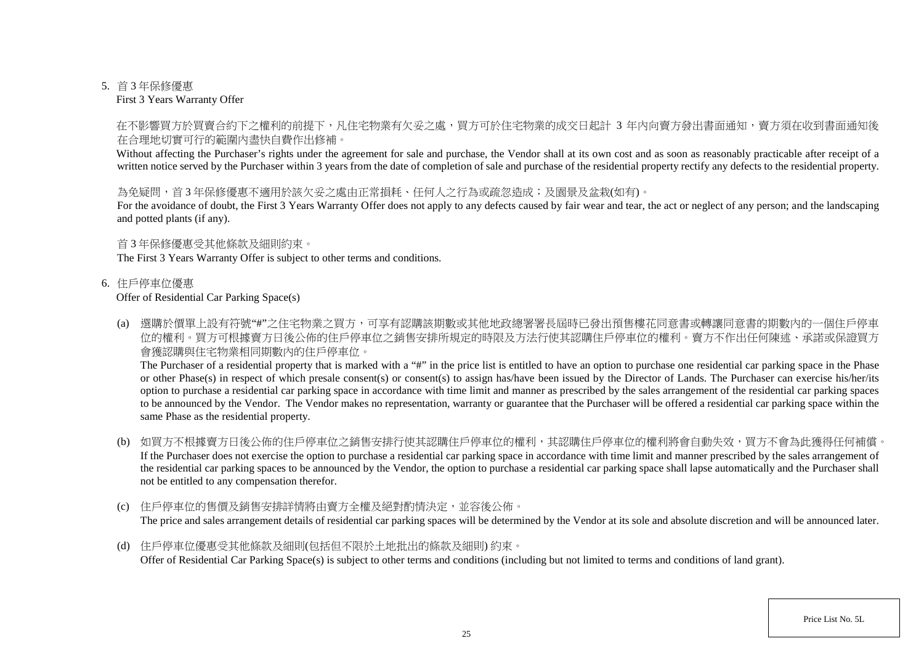#### 5. 首 3 年保修優惠

First 3 Years Warranty Offer

## 在不影響買方於買賣合約下之權利的前提下,凡住宅物業有欠妥之處,買方可於住宅物業的成交日起計 3 年内向賣方發出書面通知,賣方須在收到書面通知後 在合理地切實可行的範圍內盡快自費作出修補。

Without affecting the Purchaser's rights under the agreement for sale and purchase, the Vendor shall at its own cost and as soon as reasonably practicable after receipt of a written notice served by the Purchaser within 3 years from the date of completion of sale and purchase of the residential property rectify any defects to the residential property.

### 為免疑問,首3年保修優惠不適用於該欠妥之處由正常捐耗、任何人之行為或疏忽造成;及園景及盆栽(如有)。

For the avoidance of doubt, the First 3 Years Warranty Offer does not apply to any defects caused by fair wear and tear, the act or neglect of any person; and the landscaping and potted plants (if any).

### 首 3 年保修優惠受其他條款及細則約束。

The First 3 Years Warranty Offer is subject to other terms and conditions.

### 6. 住戶停車位優惠

### Offer of Residential Car Parking Space(s)

(a) 選購於價單上設有符號"#"之住宅物業之買方,可享有認購該期數或其他地政總署署長屆時已發出預售樓花同意書或轉讓同意書的期數內的一個住戶停車 位的權利。買方可根據賣方日後公佈的住戶停車位之銷售安排所規定的時限及方法行使其認購住戶停車位的權利。賣方不作出任何陳述、承諾或保證買方 會獲認購與住宅物業相同期數內的住戶停車位。

The Purchaser of a residential property that is marked with a "#" in the price list is entitled to have an option to purchase one residential car parking space in the Phase or other Phase(s) in respect of which presale consent(s) or consent(s) to assign has/have been issued by the Director of Lands. The Purchaser can exercise his/her/its option to purchase a residential car parking space in accordance with time limit and manner as prescribed by the sales arrangement of the residential car parking spaces to be announced by the Vendor. The Vendor makes no representation, warranty or guarantee that the Purchaser will be offered a residential car parking space within the same Phase as the residential property.

- (b) 如買方不根據賣方日後公佈的住戶停車位之銷售安排行使其認購住戶停車位的權利,其認購住戶停車位的權利將會自動失效,買方不會為此獲得任何補償。 If the Purchaser does not exercise the option to purchase a residential car parking space in accordance with time limit and manner prescribed by the sales arrangement of the residential car parking spaces to be announced by the Vendor, the option to purchase a residential car parking space shall lapse automatically and the Purchaser shall not be entitled to any compensation therefor.
- (c) 住戶停車位的售價及銷售安排詳情將由賣方全權及絕對酌情決定,並容後公佈。 The price and sales arrangement details of residential car parking spaces will be determined by the Vendor at its sole and absolute discretion and will be announced later.
- (d) 住戶停車位優惠受其他條款及細則(包括但不限於土地批出的條款及細則) 約束。 Offer of Residential Car Parking Space(s) is subject to other terms and conditions (including but not limited to terms and conditions of land grant).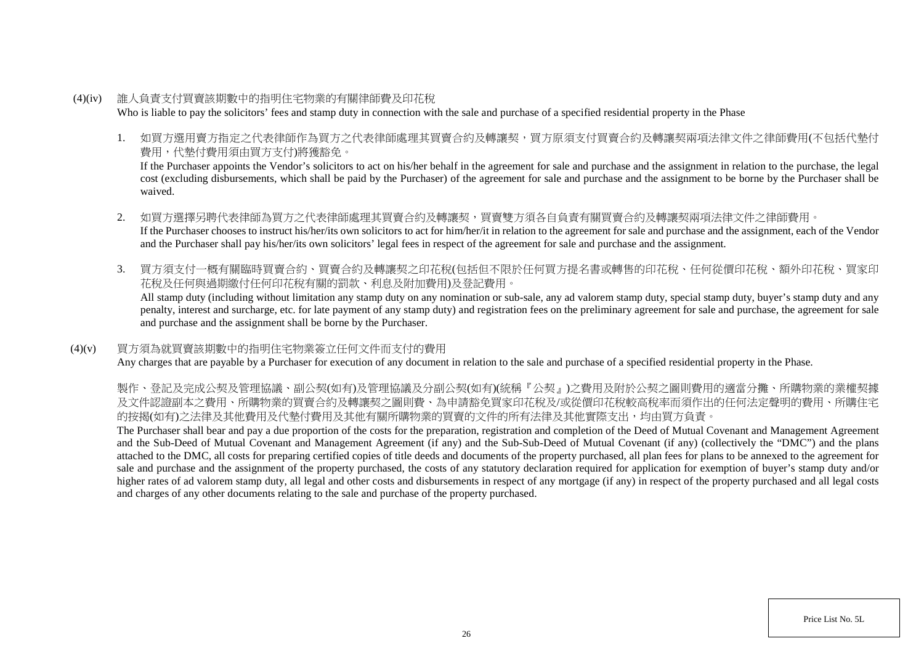- (4)(iv) 誰人負責支付買賣該期數中的指明住宅物業的有關律師費及印花稅 Who is liable to pay the solicitors' fees and stamp duty in connection with the sale and purchase of a specified residential property in the Phase
	- 1. 如買方選用賣方指定之代表律師作為買方之代表律師處理其買賣合約及轉讓契,買方原須支付買賣合約及轉讓契兩項法律文件之律師費用(不包括代墊付 費用,代墊付費用須由買方支付)將獲豁免。

If the Purchaser appoints the Vendor's solicitors to act on his/her behalf in the agreement for sale and purchase and the assignment in relation to the purchase, the legal cost (excluding disbursements, which shall be paid by the Purchaser) of the agreement for sale and purchase and the assignment to be borne by the Purchaser shall be waived.

- 2. 如買方選擇另聘代表律師為買方之代表律師處理其買賣合約及轉讓契,買賣雙方須各自負責有關買賣合約及轉讓契兩項法律文件之律師費用。 If the Purchaser chooses to instruct his/her/its own solicitors to act for him/her/it in relation to the agreement for sale and purchase and the assignment, each of the Vendor and the Purchaser shall pay his/her/its own solicitors' legal fees in respect of the agreement for sale and purchase and the assignment.
- 3. 買方須支付一概有關臨時買賣合約、買賣合約及轉讓契之印花稅(包括但不限於任何買方提名書或轉售的印花稅、任何從價印花稅、額外印花稅、買家印 花稅及任何與過期繳付任何印花稅有關的罰款、利息及附加費用)及登記費用。

All stamp duty (including without limitation any stamp duty on any nomination or sub-sale, any ad valorem stamp duty, special stamp duty, buyer's stamp duty and any penalty, interest and surcharge, etc. for late payment of any stamp duty) and registration fees on the preliminary agreement for sale and purchase, the agreement for sale and purchase and the assignment shall be borne by the Purchaser.

### (4)(v) 買方須為就買賣該期數中的指明住宅物業簽立任何文件而支付的費用

Any charges that are payable by a Purchaser for execution of any document in relation to the sale and purchase of a specified residential property in the Phase.

製作、登記及完成公契及管理協議、副公契(如有)及管理協議及分副公契(如有)(統稱『公契』)之費用及附於公契之圖則費用的適當分攤、所購物業的業權契據 及文件認證副本之費用、所購物業的買賣合約及轉讓契之圖則費、為申請豁免買家印花稅及/或從價印花稅較高稅率而須作出的任何法定聲明的費用、所購住宅 的按揭(如有)之法律及其他費用及代墊付費用及其他有關所購物業的買賣的文件的所有法律及其他實際支出,均由買方負責。

The Purchaser shall bear and pay a due proportion of the costs for the preparation, registration and completion of the Deed of Mutual Covenant and Management Agreement and the Sub-Deed of Mutual Covenant and Management Agreement (if any) and the Sub-Sub-Deed of Mutual Covenant (if any) (collectively the "DMC") and the plans attached to the DMC, all costs for preparing certified copies of title deeds and documents of the property purchased, all plan fees for plans to be annexed to the agreement for sale and purchase and the assignment of the property purchased, the costs of any statutory declaration required for application for exemption of buyer's stamp duty and/or higher rates of ad valorem stamp duty, all legal and other costs and disbursements in respect of any mortgage (if any) in respect of the property purchased and all legal costs and charges of any other documents relating to the sale and purchase of the property purchased.

Price List No. 5L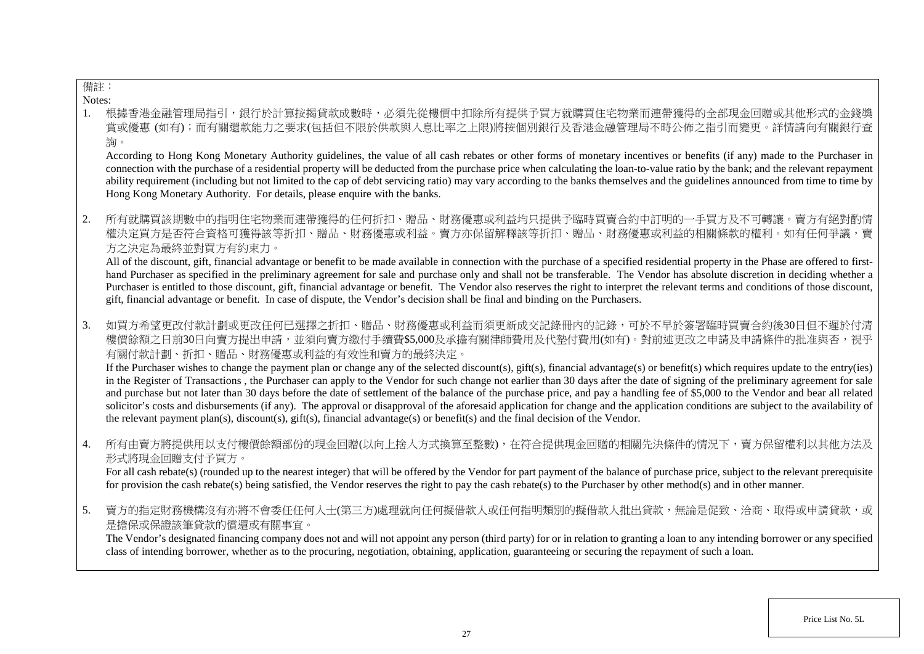# 備註:

Notes:

1. 根據香港金融管理局指引,銀行於計算按揭貸款成數時,必須先從樓價中扣除所有提供予買方就購買住宅物業而連帶獲得的全部現金回贈或其 賞或優惠 (如有);而有關還款能力之要求(包括但不限於供款與入息比率之上限)將按個別銀行及香港金融管理局不時公佈之指引而變更。詳情請向有關銀行查 詢。

According to Hong Kong Monetary Authority guidelines, the value of all cash rebates or other forms of monetary incentives or benefits (if any) made to the Purchaser in connection with the purchase of a residential property will be deducted from the purchase price when calculating the loan-to-value ratio by the bank; and the relevant repayment ability requirement (including but not limited to the cap of debt servicing ratio) may vary according to the banks themselves and the guidelines announced from time to time by Hong Kong Monetary Authority. For details, please enquire with the banks.

2. 所有就購買該期數中的指明住宅物業而連帶獲得的任何折扣、贈品、財務優惠或利益均只提供予臨時買賣合約中訂明的一手買方及不可轉讓 權決定買方是否符合資格可獲得該等折扣、贈品、財務優惠或利益。賣方亦保留解釋該等折扣、贈品、財務優惠或利益的相關條款的權利。如有任何爭議,賣 方之決定為最終並對買方有約束力。

All of the discount, gift, financial advantage or benefit to be made available in connection with the purchase of a specified residential property in the Phase are offered to firsthand Purchaser as specified in the preliminary agreement for sale and purchase only and shall not be transferable. The Vendor has absolute discretion in deciding whether a Purchaser is entitled to those discount, gift, financial advantage or benefit. The Vendor also reserves the right to interpret the relevant terms and conditions of those discount, gift, financial advantage or benefit. In case of dispute, the Vendor's decision shall be final and binding on the Purchasers.

3. 如買方希望更改付款計劃或更改任何已選擇之折扣、贈品、財務優惠或利益而須更新成交記錄冊內的記錄,可於不早於簽署臨時買賣合約後30日但不遲於付清 樓價餘額之日前30日向賣方提出申請,並須向賣方繳付手續費\$5,000及承擔有關律師費用及代墊付費用(如有)。對前述更改之申請及申請條件的批准與否,視乎 有關付款計劃、折扣、贈品、財務優惠或利益的有效性和賣方的最終決定。

If the Purchaser wishes to change the payment plan or change any of the selected discount(s), gift(s), financial advantage(s) or benefit(s) which requires update to the entry(ies) in the Register of Transactions , the Purchaser can apply to the Vendor for such change not earlier than 30 days after the date of signing of the preliminary agreement for sale and purchase but not later than 30 days before the date of settlement of the balance of the purchase price, and pay a handling fee of \$5,000 to the Vendor and bear all related solicitor's costs and disbursements (if any). The approval or disapproval of the aforesaid application for change and the application conditions are subject to the availability of the relevant payment plan(s), discount(s), gift(s), financial advantage(s) or benefit(s) and the final decision of the Vendor.

4. 所有由賣方將提供用以支付樓價餘額部份的現金回贈(以向上捨入方式換算至整數),在符合提供現金回贈的相關先決條件的情況下,賣方保留權利以其他方法及 形式將現金回贈支付予買方。

For all cash rebate(s) (rounded up to the nearest integer) that will be offered by the Vendor for part payment of the balance of purchase price, subject to the relevant prerequisite for provision the cash rebate(s) being satisfied, the Vendor reserves the right to pay the cash rebate(s) to the Purchaser by other method(s) and in other manner.

5. 賣方的指定財務機構沒有亦將不會委任任何人士(第三方)處理就向任何擬借款人或任何指明類別的擬借款人批出貸款,無論是促致、洽商、取得或申請貸款,或 是擔保或保證該筆貸款的償還或有關事宜。

The Vendor's designated financing company does not and will not appoint any person (third party) for or in relation to granting a loan to any intending borrower or any specified class of intending borrower, whether as to the procuring, negotiation, obtaining, application, guaranteeing or securing the repayment of such a loan.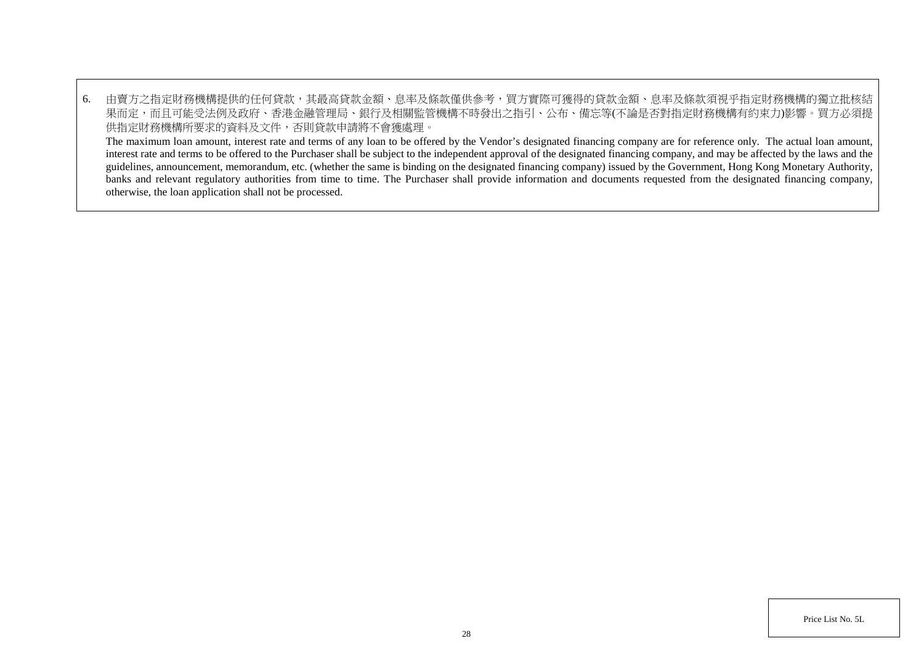6. 由賣方之指定財務機構提供的任何貸款,其最高貸款金額、息率及條款僅供參考,買方實際可獲得的貸款金額、息率及條款須視乎指定財務機構的獨立批核結 果而定,而且可能受法例及政府、香港金融管理局、銀行及相關監管機構不時發出之指引、公布、備忘等(不論是否對指定財務機構有約束力)影響。買方必須提 供指定財務機構所要求的資料及文件,否則貸款申請將不會獲處理。 The maximum loan amount, interest rate and terms of any loan to be offered by the Vendor's designated financing company are for reference only. The actual loan amount, interest rate and terms to be offered to the Purchaser shall be subject to the independent approval of the designated financing company, and may be affected by the laws and the guidelines, announcement, memorandum, etc. (whether the same is binding on the designated financing company) issued by the Government, Hong Kong Monetary Authority, banks and relevant regulatory authorities from time to time. The Purchaser shall provide information and documents requested from the designated financing company,

otherwise, the loan application shall not be processed.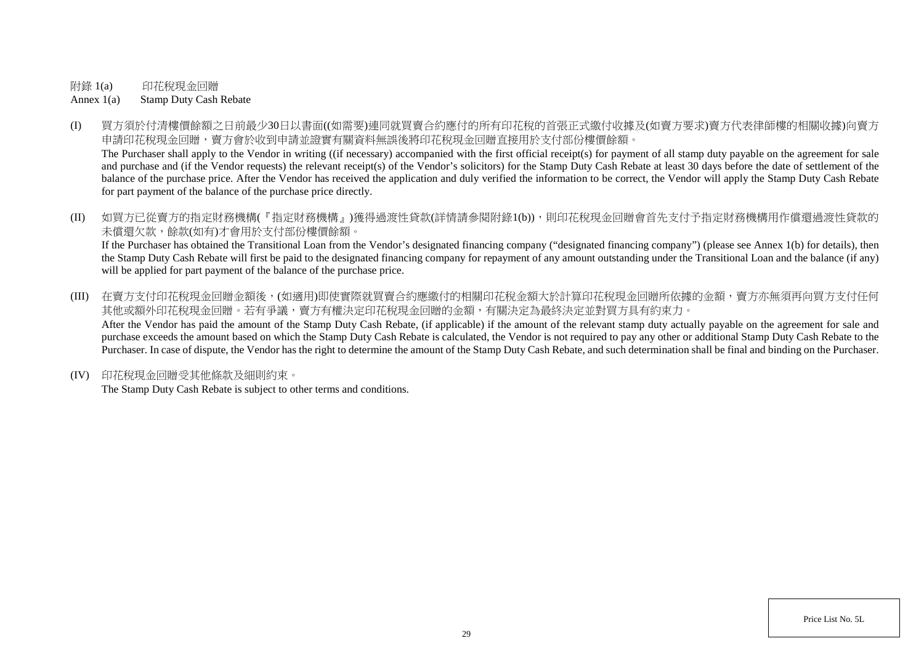附錄 1(a) 印花稅現金回贈

Annex 1(a) Stamp Duty Cash Rebate

(I) 買方須於付清樓價餘額之日前最少30日以書面((如需要)連同就買賣合約應付的所有印花稅的首張正式繳付收據及(如賣方要求)賣方代表律師樓的相關收據)向賣方 申請印花稅現金回贈,賣方會於收到申請並證實有關資料無誤後將印花稅現金回贈直接用於支付部份樓價餘額。

The Purchaser shall apply to the Vendor in writing ((if necessary) accompanied with the first official receipt(s) for payment of all stamp duty payable on the agreement for sale and purchase and (if the Vendor requests) the relevant receipt(s) of the Vendor's solicitors) for the Stamp Duty Cash Rebate at least 30 days before the date of settlement of the balance of the purchase price. After the Vendor has received the application and duly verified the information to be correct, the Vendor will apply the Stamp Duty Cash Rebate for part payment of the balance of the purchase price directly.

(II) 如買方已從賣方的指定財務機構(『指定財務機構』)獲得過渡性貸款(詳情請參閱附錄1(b)),則印花稅現金回贈會首先支付予指定財務機構用作償還過渡性貸款的 未償還欠款,餘款(如有)才會用於支付部份樓價餘額。 If the Purchaser has obtained the Transitional Loan from the Vendor's designated financing company ("designated financing company") (please see Annex 1(b) for details), then

the Stamp Duty Cash Rebate will first be paid to the designated financing company for repayment of any amount outstanding under the Transitional Loan and the balance (if any) will be applied for part payment of the balance of the purchase price.

- (III) 在賣方支付印花稅現金回贈金額後,(如適用)即使實際就買賣合約應繳付的相關印花稅金額大於計算印花稅現金回贈所依據的金額,賣方亦無須再向買方支付任何 其他或額外印花稅現金回贈。若有爭議,賣方有權決定印花稅現金回贈的金額,有關決定為最終決定並對買方具有約束力。 After the Vendor has paid the amount of the Stamp Duty Cash Rebate, (if applicable) if the amount of the relevant stamp duty actually payable on the agreement for sale and purchase exceeds the amount based on which the Stamp Duty Cash Rebate is calculated, the Vendor is not required to pay any other or additional Stamp Duty Cash Rebate to the Purchaser. In case of dispute, the Vendor has the right to determine the amount of the Stamp Duty Cash Rebate, and such determination shall be final and binding on the Purchaser.
- (IV) 印花稅現金回贈受其他條款及細則約束。

The Stamp Duty Cash Rebate is subject to other terms and conditions.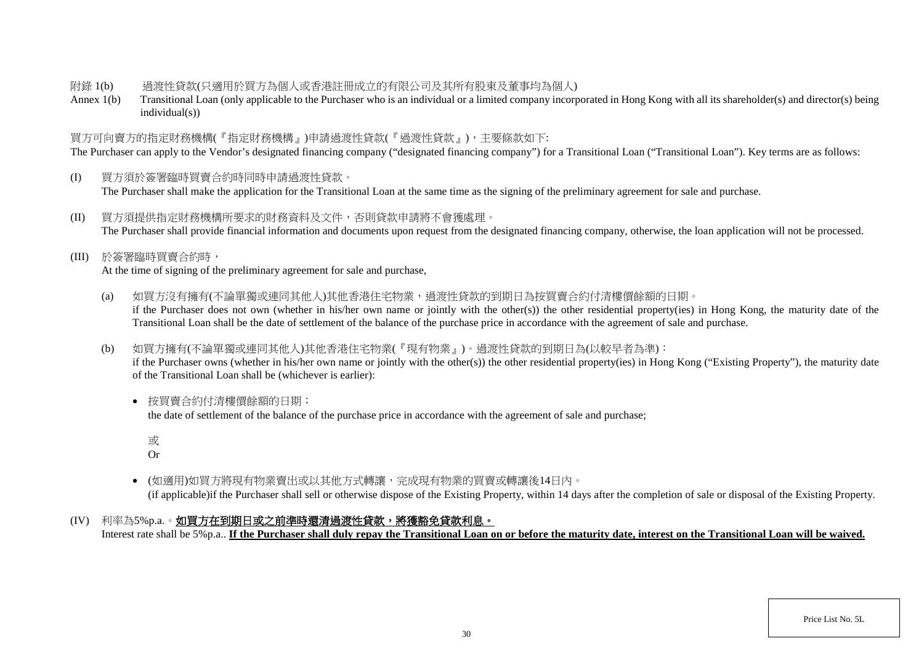### 附錄 1(b) 過渡性貸款(只適用於買方為個人或香港註冊成立的有限公司及其所有股東及董事均為個人)

Annex 1(b) Transitional Loan (only applicable to the Purchaser who is an individual or a limited company incorporated in Hong Kong with all its shareholder(s) and director(s) being individual(s))

# 買方可向賣方的指定財務機構(『指定財務機構』)申請過渡性貸款(『過渡性貸款』),主要條款如下:

The Purchaser can apply to the Vendor's designated financing company ("designated financing company") for a Transitional Loan ("Transitional Loan"). Key terms are as follows:

- (I) 買方須於簽署臨時買賣合約時同時申請過渡性貸款。 The Purchaser shall make the application for the Transitional Loan at the same time as the signing of the preliminary agreement for sale and purchase.
- (II) 買方須提供指定財務機構所要求的財務資料及文件,否則貸款申請將不會獲處理。 The Purchaser shall provide financial information and documents upon request from the designated financing company, otherwise, the loan application will not be processed.
- (III) 於簽署臨時買賣合約時,

At the time of signing of the preliminary agreement for sale and purchase,

- (a) 如買方沒有擁有(不論單獨或連同其他人)其他香港住宅物業,過渡性貸款的到期日為按買賣合約付清樓價餘額的日期。 if the Purchaser does not own (whether in his/her own name or jointly with the other(s)) the other residential property(ies) in Hong Kong, the maturity date of the Transitional Loan shall be the date of settlement of the balance of the purchase price in accordance with the agreement of sale and purchase.
- (b) 如買方擁有(不論單獨或連同其他人)其他香港住宅物業(『現有物業』)。過渡性貸款的到期日為(以較早者為準):

if the Purchaser owns (whether in his/her own name or jointly with the other(s)) the other residential property(ies) in Hong Kong ("Existing Property"), the maturity date of the Transitional Loan shall be (whichever is earlier):

• 按買賣合約付清樓價餘額的日期;

the date of settlement of the balance of the purchase price in accordance with the agreement of sale and purchase;

或

Or

- (如適用)如買方將現有物業賣出或以其他方式轉讓,完成現有物業的買賣或轉讓後14日內。 (if applicable)if the Purchaser shall sell or otherwise dispose of the Existing Property, within 14 days after the completion of sale or disposal of the Existing Property.
- (IV) 利率為5%p.a.。如買方在到期日或之前準時還清過渡性貸款,將獲豁免貸款利息。

Interest rate shall be 5%p.a.. **If the Purchaser shall duly repay the Transitional Loan on or before the maturity date, interest on the Transitional Loan will be waived.**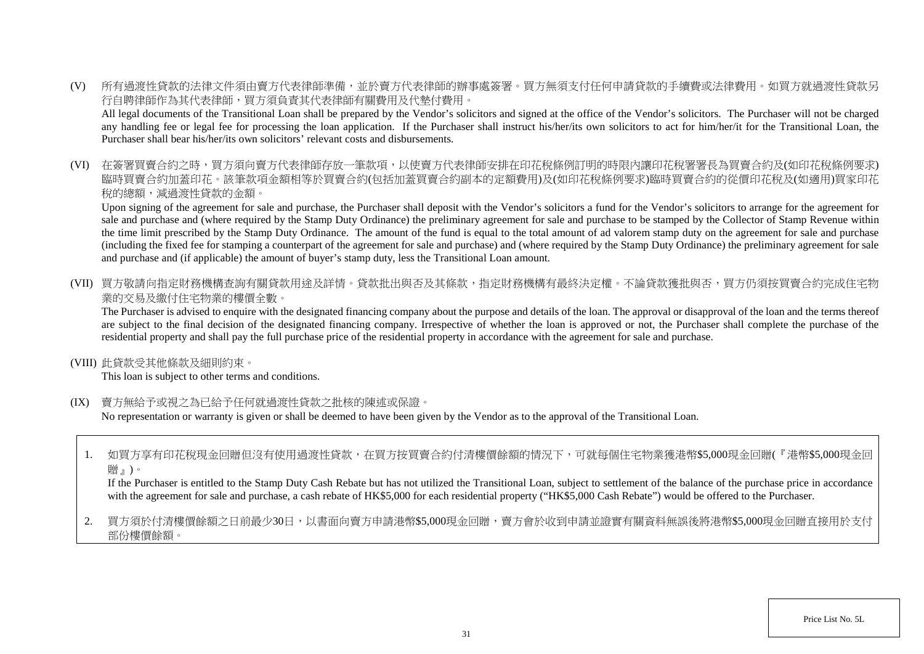(V) 所有過渡性貸款的法律文件須由賣方代表律師準備,並於賣方代表律師的辦事處簽署。買方無須支付任何申請貸款的手續費或法律費用。如買方就過渡性貸款另 行自聘律師作為其代表律師,買方須負責其代表律師有關費用及代墊付費用。

All legal documents of the Transitional Loan shall be prepared by the Vendor's solicitors and signed at the office of the Vendor's solicitors. The Purchaser will not be charged any handling fee or legal fee for processing the loan application. If the Purchaser shall instruct his/her/its own solicitors to act for him/her/it for the Transitional Loan, the Purchaser shall bear his/her/its own solicitors' relevant costs and disbursements.

(VI) 在簽署買賣合約之時,買方須向賣方代表律師存放一筆款項,以使賣方代表律師安排在印花稅條例訂明的時限內讓印花稅署署長為買賣合約及(如印花稅條例要求) 臨時買賣合約加蓋印花。該筆款項金額相等於買賣合約(包括加蓋買賣合約副本的定額費用)及(如印花稅條例要求)臨時買賣合約的從價印花稅及(如適用)買家印花 稅的總額,減過渡性貸款的金額。

Upon signing of the agreement for sale and purchase, the Purchaser shall deposit with the Vendor's solicitors a fund for the Vendor's solicitors to arrange for the agreement for sale and purchase and (where required by the Stamp Duty Ordinance) the preliminary agreement for sale and purchase to be stamped by the Collector of Stamp Revenue within the time limit prescribed by the Stamp Duty Ordinance. The amount of the fund is equal to the total amount of ad valorem stamp duty on the agreement for sale and purchase (including the fixed fee for stamping a counterpart of the agreement for sale and purchase) and (where required by the Stamp Duty Ordinance) the preliminary agreement for sale and purchase and (if applicable) the amount of buyer's stamp duty, less the Transitional Loan amount.

(VII) 買方敬請向指定財務機構查詢有關貸款用途及詳情。貸款批出與否及其條款,指定財務機構有最終決定權。不論貸款獲批與否,買方仍須按買賣合約完成住宅物 業的交易及繳付住宅物業的樓價全數。

The Purchaser is advised to enquire with the designated financing company about the purpose and details of the loan. The approval or disapproval of the loan and the terms thereof are subject to the final decision of the designated financing company. Irrespective of whether the loan is approved or not, the Purchaser shall complete the purchase of the residential property and shall pay the full purchase price of the residential property in accordance with the agreement for sale and purchase.

(VIII) 此貸款受其他條款及細則約束。

This loan is subject to other terms and conditions.

(IX) 賣方無給予或視之為已給予任何就過渡性貸款之批核的陳述或保證。

No representation or warranty is given or shall be deemed to have been given by the Vendor as to the approval of the Transitional Loan.

1. 如買方享有印花稅現金回贈但沒有使用過渡性貸款,在買方按買賣合約付清樓價餘額的情況下,可就每個住宅物業獲港幣\$5,000現金回贈(『港幣\$5,000現金回 贈』)。

If the Purchaser is entitled to the Stamp Duty Cash Rebate but has not utilized the Transitional Loan, subject to settlement of the balance of the purchase price in accordance with the agreement for sale and purchase, a cash rebate of HK\$5,000 for each residential property ("HK\$5,000 Cash Rebate") would be offered to the Purchaser.

2. 買方須於付清樓價餘額之日前最少30日,以書面向賣方申請港幣\$5,000現金回贈,賣方會於收到申請並證實有關資料無誤後將港幣\$5,000現金回贈直接用於支付 部份樓價餘額。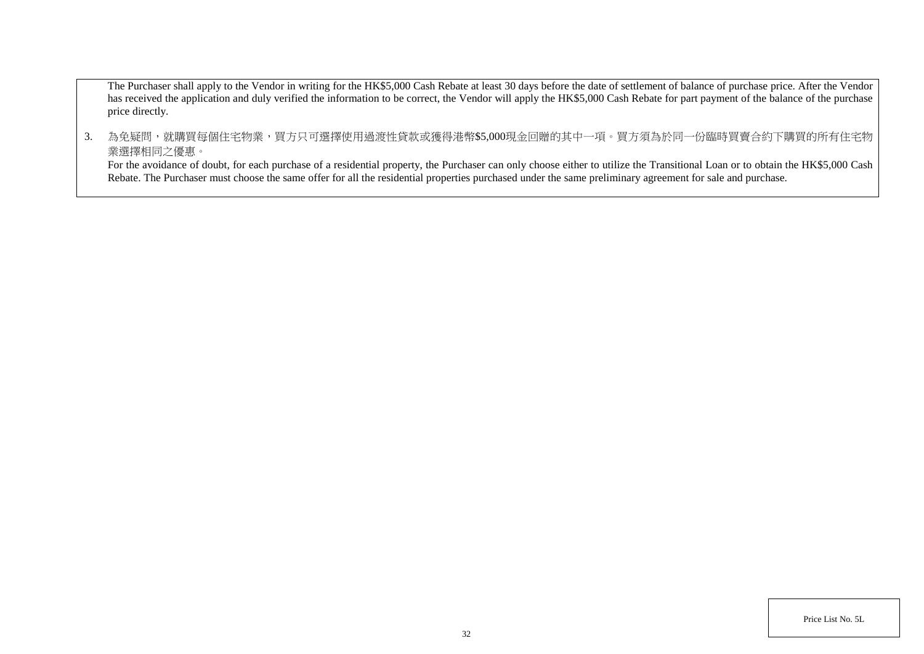The Purchaser shall apply to the Vendor in writing for the HK\$5,000 Cash Rebate at least 30 days before the date of settlement of balance of purchase price. After the Vendor has received the application and duly verified the information to be correct, the Vendor will apply the HK\$5,000 Cash Rebate for part payment of the balance of the purchase price directly.

3. 為免疑問,就購買每個住宅物業,買方只可選擇使用過渡性貸款或獲得港幣\$5,000現金回贈的其中一項。買方須為於同一份臨時買賣合約下購買的所有住宅物 業選擇相同之優惠。

For the avoidance of doubt, for each purchase of a residential property, the Purchaser can only choose either to utilize the Transitional Loan or to obtain the HK\$5,000 Cash Rebate. The Purchaser must choose the same offer for all the residential properties purchased under the same preliminary agreement for sale and purchase.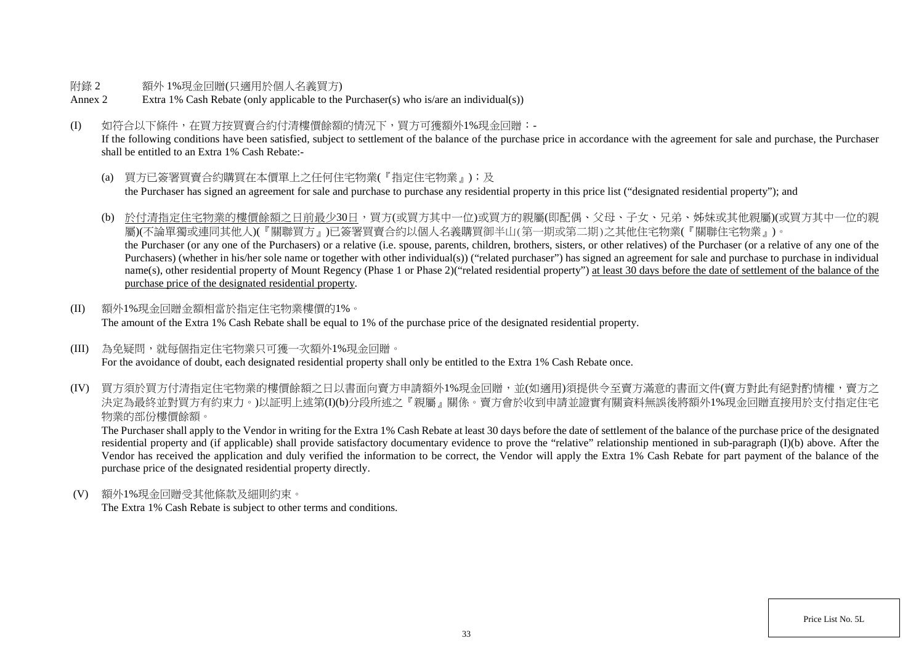#### 附錄 2 額外 1%現金回贈(只適用於個人名義買方)

- Annex 2 Extra 1% Cash Rebate (only applicable to the Purchaser(s) who is/are an individual(s))
- (I) 如符合以下條件,在買方按買賣合約付清樓價餘額的情況下,買方可獲額外1%現金回贈:-

If the following conditions have been satisfied, subject to settlement of the balance of the purchase price in accordance with the agreement for sale and purchase, the Purchaser shall be entitled to an Extra 1% Cash Rebate:-

- (a) 買方已簽署買賣合約購買在本價單上之任何住宅物業(『指定住宅物業』);及 the Purchaser has signed an agreement for sale and purchase to purchase any residential property in this price list ("designated residential property"); and
- (b) 於付清指定住宅物業的樓價餘額之日前最少30日,買方(或買方其中一位)或買方的親屬(即配偶、父母、子女、兄弟、姊妹或其他親屬)(或買方其中一位的親 屬)(不論單獨或連同其他人)(『關聯買方』)已簽署買賣合約以個人名義購買御半山(第一期或第二期)之其他住宅物業(『關聯住宅物業』)。 the Purchaser (or any one of the Purchasers) or a relative (i.e. spouse, parents, children, brothers, sisters, or other relatives) of the Purchaser (or a relative of any one of the Purchasers) (whether in his/her sole name or together with other individual(s)) ("related purchaser") has signed an agreement for sale and purchase to purchase in individual name(s), other residential property of Mount Regency (Phase 1 or Phase 2)("related residential property") at least 30 days before the date of settlement of the balance of the purchase price of the designated residential property.
- (II) 額外1%現金回贈金額相當於指定住宅物業樓價的1%。 The amount of the Extra 1% Cash Rebate shall be equal to 1% of the purchase price of the designated residential property.
- (III) 為免疑問,就每個指定住宅物業只可獲一次額外1%現金回贈。 For the avoidance of doubt, each designated residential property shall only be entitled to the Extra 1% Cash Rebate once.
- (IV) 買方須於買方付清指定住宅物業的樓價餘額之日以書面向賣方申請額外1%現金回贈,並(如適用)須提供今至賣方滿意的書面文件(賣方對此有絕對酌情權,賣方之 決定為最終並對買方有約束力。)以証明上述第(I)(b)分段所述之『親屬』關係。賣方會於收到申請並證實有關資料無誤後將額外1%現金回贈直接用於支付指定住宅 物業的部份樓價餘額。

The Purchaser shall apply to the Vendor in writing for the Extra 1% Cash Rebate at least 30 days before the date of settlement of the balance of the purchase price of the designated residential property and (if applicable) shall provide satisfactory documentary evidence to prove the "relative" relationship mentioned in sub-paragraph (I)(b) above. After the Vendor has received the application and duly verified the information to be correct, the Vendor will apply the Extra 1% Cash Rebate for part payment of the balance of the purchase price of the designated residential property directly.

(V) 額外1%現金回贈受其他條款及細則約束。

The Extra 1% Cash Rebate is subject to other terms and conditions.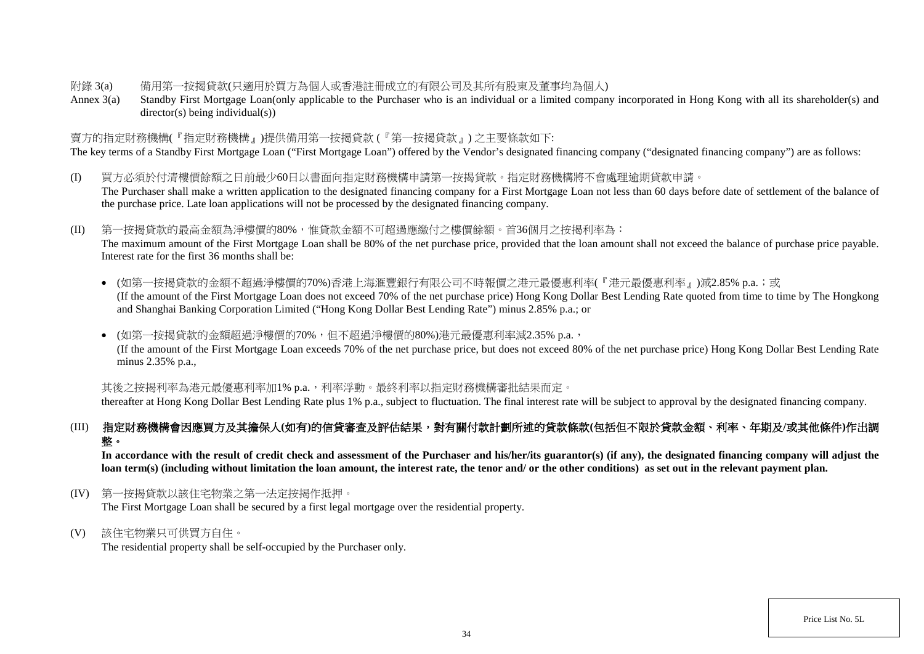### 附錄 3(a) 備用第一按揭貸款(只適用於買方為個人或香港註冊成立的有限公司及其所有股東及董事均為個人)

Annex 3(a) Standby First Mortgage Loan(only applicable to the Purchaser who is an individual or a limited company incorporated in Hong Kong with all its shareholder(s) and director(s) being individual(s))

### 賣方的指定財務機構(『指定財務機構』)提供備用第一按揭貸款 (『第一按揭貸款』) 之主要條款如下:

The key terms of a Standby First Mortgage Loan ("First Mortgage Loan") offered by the Vendor's designated financing company ("designated financing company") are as follows:

- (I) 買方必須於付清樓價餘額之日前最少60日以書面向指定財務機構申請第一按揭貸款。指定財務機構將不會處理逾期貸款申請。 The Purchaser shall make a written application to the designated financing company for a First Mortgage Loan not less than 60 days before date of settlement of the balance of the purchase price. Late loan applications will not be processed by the designated financing company.
- (II) 第一按揭貸款的最高金額為淨樓價的80%,惟貸款金額不可超過應繳付之樓價餘額。首36個月之按揭利率為:

The maximum amount of the First Mortgage Loan shall be 80% of the net purchase price, provided that the loan amount shall not exceed the balance of purchase price payable. Interest rate for the first 36 months shall be:

• (如第一按揭貸款的金額不超過淨樓價的70%)香港上海滙豐銀行有限公司不時報價之港元最優惠利率(『港元最優惠利率』)減2.85% p.a.;或 (If the amount of the First Mortgage Loan does not exceed 70% of the net purchase price) Hong Kong Dollar Best Lending Rate quoted from time to time by The Hongkong and Shanghai Banking Corporation Limited ("Hong Kong Dollar Best Lending Rate") minus 2.85% p.a.; or

• (如第一按揭貸款的金額超過淨樓價的70%,但不超過淨樓價的80%)港元最優惠利率減2.35% p.a., (If the amount of the First Mortgage Loan exceeds 70% of the net purchase price, but does not exceed 80% of the net purchase price) Hong Kong Dollar Best Lending Rate minus 2.35% p.a.,

其後之按揭利率為港元最優惠利率加1% p.a., 利率浮動。最終利率以指定財務機構審批結果而定。

thereafter at Hong Kong Dollar Best Lending Rate plus 1% p.a., subject to fluctuation. The final interest rate will be subject to approval by the designated financing company.

# (III) 指定財務機構會因應買方及其擔保人**(**如有**)**的信貸審查及評估結果,對有關付款計劃所述的貸款條款**(**包括但不限於貸款金額、利率、年期及**/**或其他條件**)**作出調 整。

In accordance with the result of credit check and assessment of the Purchaser and his/her/its guarantor(s) (if any), the designated financing company will adjust the **loan term(s) (including without limitation the loan amount, the interest rate, the tenor and/ or the other conditions) as set out in the relevant payment plan.**

(IV) 第一按揭貸款以該住宅物業之第一法定按揭作抵押。

The First Mortgage Loan shall be secured by a first legal mortgage over the residential property.

(V) 該住宅物業只可供買方自住。

The residential property shall be self-occupied by the Purchaser only.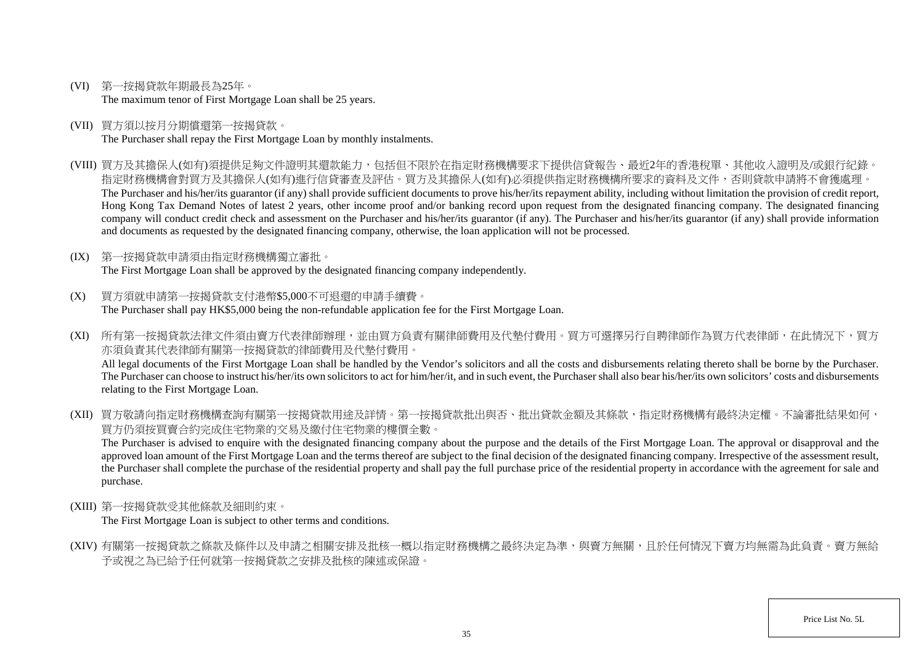- (VI) 第一按揭貸款年期最長為25年。 The maximum tenor of First Mortgage Loan shall be 25 years.
- (VII) 買方須以按月分期償還第一按揭貸款。 The Purchaser shall repay the First Mortgage Loan by monthly instalments.
- (VIII) 買方及其擔保人(如有)須提供足夠文件證明其還款能力,包括但不限於在指定財務機構要求下提供信貸報告、最近2年的香港稅單、其他收入證明及/或銀行紀錄。 指定財務機構會對買方及其擔保人(如有)進行信貸審查及評估。買方及其擔保人(如有)必須提供指定財務機構所要求的資料及文件,否則貸款申請將不會獲處理。 The Purchaser and his/her/its guarantor (if any) shall provide sufficient documents to prove his/her/its repayment ability, including without limitation the provision of credit report, Hong Kong Tax Demand Notes of latest 2 years, other income proof and/or banking record upon request from the designated financing company. The designated financing company will conduct credit check and assessment on the Purchaser and his/her/its guarantor (if any). The Purchaser and his/her/its guarantor (if any) shall provide information and documents as requested by the designated financing company, otherwise, the loan application will not be processed.
- (IX) 第一按揭貸款申請須由指定財務機構獨立審批。 The First Mortgage Loan shall be approved by the designated financing company independently.
- (X) 買方須就申請第一按揭貸款支付港幣\$5,000不可退還的申請手續費。 The Purchaser shall pay HK\$5,000 being the non-refundable application fee for the First Mortgage Loan.
- (XI) 所有第一按揭貸款法律文件須由賣方代表律師辦理,並由買方負責有關律師費用及代墊付費用。買方可選擇另行自聘律師作為買方代表律師,在此情況下,買方 亦須負責其代表律師有關第一按揭貸款的律師費用及代墊付費用。 All legal documents of the First Mortgage Loan shall be handled by the Vendor's solicitors and all the costs and disbursements relating thereto shall be borne by the Purchaser. The Purchaser can choose to instruct his/her/its own solicitors to act for him/her/it, and in such event, the Purchaser shall also bear his/her/its own solicitors' costs and disbursements relating to the First Mortgage Loan.
- (XII) 買方敬請向指定財務機構查詢有關第一按揭貸款用涂及詳情。第一按揭貸款批出與否、批出貸款金額及其條款,指定財務機構有最終決定權。不論審批結果如何, 買方仍須按買賣合約完成住宅物業的交易及繳付住宅物業的樓價全數。

The Purchaser is advised to enquire with the designated financing company about the purpose and the details of the First Mortgage Loan. The approval or disapproval and the approved loan amount of the First Mortgage Loan and the terms thereof are subject to the final decision of the designated financing company. Irrespective of the assessment result, the Purchaser shall complete the purchase of the residential property and shall pay the full purchase price of the residential property in accordance with the agreement for sale and purchase.

(XIII) 第一按揭貸款受其他條款及細則約束。

The First Mortgage Loan is subject to other terms and conditions.

(XIV) 有關第一按揭貸款之條款及條件以及申請之相關安排及批核一概以指定財務機構之最終決定為準,與賣方無關,且於任何情況下賣方均無需為此負責。賣方無給 予或視之為已給予任何就第一按揭貸款之安排及批核的陳述或保證。

Price List No. 5L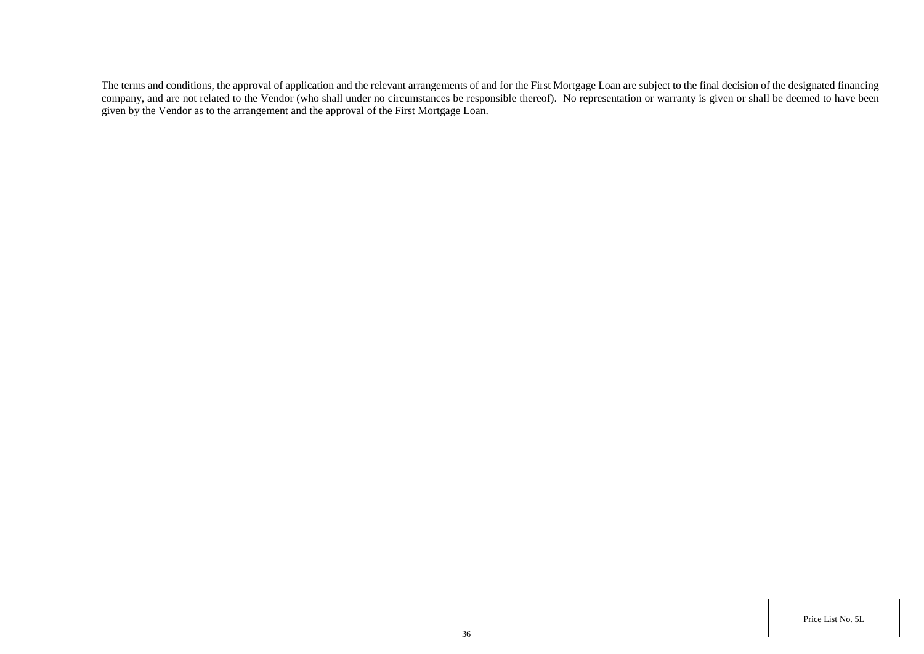The terms and conditions, the approval of application and the relevant arrangements of and for the First Mortgage Loan are subject to the final decision of the designated financing company, and are not related to the Vendor (who shall under no circumstances be responsible thereof). No representation or warranty is given or shall be deemed to have been given by the Vendor as to the arrangement and the approval of the First Mortgage Loan.

Price List No. 5L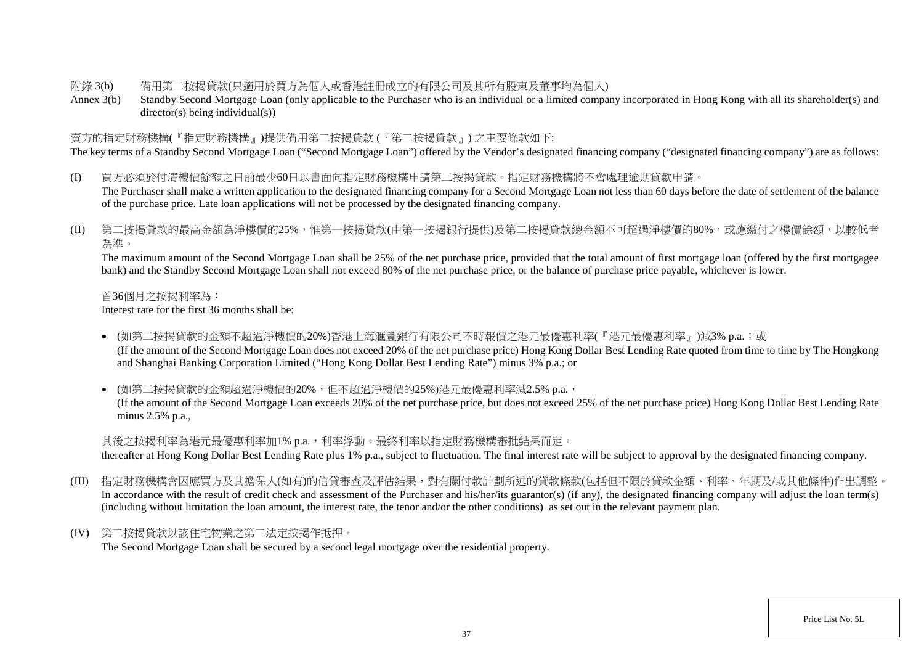### 附錄 3(b) 備用第二按揭貸款(只適用於買方為個人或香港註冊成立的有限公司及其所有股東及董事均為個人)

Annex 3(b) Standby Second Mortgage Loan (only applicable to the Purchaser who is an individual or a limited company incorporated in Hong Kong with all its shareholder(s) and director(s) being individual(s))

### 賣方的指定財務機構(『指定財務機構』)提供備用第二按揭貸款 (『第二按揭貸款』) 之主要條款如下:

The key terms of a Standby Second Mortgage Loan ("Second Mortgage Loan") offered by the Vendor's designated financing company ("designated financing company") are as follows:

- (I) 買方必須於付清樓價餘額之日前最少60日以書面向指定財務機構申請第二按揭貸款。指定財務機構將不會處理逾期貸款申請。 The Purchaser shall make a written application to the designated financing company for a Second Mortgage Loan not less than 60 days before the date of settlement of the balance of the purchase price. Late loan applications will not be processed by the designated financing company.
- (II) 第二按揭貸款的最高金額為淨樓價的25%,惟第一按揭貸款(由第一按揭銀行提供)及第二按揭貸款總金額不可超過淨樓價的80%,或應繳付之樓價餘額,以較低者 為準。

The maximum amount of the Second Mortgage Loan shall be 25% of the net purchase price, provided that the total amount of first mortgage loan (offered by the first mortgagee bank) and the Standby Second Mortgage Loan shall not exceed 80% of the net purchase price, or the balance of purchase price payable, whichever is lower.

首36個月之按揭利率為:

Interest rate for the first 36 months shall be:

• (如第二按揭貸款的金額不超過淨樓價的20%)香港上海滙豐銀行有限公司不時報價之港元最優惠利率(『港元最優惠利率』)減3% p.a.;或 (If the amount of the Second Mortgage Loan does not exceed 20% of the net purchase price) Hong Kong Dollar Best Lending Rate quoted from time to time by The Hongkong and Shanghai Banking Corporation Limited ("Hong Kong Dollar Best Lending Rate") minus 3% p.a.; or

• (如第二按揭貸款的金額超過淨樓價的20%,但不超過淨樓價的25%)港元最優惠利率減2.5% p.a., (If the amount of the Second Mortgage Loan exceeds 20% of the net purchase price, but does not exceed 25% of the net purchase price) Hong Kong Dollar Best Lending Rate minus 2.5% p.a.,

其後之按揭利率為港元最優惠利率加1% p.a.,利率浮動。最終利率以指定財務機構審批結果而定。

thereafter at Hong Kong Dollar Best Lending Rate plus 1% p.a., subject to fluctuation. The final interest rate will be subject to approval by the designated financing company.

- (III) 指定財務機構會因應買方及其擔保人(如有)的信貸審查及評估結果,對有關付款計劃所述的貸款條款(包括但不限於貸款金額、利率、年期及/或其他條件)作出調整。 In accordance with the result of credit check and assessment of the Purchaser and his/her/its guarantor(s) (if any), the designated financing company will adjust the loan term(s) (including without limitation the loan amount, the interest rate, the tenor and/or the other conditions) as set out in the relevant payment plan.
- (IV) 第二按揭貸款以該住宅物業之第二法定按揭作抵押。 The Second Mortgage Loan shall be secured by a second legal mortgage over the residential property.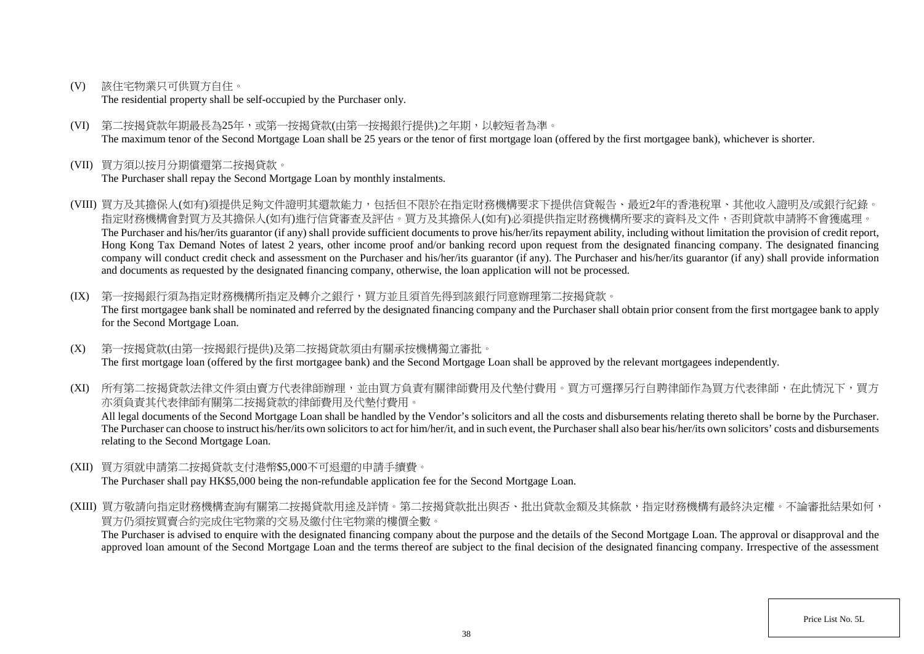(V) 該住宅物業只可供買方自住。

The residential property shall be self-occupied by the Purchaser only.

- (VI) 第二按揭貸款年期最長為25年,或第一按揭貸款(由第一按揭銀行提供)之年期,以較短者為準。 The maximum tenor of the Second Mortgage Loan shall be 25 years or the tenor of first mortgage loan (offered by the first mortgagee bank), whichever is shorter.
- (VII) 買方須以按月分期償還第二按揭貸款。

The Purchaser shall repay the Second Mortgage Loan by monthly instalments.

- (VIII) 買方及其擔保人(如有)須提供足夠文件證明其還款能力,包括但不限於在指定財務機構要求下提供信貸報告、最近2年的香港稅單、其他收入證明及/或銀行紀錄。 指定財務機構會對買方及其擔保人(如有)進行信貸審查及評估。買方及其擔保人(如有)必須提供指定財務機構所要求的資料及文件,否則貸款申請將不會獲處理。 The Purchaser and his/her/its guarantor (if any) shall provide sufficient documents to prove his/her/its repayment ability, including without limitation the provision of credit report, Hong Kong Tax Demand Notes of latest 2 years, other income proof and/or banking record upon request from the designated financing company. The designated financing company will conduct credit check and assessment on the Purchaser and his/her/its guarantor (if any). The Purchaser and his/her/its guarantor (if any) shall provide information and documents as requested by the designated financing company, otherwise, the loan application will not be processed.
- (IX) 第一按揭銀行須為指定財務機構所指定及轉介之銀行,買方並且須首先得到該銀行同意辦理第二按揭貸款。 The first mortgagee bank shall be nominated and referred by the designated financing company and the Purchaser shall obtain prior consent from the first mortgagee bank to apply for the Second Mortgage Loan.
- (X) 第一按揭貸款(由第一按揭銀行提供)及第二按揭貸款須由有關承按機構獨立審批。 The first mortgage loan (offered by the first mortgagee bank) and the Second Mortgage Loan shall be approved by the relevant mortgagees independently.

(XI) 所有第二按揭貸款法律文件須由賣方代表律師辦理,並由買方負責有關律師費用及代墊付費用。買方可選擇另行自聘律師作為買方代表律師,在此情況下,買方 亦須負責其代表律師有關第二按揭貸款的律師費用及代墊付費用。

All legal documents of the Second Mortgage Loan shall be handled by the Vendor's solicitors and all the costs and disbursements relating thereto shall be borne by the Purchaser. The Purchaser can choose to instruct his/her/its own solicitors to act for him/her/it, and in such event, the Purchaser shall also bear his/her/its own solicitors' costs and disbursements relating to the Second Mortgage Loan.

- (XII) 買方須就申請第二按揭貸款支付港幣\$5,000不可退還的申請手續費。 The Purchaser shall pay HK\$5,000 being the non-refundable application fee for the Second Mortgage Loan.
- (XIII) 買方敬請向指定財務機構查詢有關第二按揭貸款用途及詳情。第二按揭貸款批出與否、批出貸款金額及其條款,指定財務機構有最終決定權。不論審批結果如何, 買方仍須按買賣合約完成住宅物業的交易及繳付住宅物業的樓價全數。

The Purchaser is advised to enquire with the designated financing company about the purpose and the details of the Second Mortgage Loan. The approval or disapproval and the approved loan amount of the Second Mortgage Loan and the terms thereof are subject to the final decision of the designated financing company. Irrespective of the assessment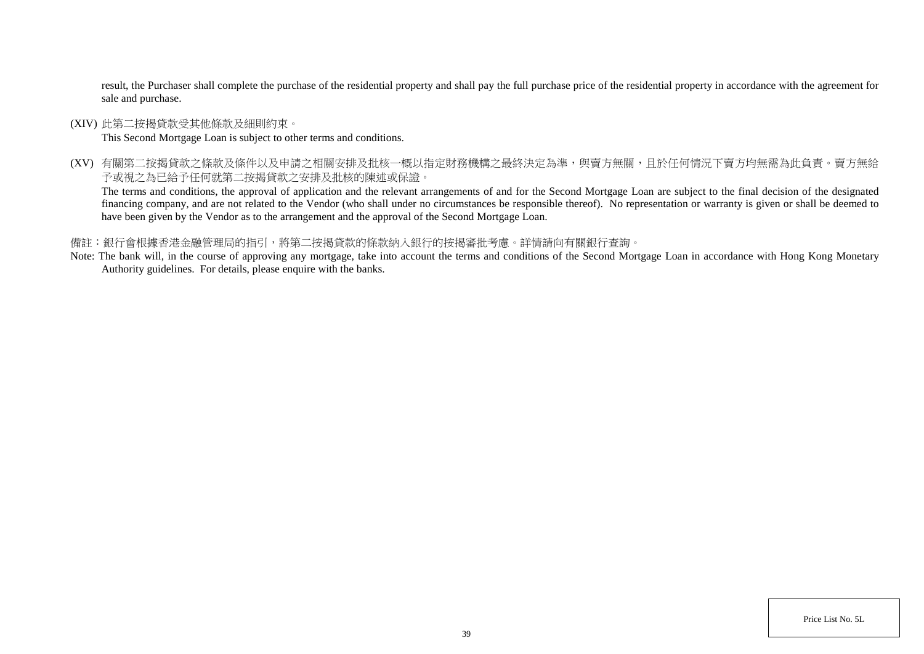result, the Purchaser shall complete the purchase of the residential property and shall pay the full purchase price of the residential property in accordance with the agreement for sale and purchase.

(XIV) 此第二按揭貸款受其他條款及細則約束。

This Second Mortgage Loan is subject to other terms and conditions.

(XV) 有關第二按揭貸款之條款及條件以及申請之相關安排及批核一概以指定財務機構之最終決定為準,與賣方無關,且於任何情況下賣方均無需為此負責。賣方無給 予或視之為已給予任何就第二按揭貸款之安排及批核的陳述或保證。

The terms and conditions, the approval of application and the relevant arrangements of and for the Second Mortgage Loan are subject to the final decision of the designated financing company, and are not related to the Vendor (who shall under no circumstances be responsible thereof). No representation or warranty is given or shall be deemed to have been given by the Vendor as to the arrangement and the approval of the Second Mortgage Loan.

### 備註:銀行會根據香港金融管理局的指引,將第二按揭貸款的條款納入銀行的按揭審批考慮。詳情請向有關銀行查詢。

Note: The bank will, in the course of approving any mortgage, take into account the terms and conditions of the Second Mortgage Loan in accordance with Hong Kong Monetary Authority guidelines. For details, please enquire with the banks.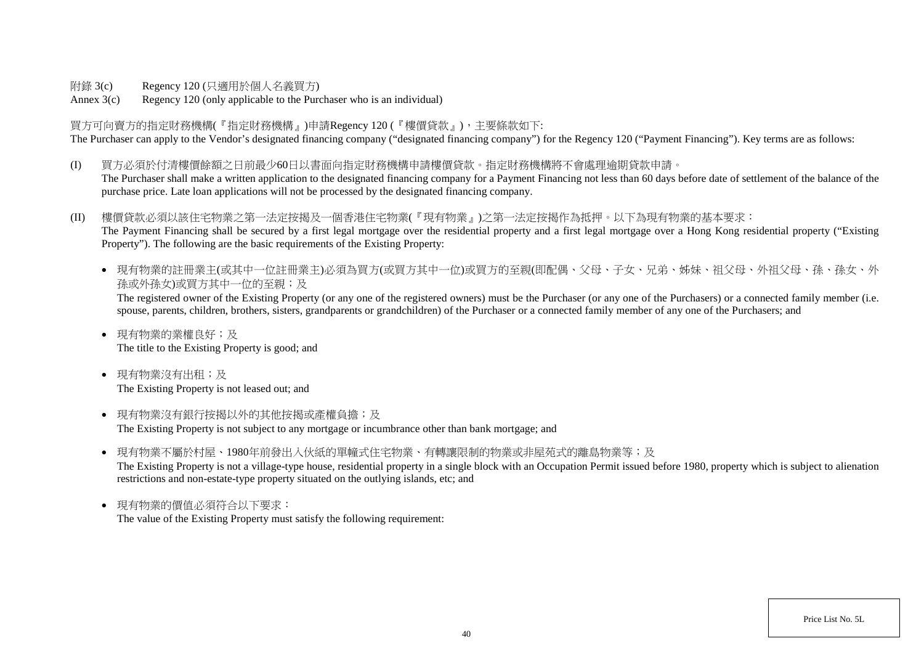附錄 3(c) Regency 120 (只適用於個人名義買方)

Annex 3(c) Regency 120 (only applicable to the Purchaser who is an individual)

買方可向賣方的指定財務機構(『指定財務機構』)申請Regency 120 (『樓價貸款』),主要條款如下: The Purchaser can apply to the Vendor's designated financing company ("designated financing company") for the Regency 120 ("Payment Financing"). Key terms are as follows:

(I) 買方必須於付清樓價餘額之日前最少60日以書面向指定財務機構申請樓價貸款。指定財務機構將不會處理逾期貸款申請。 The Purchaser shall make a written application to the designated financing company for a Payment Financing not less than 60 days before date of settlement of the balance of the purchase price. Late loan applications will not be processed by the designated financing company.

(II) 樓價貸款必須以該住宅物業之第一法定按揭及一個香港住宅物業(『現有物業』)之第一法定按揭作為抵押。以下為現有物業的基本要求: The Payment Financing shall be secured by a first legal mortgage over the residential property and a first legal mortgage over a Hong Kong residential property ("Existing Property"). The following are the basic requirements of the Existing Property:

● 現有物業的註冊業主(或其中一位註冊業主)必須為買方(或買方其中一位)或買方的至親(即配偶、父母、子女、兄弟、姊妹、祖父母、外祖父母、孫、孫女、外 孫或外孫女)或買方其中一位的至親;及

The registered owner of the Existing Property (or any one of the registered owners) must be the Purchaser (or any one of the Purchasers) or a connected family member (i.e. spouse, parents, children, brothers, sisters, grandparents or grandchildren) of the Purchaser or a connected family member of any one of the Purchasers; and

- 現有物業的業權良好;及 The title to the Existing Property is good; and
- 現有物業沒有出租;及 The Existing Property is not leased out; and
- 現有物業沒有銀行按揭以外的其他按揭或產權負擔;及 The Existing Property is not subject to any mortgage or incumbrance other than bank mortgage; and
- 現有物業不屬於村屋、1980年前發出入伙紙的單幢式住宅物業、有轉讓限制的物業或非屋苑式的離鳥物業等;及 The Existing Property is not a village-type house, residential property in a single block with an Occupation Permit issued before 1980, property which is subject to alienation restrictions and non-estate-type property situated on the outlying islands, etc; and
- 現有物業的價值必須符合以下要求: The value of the Existing Property must satisfy the following requirement: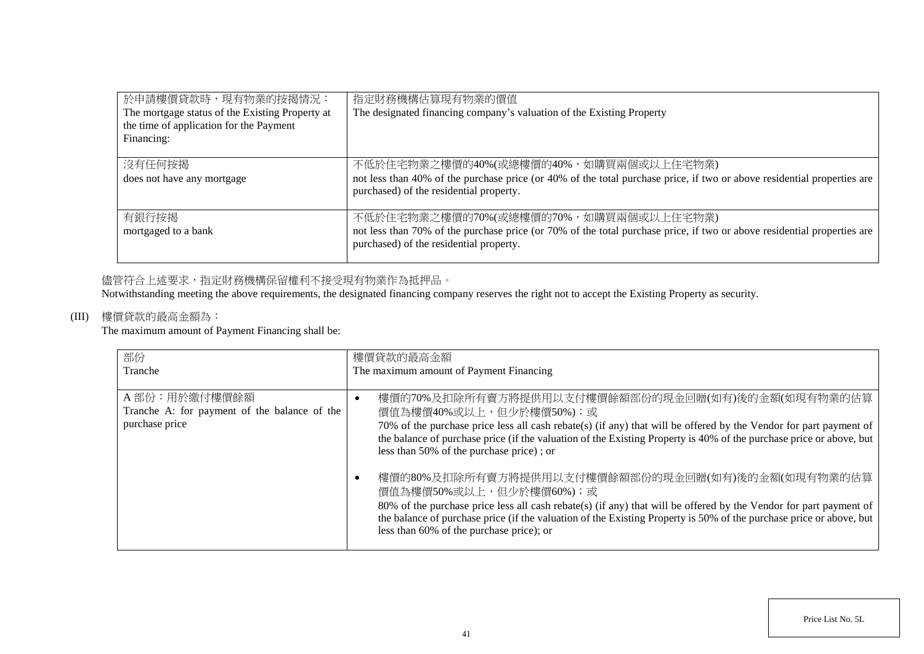| 於申請樓價貸款時,現有物業的按揭情況:<br>The mortgage status of the Existing Property at<br>the time of application for the Payment<br>Financing: | 指定財務機構估算現有物業的價值<br>The designated financing company's valuation of the Existing Property                                                                                                                    |
|---------------------------------------------------------------------------------------------------------------------------------|-------------------------------------------------------------------------------------------------------------------------------------------------------------------------------------------------------------|
| 沒有任何按揭<br>does not have any mortgage                                                                                            | 不低於住宅物業之樓價的40%(或總樓價的40%,如購買兩個或以上住宅物業)<br>not less than 40% of the purchase price (or 40% of the total purchase price, if two or above residential properties are<br>purchased) of the residential property. |
| 有銀行按揭<br>mortgaged to a bank                                                                                                    | 不低於住宅物業之樓價的70%(或總樓價的70%,如購買兩個或以上住宅物業)<br>not less than 70% of the purchase price (or 70% of the total purchase price, if two or above residential properties are<br>purchased) of the residential property. |

# 儘管符合上述要求,指定財務機構保留權利不接受現有物業作為抵押品。

Notwithstanding meeting the above requirements, the designated financing company reserves the right not to accept the Existing Property as security.

## (III) 樓價貸款的最高金額為:

The maximum amount of Payment Financing shall be:

| 部份                                           | 樓價貸款的最高金額                                                                                                           |
|----------------------------------------------|---------------------------------------------------------------------------------------------------------------------|
| Tranche                                      | The maximum amount of Payment Financing                                                                             |
|                                              |                                                                                                                     |
| A部份:用於繳付樓價餘額                                 | 樓價的70%及扣除所有賣方將提供用以支付樓價餘額部份的現金回贈(如有)後的金額(如現有物業的估算                                                                    |
| Tranche A: for payment of the balance of the | 價值為樓價40%或以上,但少於樓價50%);或                                                                                             |
| purchase price                               | 70% of the purchase price less all cash rebate(s) (if any) that will be offered by the Vendor for part payment of   |
|                                              | the balance of purchase price (if the valuation of the Existing Property is 40% of the purchase price or above, but |
|                                              | less than 50% of the purchase price); or                                                                            |
|                                              |                                                                                                                     |
|                                              | 樓價的80%及扣除所有賣方將提供用以支付樓價餘額部份的現金回贈(如有)後的金額(如現有物業的估算                                                                    |
|                                              | 價值為樓價50%或以上,但少於樓價60%);或                                                                                             |
|                                              | 80% of the purchase price less all cash rebate(s) (if any) that will be offered by the Vendor for part payment of   |
|                                              | the balance of purchase price (if the valuation of the Existing Property is 50% of the purchase price or above, but |
|                                              | less than 60% of the purchase price); or                                                                            |
|                                              |                                                                                                                     |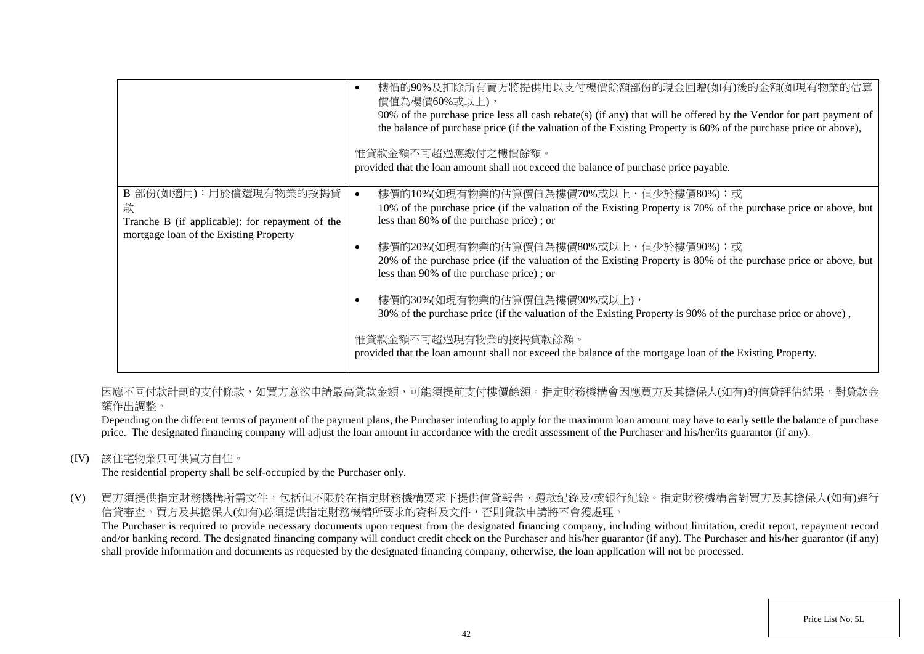|                                                                                                                          | 樓價的90%及扣除所有賣方將提供用以支付樓價餘額部份的現金回贈(如有)後的金額(如現有物業的估算<br>٠<br>價值為樓價60%或以上),<br>90% of the purchase price less all cash rebate(s) (if any) that will be offered by the Vendor for part payment of<br>the balance of purchase price (if the valuation of the Existing Property is 60% of the purchase price or above),<br>惟貸款金額不可超過應繳付之樓價餘額。<br>provided that the loan amount shall not exceed the balance of purchase price payable.                                                                                                                                                                                                                                                                                 |
|--------------------------------------------------------------------------------------------------------------------------|----------------------------------------------------------------------------------------------------------------------------------------------------------------------------------------------------------------------------------------------------------------------------------------------------------------------------------------------------------------------------------------------------------------------------------------------------------------------------------------------------------------------------------------------------------------------------------------------------------------------------------------------------------------------------------------------------------------|
| B 部份(如適用):用於償還現有物業的按揭貸<br>款<br>Tranche B (if applicable): for repayment of the<br>mortgage loan of the Existing Property | 樓價的10%(如現有物業的估算價值為樓價70%或以上,但少於樓價80%);或<br>10% of the purchase price (if the valuation of the Existing Property is 70% of the purchase price or above, but<br>less than 80% of the purchase price); or<br>樓價的20%(如現有物業的估算價值為樓價80%或以上,但少於樓價90%);或<br>O<br>20% of the purchase price (if the valuation of the Existing Property is 80% of the purchase price or above, but<br>less than 90% of the purchase price); or<br>樓價的30%(如現有物業的估算價值為樓價90%或以上),<br>O<br>30% of the purchase price (if the valuation of the Existing Property is 90% of the purchase price or above),<br>惟貸款金額不可超過現有物業的按揭貸款餘額。<br>provided that the loan amount shall not exceed the balance of the mortgage loan of the Existing Property. |

因應不同付款計劃的支付條款,如買方意欲申請最高貸款金額,可能須提前支付樓價餘額。指定財務機構會因應買方及其擔保人(如有)的信貸評估結果,對貸款金 額作出調整。

Depending on the different terms of payment of the payment plans, the Purchaser intending to apply for the maximum loan amount may have to early settle the balance of purchase price. The designated financing company will adjust the loan amount in accordance with the credit assessment of the Purchaser and his/her/its guarantor (if any).

(IV) 該住宅物業只可供買方自住。

The residential property shall be self-occupied by the Purchaser only.

(V) 買方須提供指定財務機構所需文件,包括但不限於在指定財務機構要求下提供信貸報告、還款紀錄及/或銀行紀錄。指定財務機構會對買方及其擔保人(如有)進行 信貸審查。買方及其擔保人(如有)必須提供指定財務機構所要求的資料及文件,否則貸款申請將不會獲處理。

The Purchaser is required to provide necessary documents upon request from the designated financing company, including without limitation, credit report, repayment record and/or banking record. The designated financing company will conduct credit check on the Purchaser and his/her guarantor (if any). The Purchaser and his/her guarantor (if any) shall provide information and documents as requested by the designated financing company, otherwise, the loan application will not be processed.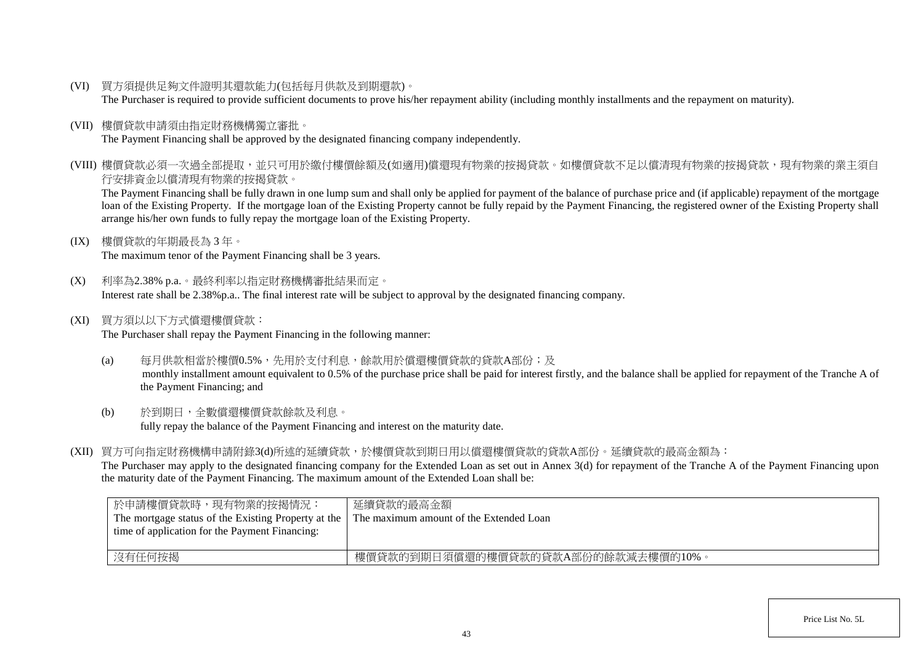(VI) 買方須提供足夠文件證明其還款能力(包括每月供款及到期還款)。

The Purchaser is required to provide sufficient documents to prove his/her repayment ability (including monthly installments and the repayment on maturity).

(VII) 樓價貸款申請須由指定財務機構獨立審批。

The Payment Financing shall be approved by the designated financing company independently.

(VIII) 樓價貸款必須一次過全部提取,並只可用於繳付樓價餘額及(如適用)償還現有物業的按揭貸款。如樓價貸款不足以償清現有物業的按揭貸款,現有物業的業主須自 行安排資金以償清現有物業的按揭貸款。

The Payment Financing shall be fully drawn in one lump sum and shall only be applied for payment of the balance of purchase price and (if applicable) repayment of the mortgage loan of the Existing Property. If the mortgage loan of the Existing Property cannot be fully repaid by the Payment Financing, the registered owner of the Existing Property shall arrange his/her own funds to fully repay the mortgage loan of the Existing Property.

(IX) 樓價貸款的年期最長為 3 年。

The maximum tenor of the Payment Financing shall be 3 years.

- (X) 利率為2.38% p.a.。最終利率以指定財務機構審批結果而定。 Interest rate shall be 2.38%p.a.. The final interest rate will be subject to approval by the designated financing company.
- (XI) 買方須以以下方式償還樓價貸款:

The Purchaser shall repay the Payment Financing in the following manner:

- (a) 每月供款相當於樓價0.5%,先用於支付利息,餘款用於償還樓價貸款的貸款A部份;及 monthly installment amount equivalent to 0.5% of the purchase price shall be paid for interest firstly, and the balance shall be applied for repayment of the Tranche A of the Payment Financing; and
- (b) 於到期日,全數償還樓價貸款餘款及利息。 fully repay the balance of the Payment Financing and interest on the maturity date.
- (XII) 買方可向指定財務機構申請附錄3(d)所述的延續貸款,於樓價貸款到期日用以償還樓價貸款的貸款A部份。延續貸款的最高金額為:

The Purchaser may apply to the designated financing company for the Extended Loan as set out in Annex 3(d) for repayment of the Tranche A of the Payment Financing upon the maturity date of the Payment Financing. The maximum amount of the Extended Loan shall be:

| 於申請樓價貸款時,現有物業的按揭情況:<br>The mortgage status of the Existing Property at the<br>time of application for the Payment Financing: | 延續貸款的最高金額<br>The maximum amount of the Extended Loan |
|------------------------------------------------------------------------------------------------------------------------------|------------------------------------------------------|
| 沒有任何按揭                                                                                                                       | 樓價貸款的到期日須償還的樓價貸款的貸款A部份的餘款減去樓價的10%。                   |

Price List No. 5L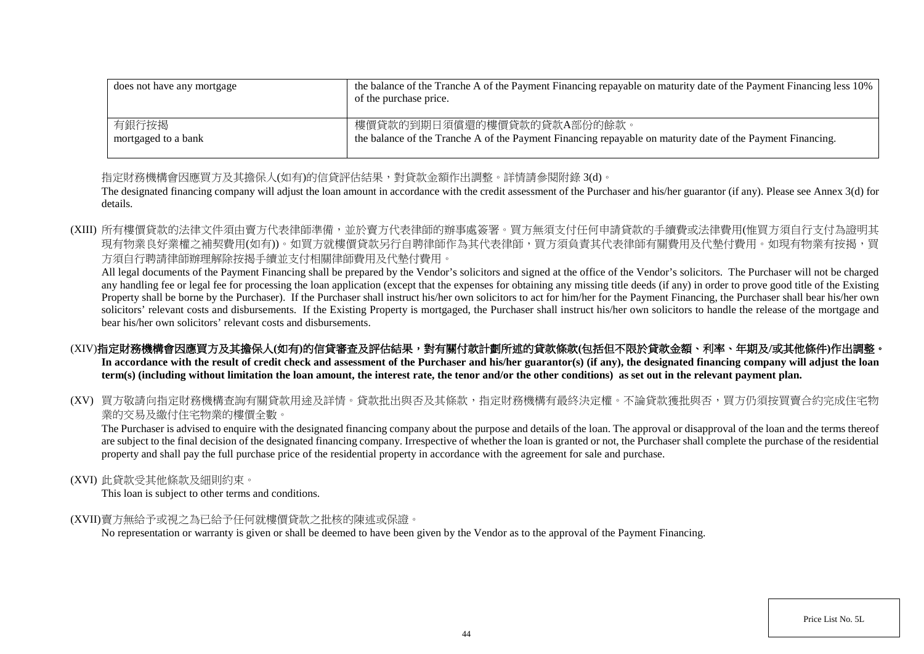| does not have any mortgage | the balance of the Tranche A of the Payment Financing repayable on maturity date of the Payment Financing less 10%<br>of the purchase price. |
|----------------------------|----------------------------------------------------------------------------------------------------------------------------------------------|
| 有銀行按揭                      | 樓價貸款的到期日須償還的樓價貸款的貸款A部份的餘款。                                                                                                                   |
| mortgaged to a bank        | the balance of the Tranche A of the Payment Financing repayable on maturity date of the Payment Financing.                                   |

指定財務機構會因應買方及其擔保人(如有)的信貸評估結果,對貸款金額作出調整。詳情請參閱附錄 3(d)。

The designated financing company will adjust the loan amount in accordance with the credit assessment of the Purchaser and his/her guarantor (if any). Please see Annex 3(d) for details.

(XIII) 所有樓價貸款的法律文件須由賣方代表律師準備,並於賣方代表律師的辦事處簽署。買方無須支付任何申請貸款的手續費或法律費用(惟買方須自行支付為證明其 現有物業良好業權之補契費用(如有))。如買方就樓價貸款另行自聘律師作為其代表律師,買方須負責其代表律師有關費用及代墊付費用。如現有物業有按揭,買 方須自行聘請律師辦理解除按揭手續並支付相關律師費用及代墊付費用。

All legal documents of the Payment Financing shall be prepared by the Vendor's solicitors and signed at the office of the Vendor's solicitors. The Purchaser will not be charged any handling fee or legal fee for processing the loan application (except that the expenses for obtaining any missing title deeds (if any) in order to prove good title of the Existing Property shall be borne by the Purchaser). If the Purchaser shall instruct his/her own solicitors to act for him/her for the Payment Financing, the Purchaser shall bear his/her own solicitors' relevant costs and disbursements. If the Existing Property is mortgaged, the Purchaser shall instruct his/her own solicitors to handle the release of the mortgage and bear his/her own solicitors' relevant costs and disbursements.

# (XIV)指定財務機構會因應買方及其擔保人(如有)的信貸審查及評估結果,對有關付款計劃所述的貸款條款(包括但不限於貸款金額、利率、年期及/或其他條件)作出調整。

In accordance with the result of credit check and assessment of the Purchaser and his/her guarantor(s) (if any), the designated financing company will adjust the loan **term(s) (including without limitation the loan amount, the interest rate, the tenor and/or the other conditions) as set out in the relevant payment plan.**

(XV) 買方敬請向指定財務機構查詢有關貸款用途及詳情。貸款批出與否及其條款,指定財務機構有最終決定權。不論貸款獲批與否,買方仍須按買賣合約完成住宅物 業的交易及繳付住宅物業的樓價全數。

The Purchaser is advised to enquire with the designated financing company about the purpose and details of the loan. The approval or disapproval of the loan and the terms thereof are subject to the final decision of the designated financing company. Irrespective of whether the loan is granted or not, the Purchaser shall complete the purchase of the residential property and shall pay the full purchase price of the residential property in accordance with the agreement for sale and purchase.

### (XVI) 此貸款受其他條款及細則約束。

This loan is subject to other terms and conditions.

### (XVII)賣方無給予或視之為已給予任何就樓價貸款之批核的陳述或保證。

No representation or warranty is given or shall be deemed to have been given by the Vendor as to the approval of the Payment Financing.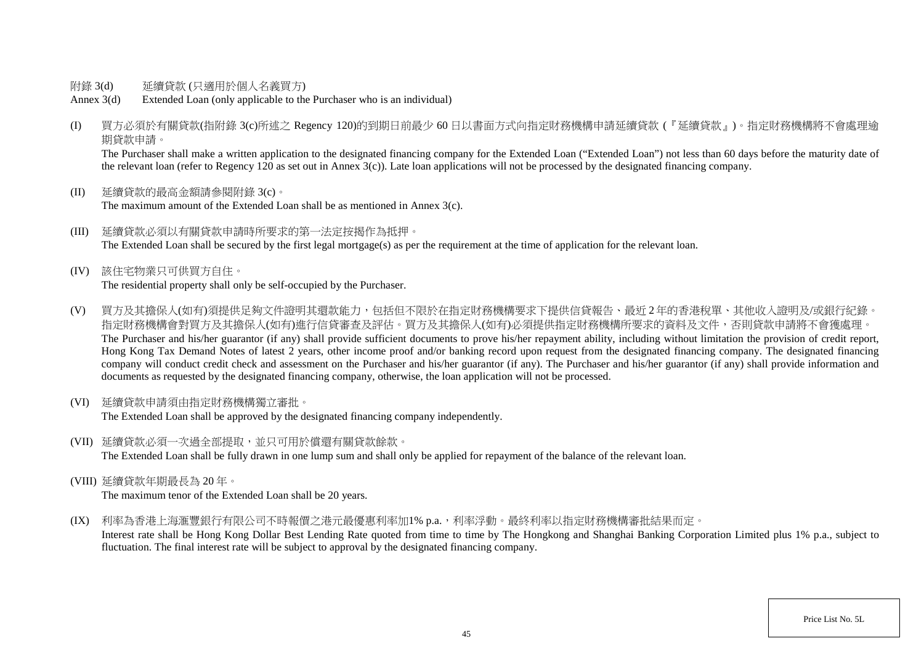- 附錄 3(d) 延續貸款 (只適用於個人名義買方)
- Annex 3(d) Extended Loan (only applicable to the Purchaser who is an individual)
- (I) 買方必須於有關貸款(指附錄 3(c)所述之 Regency 120)的到期日前最少 60 日以書面方式向指定財務機構申請延續貸款 (『延續貸款』)。指定財務機構將不會處理逾 期貸款申請。

The Purchaser shall make a written application to the designated financing company for the Extended Loan ("Extended Loan") not less than 60 days before the maturity date of the relevant loan (refer to Regency 120 as set out in Annex  $3(c)$ ). Late loan applications will not be processed by the designated financing company.

- (II) 延續貸款的最高金額請參閱附錄 3(c)。 The maximum amount of the Extended Loan shall be as mentioned in Annex 3(c).
- (III) 延續貸款必須以有關貸款申請時所要求的第一法定按揭作為抵押。 The Extended Loan shall be secured by the first legal mortgage(s) as per the requirement at the time of application for the relevant loan.
- (IV) 該住宅物業只可供買方自住。 The residential property shall only be self-occupied by the Purchaser.
- (V) 買方及其擔保人(如有)須提供足夠文件證明其還款能力,包括但不限於在指定財務機構要求下提供信貸報告、最近 2 年的香港稅單、其他收入證明及/或銀行紀錄。 指定財務機構會對買方及其擔保人(如有)進行信貸審查及評估。買方及其擔保人(如有)必須提供指定財務機構所要求的資料及文件,否則貸款申請將不會獲處理。 The Purchaser and his/her guarantor (if any) shall provide sufficient documents to prove his/her repayment ability, including without limitation the provision of credit report, Hong Kong Tax Demand Notes of latest 2 years, other income proof and/or banking record upon request from the designated financing company. The designated financing company will conduct credit check and assessment on the Purchaser and his/her guarantor (if any). The Purchaser and his/her guarantor (if any) shall provide information and documents as requested by the designated financing company, otherwise, the loan application will not be processed.
- (VI) 延續貸款申請須由指定財務機構獨立審批。

The Extended Loan shall be approved by the designated financing company independently.

(VII) 延續貸款必須一次過全部提取,並只可用於償還有關貸款餘款。

The Extended Loan shall be fully drawn in one lump sum and shall only be applied for repayment of the balance of the relevant loan.

(VIII) 延續貸款年期最長為 20 年。

The maximum tenor of the Extended Loan shall be 20 years.

(IX) 利率為香港上海滙豐銀行有限公司不時報價之港元最優惠利率加1% p.a., 利率浮動。最終利率以指定財務機構審批結果而定。

Interest rate shall be Hong Kong Dollar Best Lending Rate quoted from time to time by The Hongkong and Shanghai Banking Corporation Limited plus 1% p.a., subject to fluctuation. The final interest rate will be subject to approval by the designated financing company.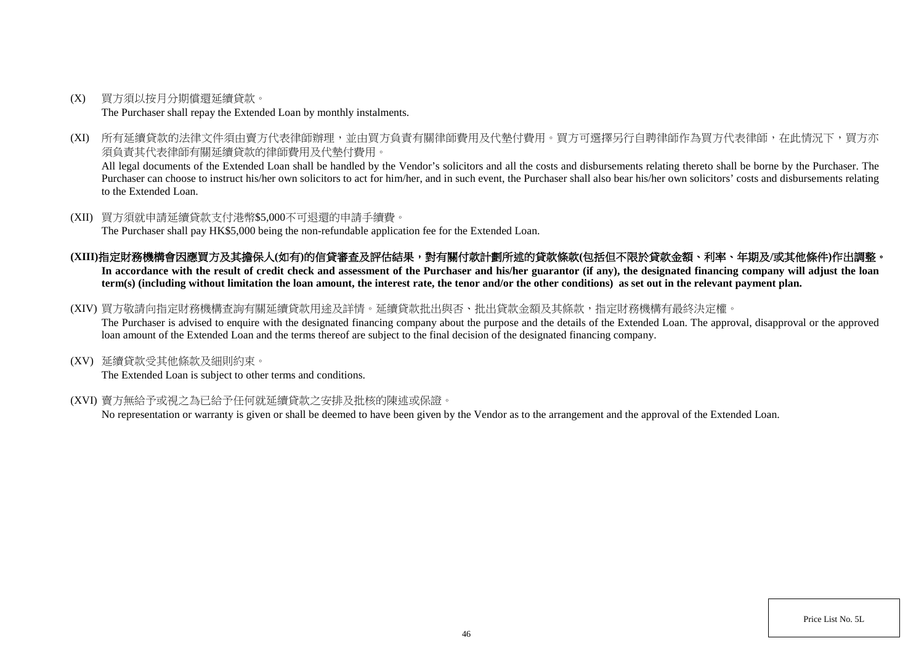- (X) 買方須以按月分期償還延續貸款。 The Purchaser shall repay the Extended Loan by monthly instalments.
- (XI) 所有延續貸款的法律文件須由賣方代表律師辦理,並由買方負責有關律師費用及代墊付費用。買方可選擇另行自聘律師作為買方代表律師,在此情況下,買方亦 須負責其代表律師有關延續貸款的律師費用及代墊付費用。

All legal documents of the Extended Loan shall be handled by the Vendor's solicitors and all the costs and disbursements relating thereto shall be borne by the Purchaser. The Purchaser can choose to instruct his/her own solicitors to act for him/her, and in such event, the Purchaser shall also bear his/her own solicitors' costs and disbursements relating to the Extended Loan.

(XII) 買方須就申請延續貸款支付港幣\$5,000不可退還的申請手續費。

The Purchaser shall pay HK\$5,000 being the non-refundable application fee for the Extended Loan.

- **(XIII)**指定財務機構會因應買方及其擔保人**(**如有**)**的信貸審查及評估結果,對有關付款計劃所述的貸款條款**(**包括但不限於貸款金額、利率、年期及**/**或其他條件**)**作出調整。 In accordance with the result of credit check and assessment of the Purchaser and his/her guarantor (if any), the designated financing company will adjust the loan **term(s) (including without limitation the loan amount, the interest rate, the tenor and/or the other conditions) as set out in the relevant payment plan.**
- (XIV) 買方敬請向指定財務機構查詢有關延續貸款用途及詳情。延續貸款批出與否、批出貸款金額及其條款,指定財務機構有最終決定權。

The Purchaser is advised to enquire with the designated financing company about the purpose and the details of the Extended Loan. The approval, disapproval or the approved loan amount of the Extended Loan and the terms thereof are subject to the final decision of the designated financing company.

(XV) 延續貸款受其他條款及細則約束。

The Extended Loan is subject to other terms and conditions.

(XVI) 賣方無給予或視之為已給予任何就延續貸款之安排及批核的陳述或保證。

No representation or warranty is given or shall be deemed to have been given by the Vendor as to the arrangement and the approval of the Extended Loan.